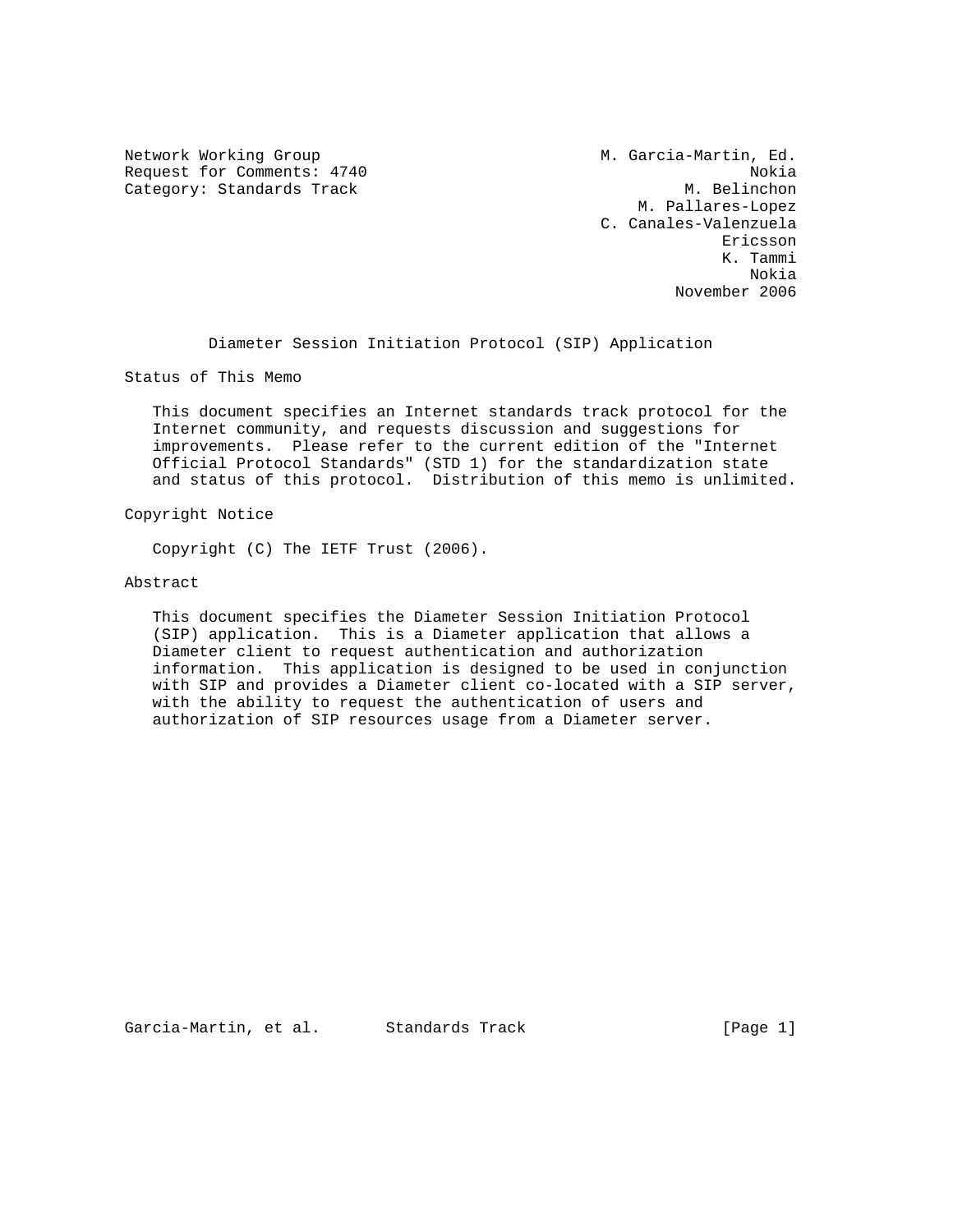Network Working Group M. Garcia-Martin, Ed. Request for Comments: 4740 Nokia<br>Category: Standards Track Nokia Nokia Nokia Nokia Category: Standards Track

 M. Pallares-Lopez C. Canales-Valenzuela Ericsson K. Tammi Nokia November 2006

Diameter Session Initiation Protocol (SIP) Application

Status of This Memo

 This document specifies an Internet standards track protocol for the Internet community, and requests discussion and suggestions for improvements. Please refer to the current edition of the "Internet Official Protocol Standards" (STD 1) for the standardization state and status of this protocol. Distribution of this memo is unlimited.

Copyright Notice

Copyright (C) The IETF Trust (2006).

Abstract

 This document specifies the Diameter Session Initiation Protocol (SIP) application. This is a Diameter application that allows a Diameter client to request authentication and authorization information. This application is designed to be used in conjunction with SIP and provides a Diameter client co-located with a SIP server, with the ability to request the authentication of users and authorization of SIP resources usage from a Diameter server.

Garcia-Martin, et al. Standards Track (Page 1)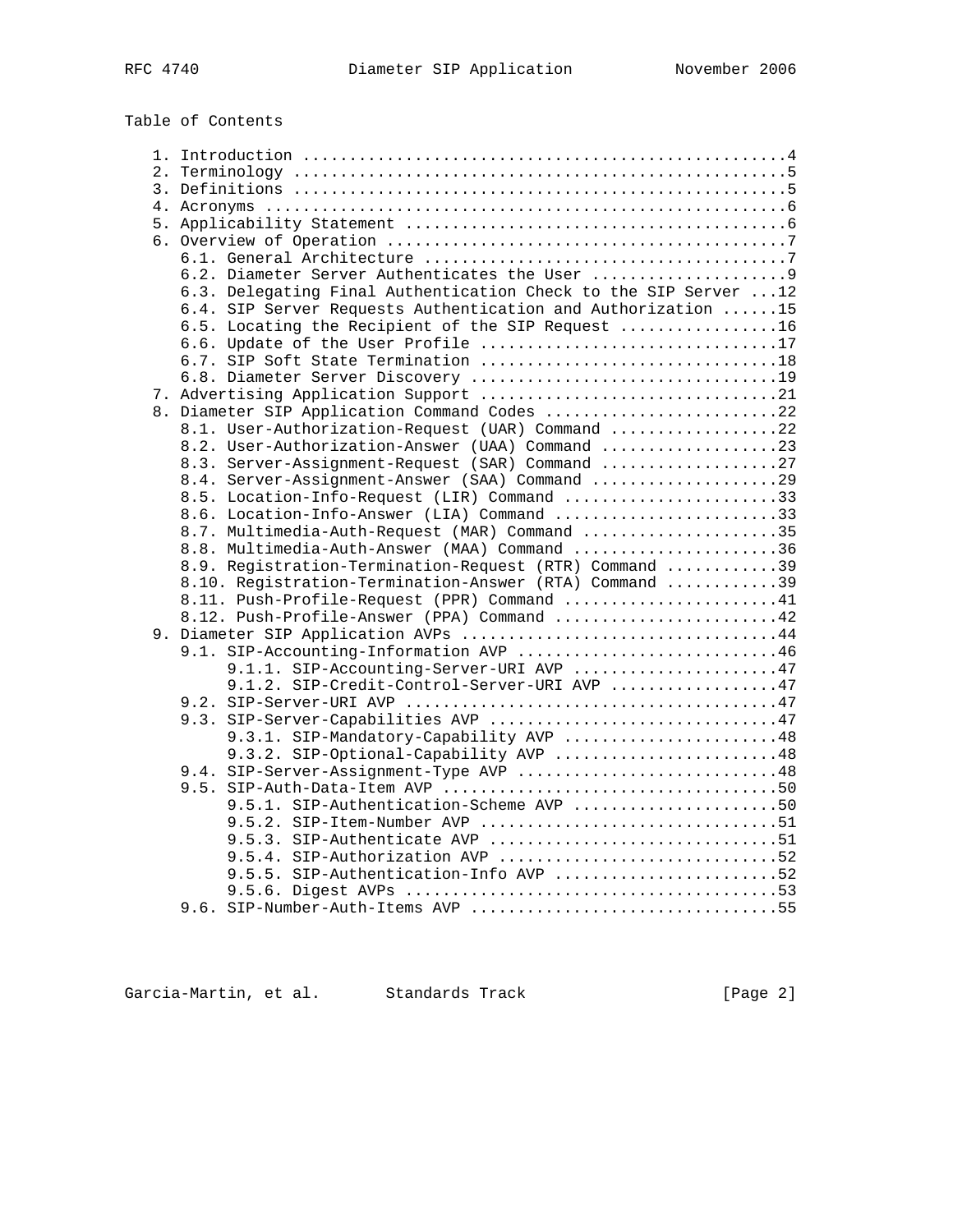Table of Contents

| 6.3. Delegating Final Authentication Check to the SIP Server  12                          |  |
|-------------------------------------------------------------------------------------------|--|
| 6.4. SIP Server Requests Authentication and Authorization 15                              |  |
| 6.5. Locating the Recipient of the SIP Request 16                                         |  |
| 6.6. Update of the User Profile 17                                                        |  |
|                                                                                           |  |
|                                                                                           |  |
|                                                                                           |  |
| 8. Diameter SIP Application Command Codes 22                                              |  |
| 8.1. User-Authorization-Request (UAR) Command 22                                          |  |
| 8.2. User-Authorization-Answer (UAA) Command 23                                           |  |
| 8.3. Server-Assignment-Request (SAR) Command 27                                           |  |
| 8.4. Server-Assignment-Answer (SAA) Command 29                                            |  |
| 8.5. Location-Info-Request (LIR) Command 33<br>8.6. Location-Info-Answer (LIA) Command 33 |  |
| 8.7. Multimedia-Auth-Request (MAR) Command 35                                             |  |
| 8.8. Multimedia-Auth-Answer (MAA) Command 36                                              |  |
| 8.9. Registration-Termination-Request (RTR) Command 39                                    |  |
| 8.10. Registration-Termination-Answer (RTA) Command 39                                    |  |
| 8.11. Push-Profile-Request (PPR) Command 41                                               |  |
| 8.12. Push-Profile-Answer (PPA) Command 42                                                |  |
| 9. Diameter SIP Application AVPs 44                                                       |  |
| 9.1. SIP-Accounting-Information AVP 46                                                    |  |
| 9.1.1. SIP-Accounting-Server-URI AVP 47                                                   |  |
| 9.1.2. SIP-Credit-Control-Server-URI AVP 47                                               |  |
|                                                                                           |  |
| 9.3. SIP-Server-Capabilities AVP 47                                                       |  |
| 9.3.1. SIP-Mandatory-Capability AVP 48                                                    |  |
| 9.3.2. SIP-Optional-Capability AVP 48                                                     |  |
| 9.4. SIP-Server-Assignment-Type AVP 48                                                    |  |
|                                                                                           |  |
| 9.5.1. SIP-Authentication-Scheme AVP 50                                                   |  |
|                                                                                           |  |
| 9.5.3. SIP-Authenticate AVP 51                                                            |  |
| 9.5.4. SIP-Authorization AVP 52                                                           |  |
| 9.5.5. SIP-Authentication-Info AVP 52                                                     |  |
|                                                                                           |  |
| 9.6. SIP-Number-Auth-Items AVP 55                                                         |  |

Garcia-Martin, et al. Standards Track (Page 2)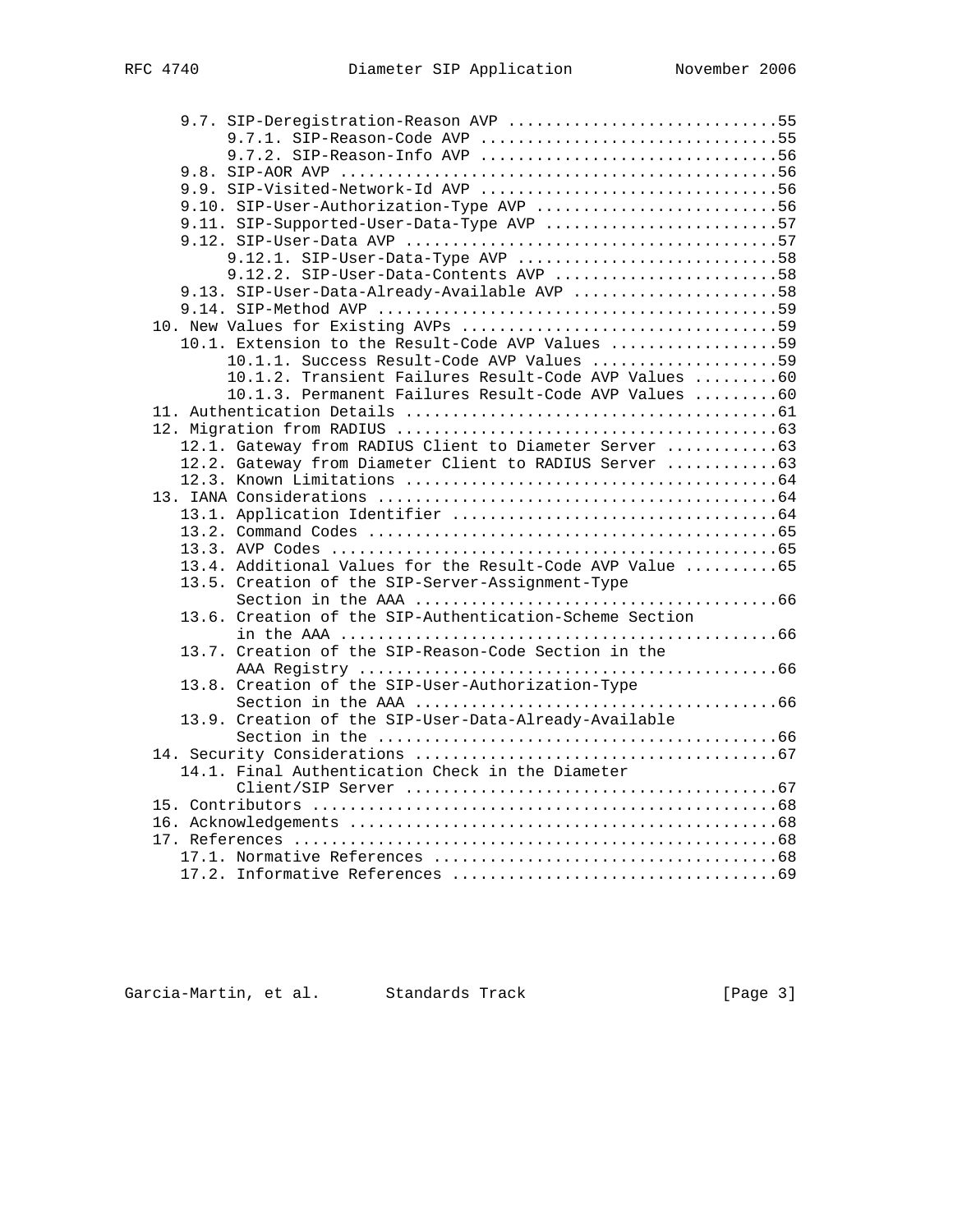|  | 9.7. SIP-Deregistration-Reason AVP 55                    |
|--|----------------------------------------------------------|
|  | 9.7.1. SIP-Reason-Code AVP 55                            |
|  |                                                          |
|  |                                                          |
|  |                                                          |
|  | 9.10. SIP-User-Authorization-Type AVP 56                 |
|  | 9.11. SIP-Supported-User-Data-Type AVP 57                |
|  |                                                          |
|  | 9.12.1. SIP-User-Data-Type AVP 58                        |
|  | $9.12.2.$ SIP-User-Data-Contents AVP 58                  |
|  | 9.13. SIP-User-Data-Already-Available AVP 58             |
|  |                                                          |
|  |                                                          |
|  | 10.1. Extension to the Result-Code AVP Values 59         |
|  | 10.1.1. Success Result-Code AVP Values 59                |
|  | 10.1.2. Transient Failures Result-Code AVP Values 60     |
|  | 10.1.3. Permanent Failures Result-Code AVP Values 60     |
|  |                                                          |
|  |                                                          |
|  | 12.1. Gateway from RADIUS Client to Diameter Server 63   |
|  | 12.2. Gateway from Diameter Client to RADIUS Server  63  |
|  |                                                          |
|  |                                                          |
|  |                                                          |
|  |                                                          |
|  | 13.4. Additional Values for the Result-Code AVP Value 65 |
|  | 13.5. Creation of the SIP-Server-Assignment-Type         |
|  |                                                          |
|  | 13.6. Creation of the SIP-Authentication-Scheme Section  |
|  |                                                          |
|  | 13.7. Creation of the SIP-Reason-Code Section in the     |
|  |                                                          |
|  | 13.8. Creation of the SIP-User-Authorization-Type        |
|  |                                                          |
|  | 13.9. Creation of the SIP-User-Data-Already-Available    |
|  |                                                          |
|  |                                                          |
|  | 14.1. Final Authentication Check in the Diameter         |
|  |                                                          |
|  |                                                          |
|  |                                                          |
|  |                                                          |
|  |                                                          |
|  |                                                          |

Garcia-Martin, et al. Standards Track (Page 3)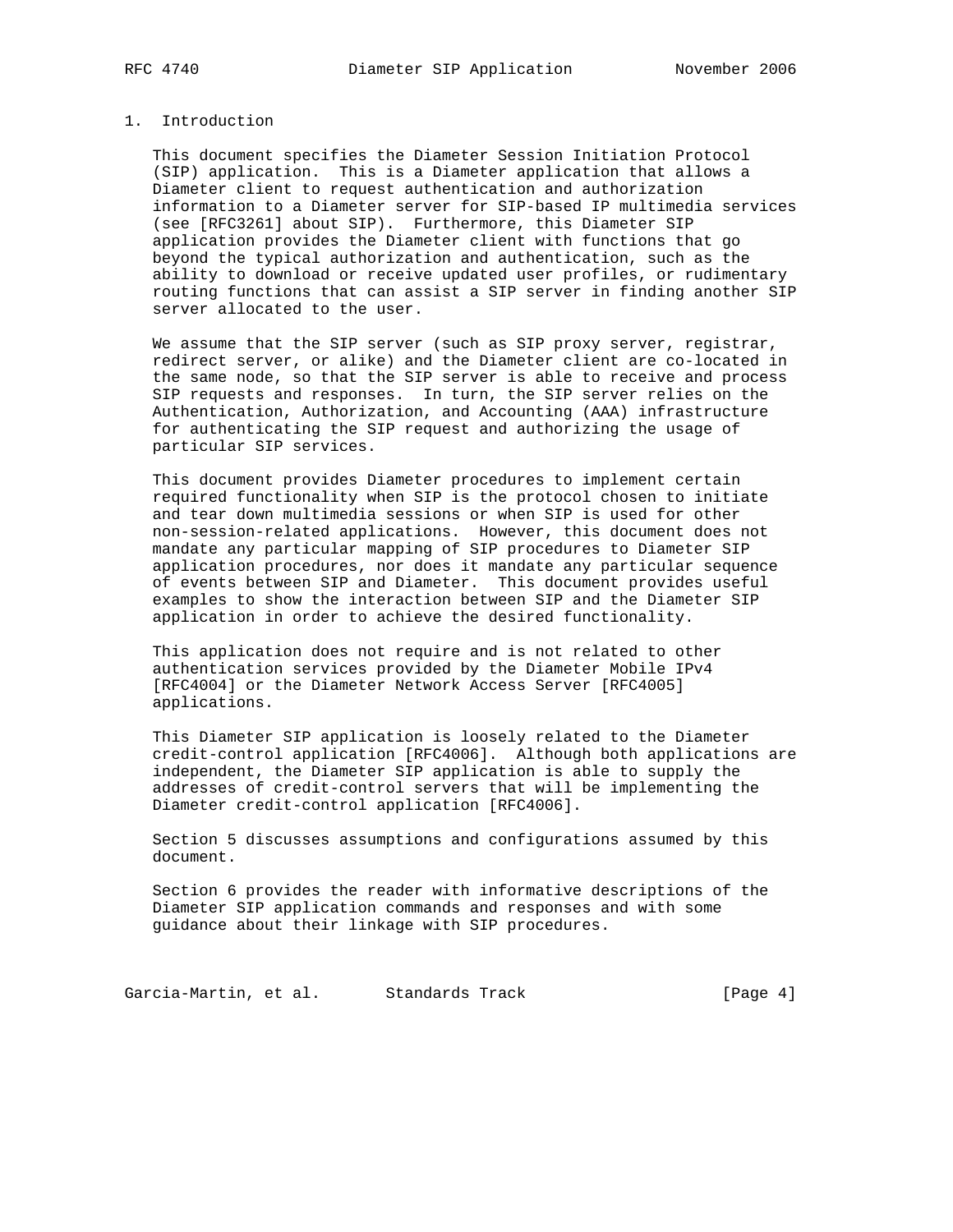# 1. Introduction

 This document specifies the Diameter Session Initiation Protocol (SIP) application. This is a Diameter application that allows a Diameter client to request authentication and authorization information to a Diameter server for SIP-based IP multimedia services (see [RFC3261] about SIP). Furthermore, this Diameter SIP application provides the Diameter client with functions that go beyond the typical authorization and authentication, such as the ability to download or receive updated user profiles, or rudimentary routing functions that can assist a SIP server in finding another SIP server allocated to the user.

We assume that the SIP server (such as SIP proxy server, registrar, redirect server, or alike) and the Diameter client are co-located in the same node, so that the SIP server is able to receive and process SIP requests and responses. In turn, the SIP server relies on the Authentication, Authorization, and Accounting (AAA) infrastructure for authenticating the SIP request and authorizing the usage of particular SIP services.

 This document provides Diameter procedures to implement certain required functionality when SIP is the protocol chosen to initiate and tear down multimedia sessions or when SIP is used for other non-session-related applications. However, this document does not mandate any particular mapping of SIP procedures to Diameter SIP application procedures, nor does it mandate any particular sequence of events between SIP and Diameter. This document provides useful examples to show the interaction between SIP and the Diameter SIP application in order to achieve the desired functionality.

 This application does not require and is not related to other authentication services provided by the Diameter Mobile IPv4 [RFC4004] or the Diameter Network Access Server [RFC4005] applications.

 This Diameter SIP application is loosely related to the Diameter credit-control application [RFC4006]. Although both applications are independent, the Diameter SIP application is able to supply the addresses of credit-control servers that will be implementing the Diameter credit-control application [RFC4006].

 Section 5 discusses assumptions and configurations assumed by this document.

 Section 6 provides the reader with informative descriptions of the Diameter SIP application commands and responses and with some guidance about their linkage with SIP procedures.

Garcia-Martin, et al. Standards Track (Page 4)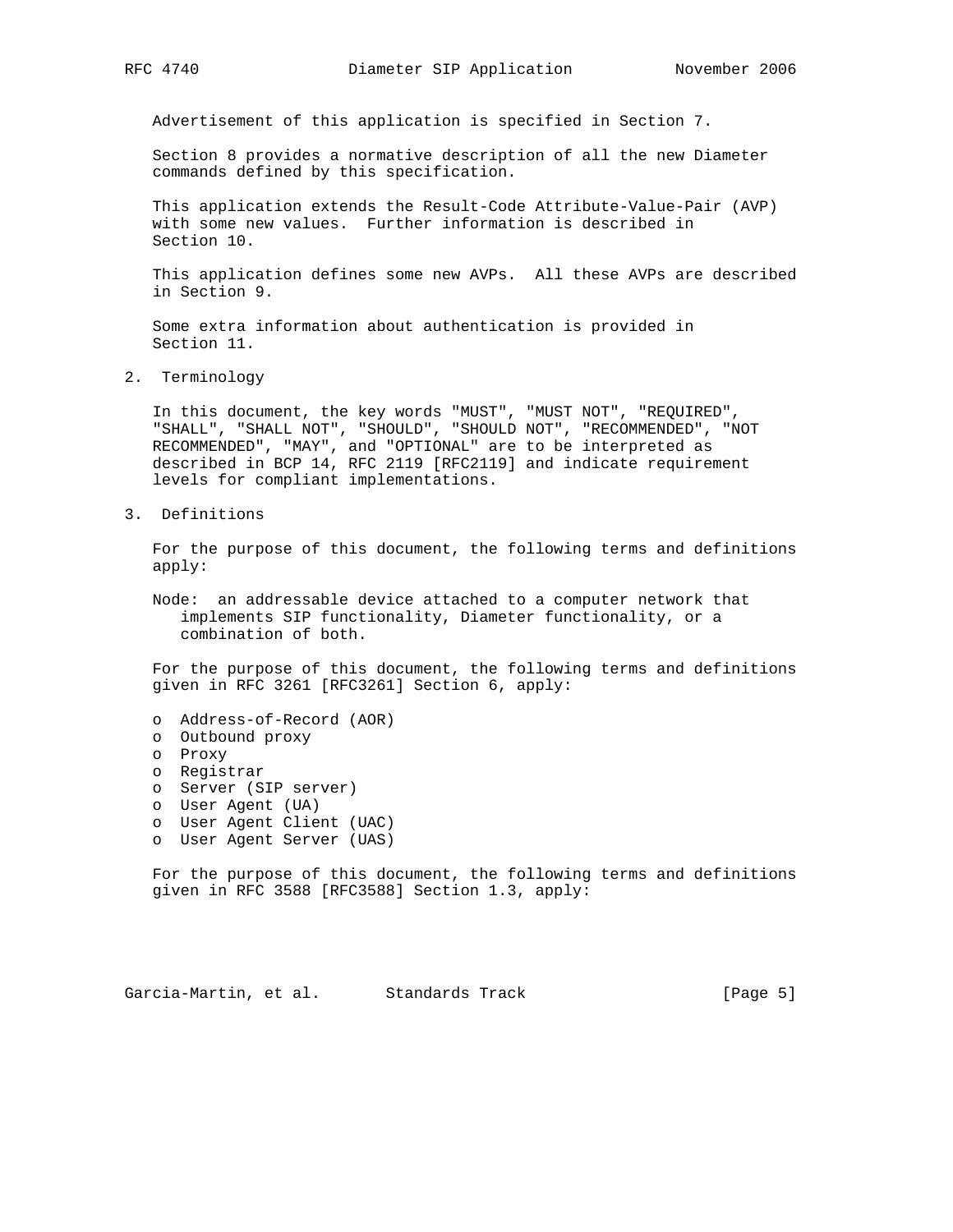Advertisement of this application is specified in Section 7.

 Section 8 provides a normative description of all the new Diameter commands defined by this specification.

 This application extends the Result-Code Attribute-Value-Pair (AVP) with some new values. Further information is described in Section 10.

 This application defines some new AVPs. All these AVPs are described in Section 9.

 Some extra information about authentication is provided in Section 11.

2. Terminology

 In this document, the key words "MUST", "MUST NOT", "REQUIRED", "SHALL", "SHALL NOT", "SHOULD", "SHOULD NOT", "RECOMMENDED", "NOT RECOMMENDED", "MAY", and "OPTIONAL" are to be interpreted as described in BCP 14, RFC 2119 [RFC2119] and indicate requirement levels for compliant implementations.

3. Definitions

 For the purpose of this document, the following terms and definitions apply:

 Node: an addressable device attached to a computer network that implements SIP functionality, Diameter functionality, or a combination of both.

 For the purpose of this document, the following terms and definitions given in RFC 3261 [RFC3261] Section 6, apply:

- o Address-of-Record (AOR)
- o Outbound proxy
- o Proxy
- o Registrar
	- o Server (SIP server)
	- o User Agent (UA)
	- o User Agent Client (UAC)
	- o User Agent Server (UAS)

 For the purpose of this document, the following terms and definitions given in RFC 3588 [RFC3588] Section 1.3, apply:

Garcia-Martin, et al. Standards Track [Page 5]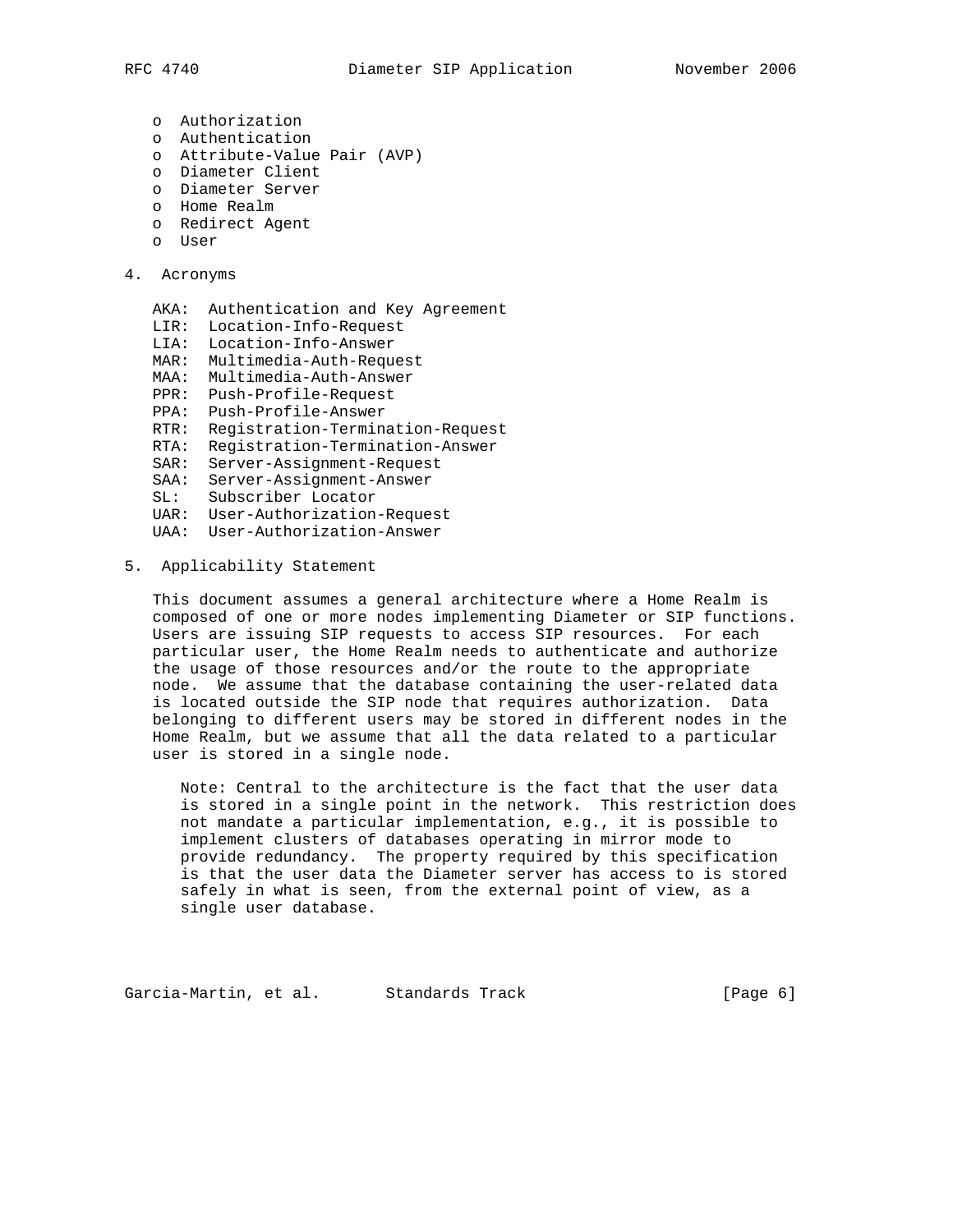- - o Authorization
	- o Authentication
	- o Attribute-Value Pair (AVP)
	- o Diameter Client
	- o Diameter Server
	- o Home Realm
	- o Redirect Agent
	- o User
- 4. Acronyms
	- AKA: Authentication and Key Agreement
	- LIR: Location-Info-Request
	- LIA: Location-Info-Answer
	- MAR: Multimedia-Auth-Request
	- MAA: Multimedia-Auth-Answer
	- PPR: Push-Profile-Request
	- PPA: Push-Profile-Answer
	- RTR: Registration-Termination-Request
	- RTA: Registration-Termination-Answer
	- SAR: Server-Assignment-Request
	- SAA: Server-Assignment-Answer
	- SL: Subscriber Locator
	- UAR: User-Authorization-Request
	- UAA: User-Authorization-Answer
- 5. Applicability Statement

 This document assumes a general architecture where a Home Realm is composed of one or more nodes implementing Diameter or SIP functions. Users are issuing SIP requests to access SIP resources. For each particular user, the Home Realm needs to authenticate and authorize the usage of those resources and/or the route to the appropriate node. We assume that the database containing the user-related data is located outside the SIP node that requires authorization. Data belonging to different users may be stored in different nodes in the Home Realm, but we assume that all the data related to a particular user is stored in a single node.

 Note: Central to the architecture is the fact that the user data is stored in a single point in the network. This restriction does not mandate a particular implementation, e.g., it is possible to implement clusters of databases operating in mirror mode to provide redundancy. The property required by this specification is that the user data the Diameter server has access to is stored safely in what is seen, from the external point of view, as a single user database.

Garcia-Martin, et al. Standards Track (Page 6)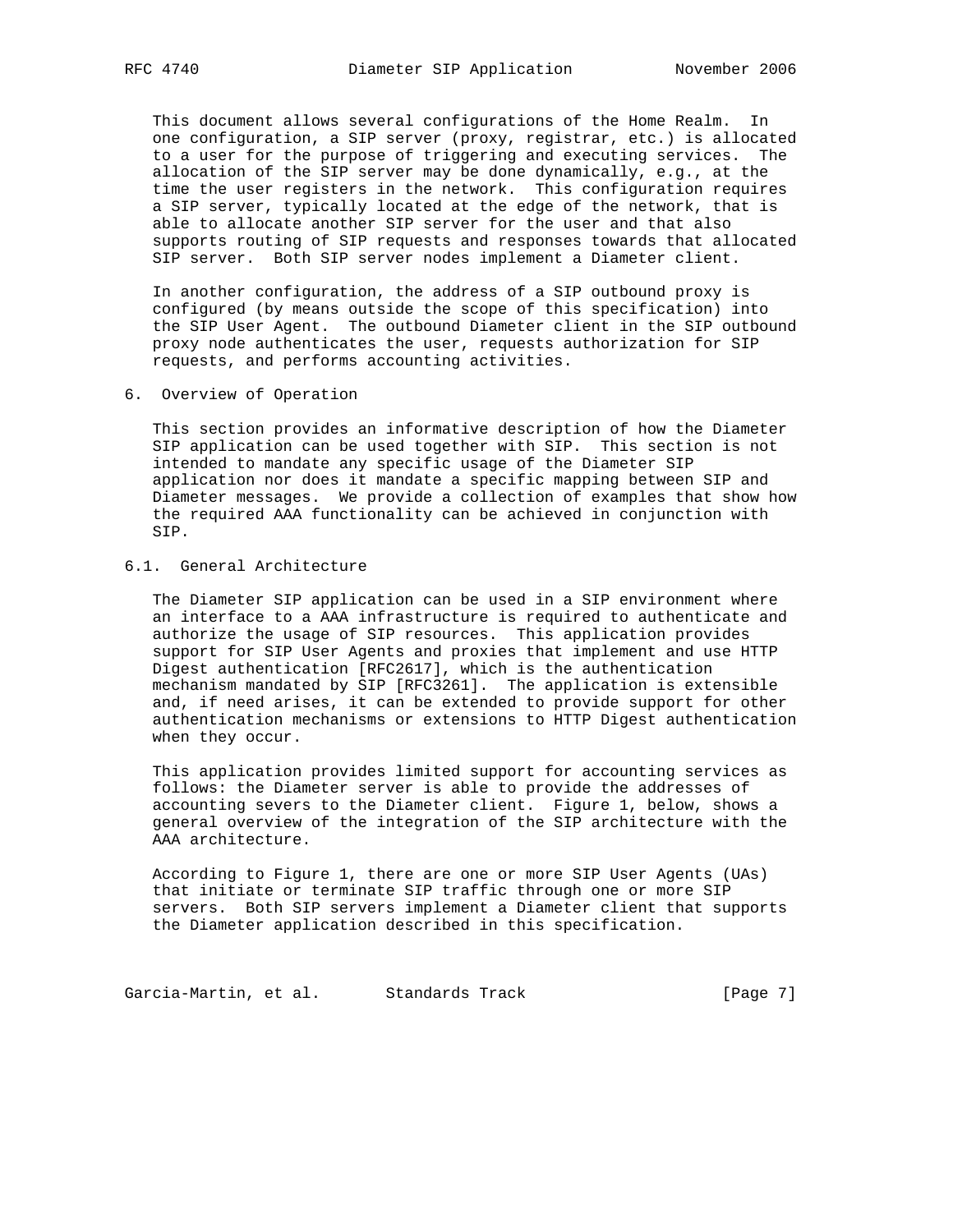This document allows several configurations of the Home Realm. In one configuration, a SIP server (proxy, registrar, etc.) is allocated to a user for the purpose of triggering and executing services. The allocation of the SIP server may be done dynamically, e.g., at the time the user registers in the network. This configuration requires a SIP server, typically located at the edge of the network, that is able to allocate another SIP server for the user and that also supports routing of SIP requests and responses towards that allocated SIP server. Both SIP server nodes implement a Diameter client.

 In another configuration, the address of a SIP outbound proxy is configured (by means outside the scope of this specification) into the SIP User Agent. The outbound Diameter client in the SIP outbound proxy node authenticates the user, requests authorization for SIP requests, and performs accounting activities.

6. Overview of Operation

 This section provides an informative description of how the Diameter SIP application can be used together with SIP. This section is not intended to mandate any specific usage of the Diameter SIP application nor does it mandate a specific mapping between SIP and Diameter messages. We provide a collection of examples that show how the required AAA functionality can be achieved in conjunction with SIP.

# 6.1. General Architecture

 The Diameter SIP application can be used in a SIP environment where an interface to a AAA infrastructure is required to authenticate and authorize the usage of SIP resources. This application provides support for SIP User Agents and proxies that implement and use HTTP Digest authentication [RFC2617], which is the authentication mechanism mandated by SIP [RFC3261]. The application is extensible and, if need arises, it can be extended to provide support for other authentication mechanisms or extensions to HTTP Digest authentication when they occur.

 This application provides limited support for accounting services as follows: the Diameter server is able to provide the addresses of accounting severs to the Diameter client. Figure 1, below, shows a general overview of the integration of the SIP architecture with the AAA architecture.

 According to Figure 1, there are one or more SIP User Agents (UAs) that initiate or terminate SIP traffic through one or more SIP servers. Both SIP servers implement a Diameter client that supports the Diameter application described in this specification.

Garcia-Martin, et al. Standards Track [Page 7]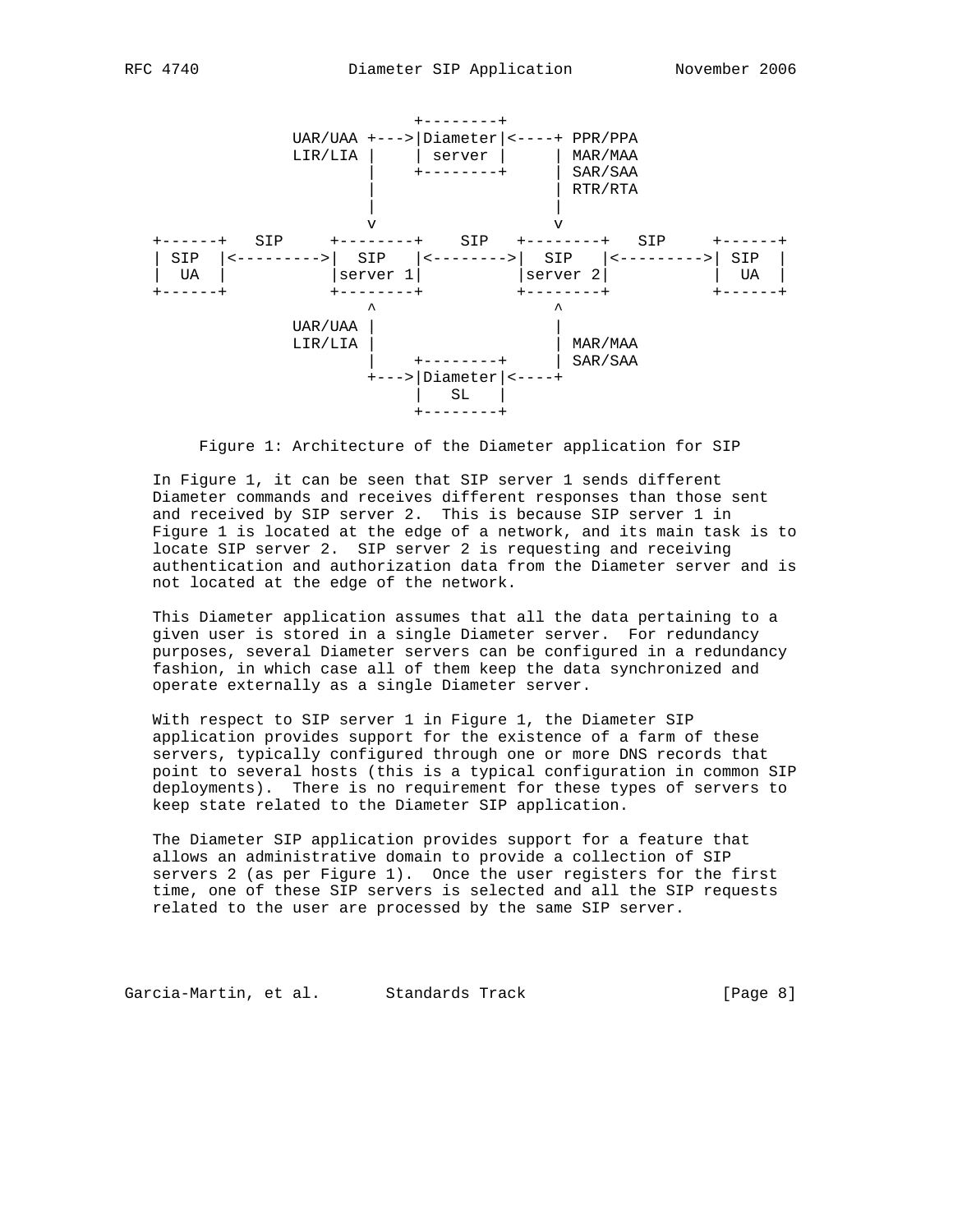

Figure 1: Architecture of the Diameter application for SIP

 In Figure 1, it can be seen that SIP server 1 sends different Diameter commands and receives different responses than those sent and received by SIP server 2. This is because SIP server 1 in Figure 1 is located at the edge of a network, and its main task is to locate SIP server 2. SIP server 2 is requesting and receiving authentication and authorization data from the Diameter server and is not located at the edge of the network.

 This Diameter application assumes that all the data pertaining to a given user is stored in a single Diameter server. For redundancy purposes, several Diameter servers can be configured in a redundancy fashion, in which case all of them keep the data synchronized and operate externally as a single Diameter server.

 With respect to SIP server 1 in Figure 1, the Diameter SIP application provides support for the existence of a farm of these servers, typically configured through one or more DNS records that point to several hosts (this is a typical configuration in common SIP deployments). There is no requirement for these types of servers to keep state related to the Diameter SIP application.

 The Diameter SIP application provides support for a feature that allows an administrative domain to provide a collection of SIP servers 2 (as per Figure 1). Once the user registers for the first time, one of these SIP servers is selected and all the SIP requests related to the user are processed by the same SIP server.

Garcia-Martin, et al. Standards Track (Page 8)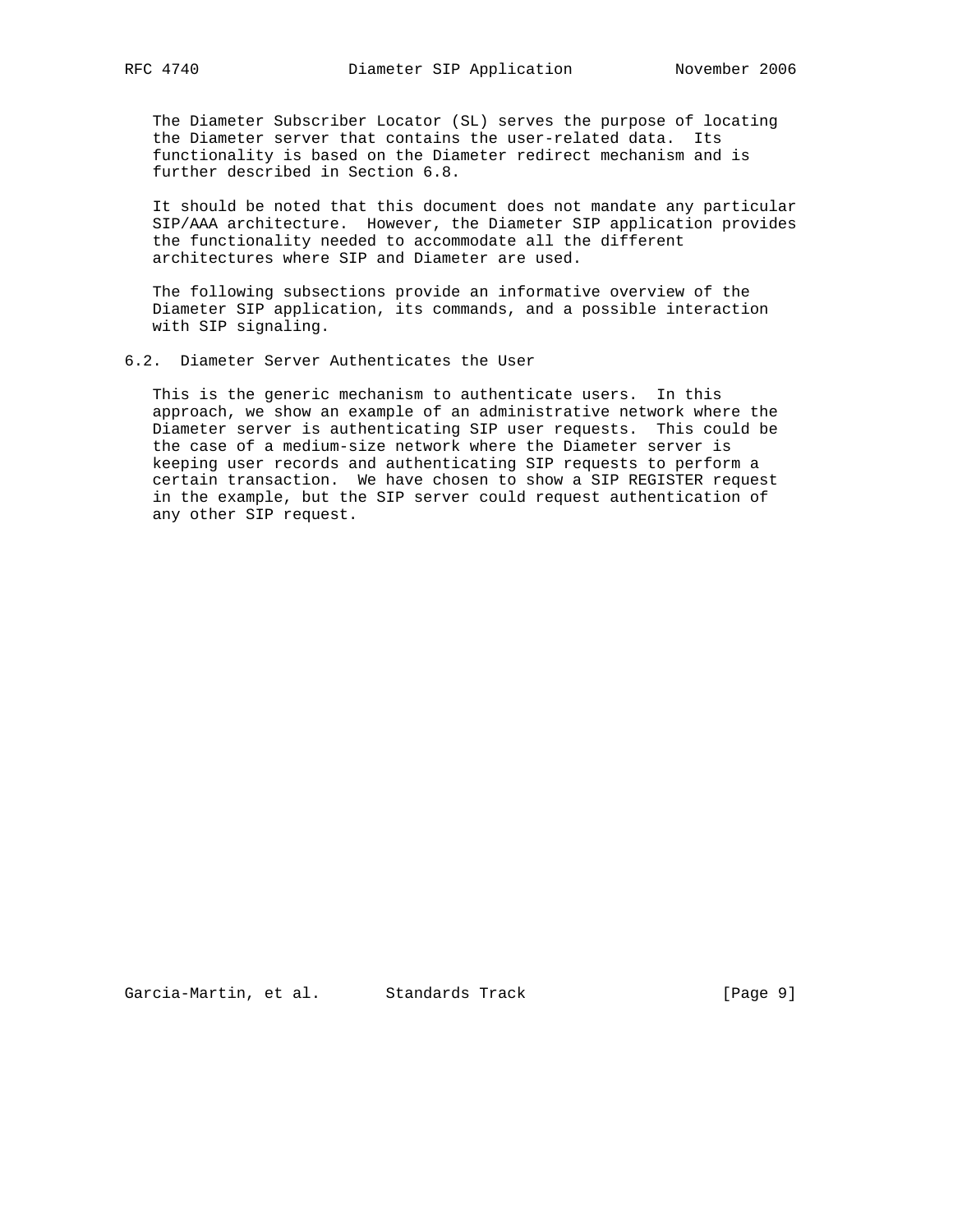The Diameter Subscriber Locator (SL) serves the purpose of locating the Diameter server that contains the user-related data. Its functionality is based on the Diameter redirect mechanism and is further described in Section 6.8.

 It should be noted that this document does not mandate any particular SIP/AAA architecture. However, the Diameter SIP application provides the functionality needed to accommodate all the different architectures where SIP and Diameter are used.

 The following subsections provide an informative overview of the Diameter SIP application, its commands, and a possible interaction with SIP signaling.

## 6.2. Diameter Server Authenticates the User

 This is the generic mechanism to authenticate users. In this approach, we show an example of an administrative network where the Diameter server is authenticating SIP user requests. This could be the case of a medium-size network where the Diameter server is keeping user records and authenticating SIP requests to perform a certain transaction. We have chosen to show a SIP REGISTER request in the example, but the SIP server could request authentication of any other SIP request.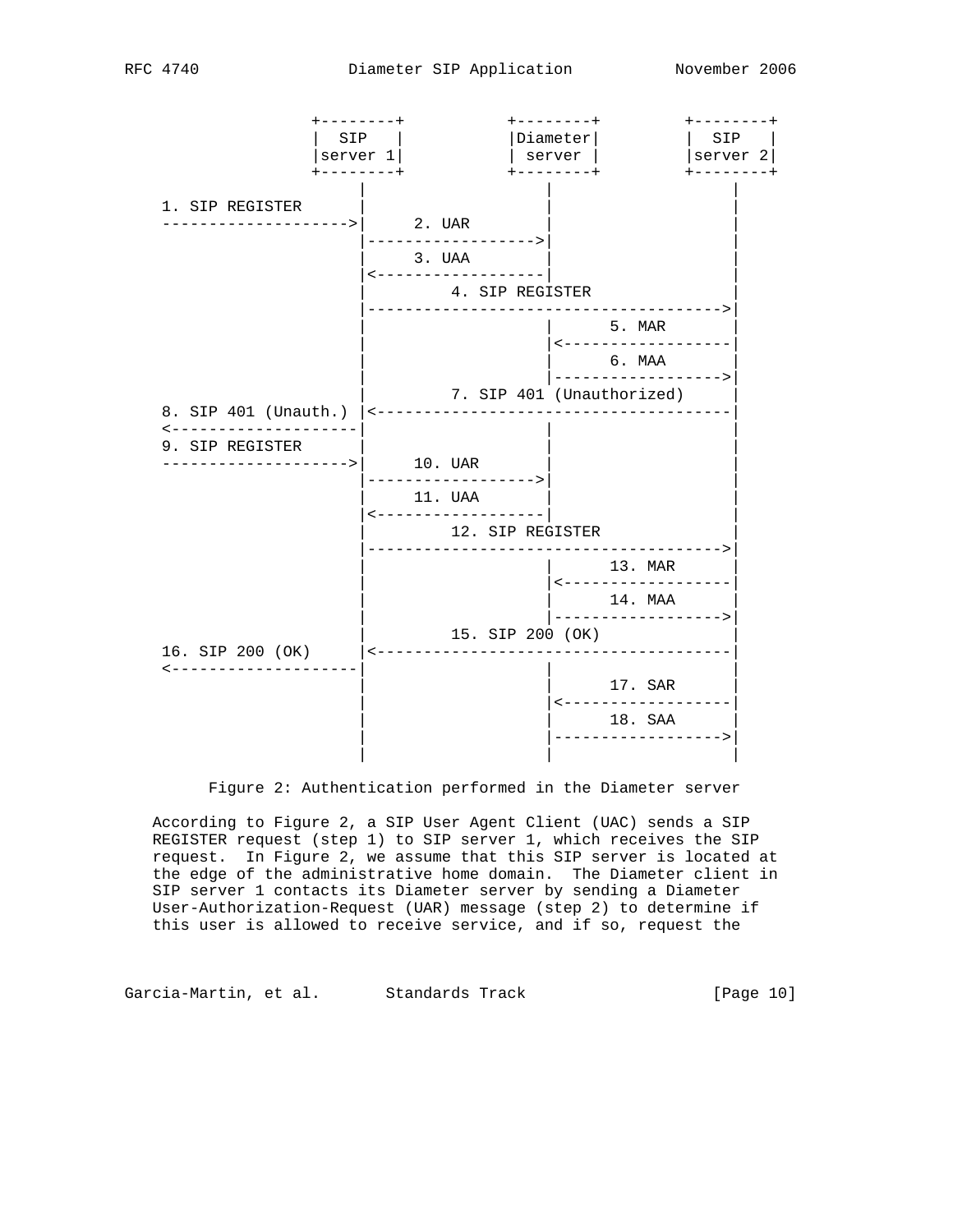

Figure 2: Authentication performed in the Diameter server

 According to Figure 2, a SIP User Agent Client (UAC) sends a SIP REGISTER request (step 1) to SIP server 1, which receives the SIP request. In Figure 2, we assume that this SIP server is located at the edge of the administrative home domain. The Diameter client in SIP server 1 contacts its Diameter server by sending a Diameter User-Authorization-Request (UAR) message (step 2) to determine if this user is allowed to receive service, and if so, request the

Garcia-Martin, et al. Standards Track [Page 10]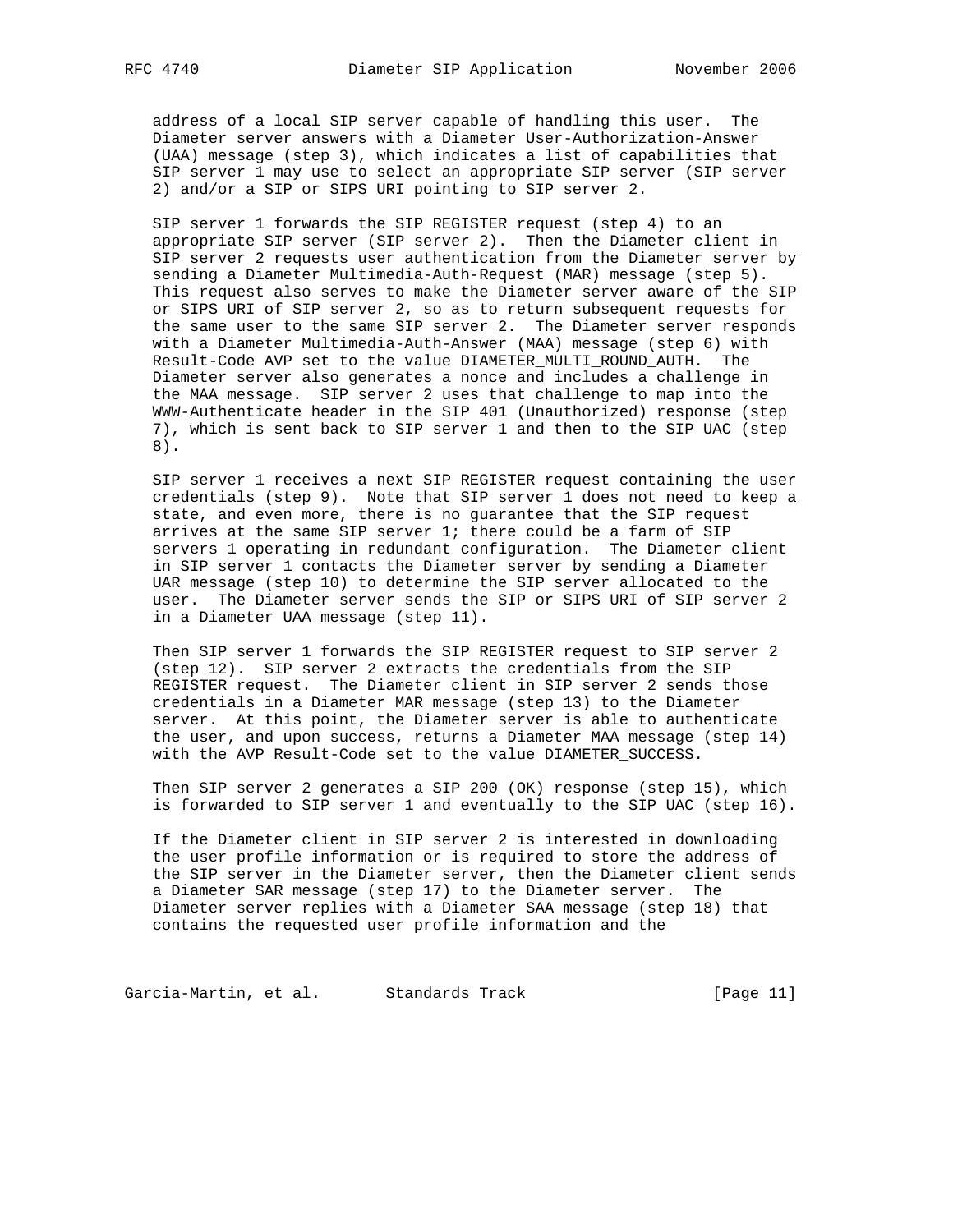address of a local SIP server capable of handling this user. The Diameter server answers with a Diameter User-Authorization-Answer (UAA) message (step 3), which indicates a list of capabilities that SIP server 1 may use to select an appropriate SIP server (SIP server 2) and/or a SIP or SIPS URI pointing to SIP server 2.

 SIP server 1 forwards the SIP REGISTER request (step 4) to an appropriate SIP server (SIP server 2). Then the Diameter client in SIP server 2 requests user authentication from the Diameter server by sending a Diameter Multimedia-Auth-Request (MAR) message (step 5). This request also serves to make the Diameter server aware of the SIP or SIPS URI of SIP server 2, so as to return subsequent requests for the same user to the same SIP server 2. The Diameter server responds with a Diameter Multimedia-Auth-Answer (MAA) message (step 6) with Result-Code AVP set to the value DIAMETER\_MULTI\_ROUND\_AUTH. The Diameter server also generates a nonce and includes a challenge in the MAA message. SIP server 2 uses that challenge to map into the WWW-Authenticate header in the SIP 401 (Unauthorized) response (step 7), which is sent back to SIP server 1 and then to the SIP UAC (step 8).

 SIP server 1 receives a next SIP REGISTER request containing the user credentials (step 9). Note that SIP server 1 does not need to keep a state, and even more, there is no guarantee that the SIP request arrives at the same SIP server 1; there could be a farm of SIP servers 1 operating in redundant configuration. The Diameter client in SIP server 1 contacts the Diameter server by sending a Diameter UAR message (step 10) to determine the SIP server allocated to the user. The Diameter server sends the SIP or SIPS URI of SIP server 2 in a Diameter UAA message (step 11).

 Then SIP server 1 forwards the SIP REGISTER request to SIP server 2 (step 12). SIP server 2 extracts the credentials from the SIP REGISTER request. The Diameter client in SIP server 2 sends those credentials in a Diameter MAR message (step 13) to the Diameter server. At this point, the Diameter server is able to authenticate the user, and upon success, returns a Diameter MAA message (step 14) with the AVP Result-Code set to the value DIAMETER\_SUCCESS.

 Then SIP server 2 generates a SIP 200 (OK) response (step 15), which is forwarded to SIP server 1 and eventually to the SIP UAC (step 16).

 If the Diameter client in SIP server 2 is interested in downloading the user profile information or is required to store the address of the SIP server in the Diameter server, then the Diameter client sends a Diameter SAR message (step 17) to the Diameter server. The Diameter server replies with a Diameter SAA message (step 18) that contains the requested user profile information and the

Garcia-Martin, et al. Standards Track [Page 11]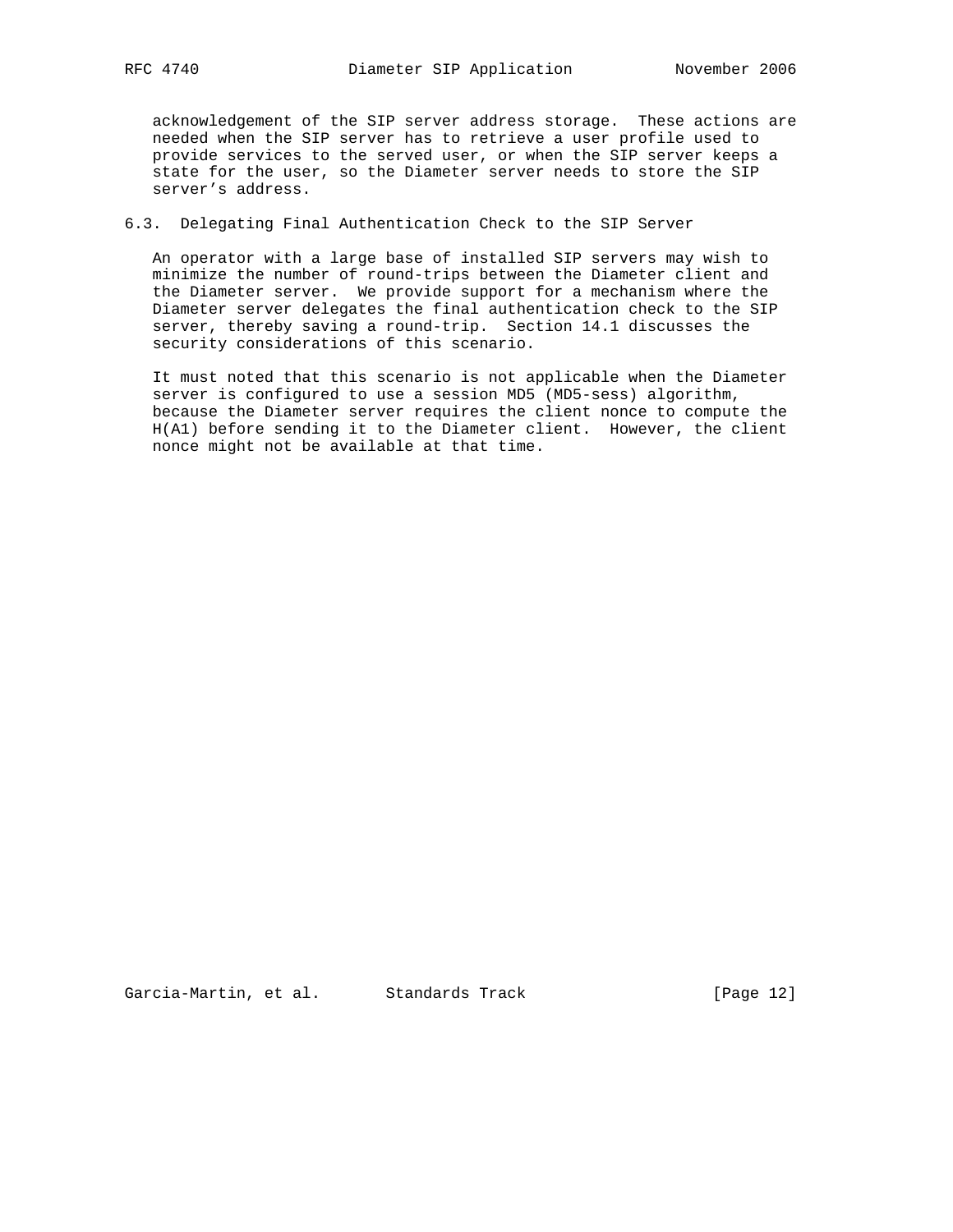acknowledgement of the SIP server address storage. These actions are needed when the SIP server has to retrieve a user profile used to provide services to the served user, or when the SIP server keeps a state for the user, so the Diameter server needs to store the SIP server's address.

# 6.3. Delegating Final Authentication Check to the SIP Server

 An operator with a large base of installed SIP servers may wish to minimize the number of round-trips between the Diameter client and the Diameter server. We provide support for a mechanism where the Diameter server delegates the final authentication check to the SIP server, thereby saving a round-trip. Section 14.1 discusses the security considerations of this scenario.

 It must noted that this scenario is not applicable when the Diameter server is configured to use a session MD5 (MD5-sess) algorithm, because the Diameter server requires the client nonce to compute the H(A1) before sending it to the Diameter client. However, the client nonce might not be available at that time.

Garcia-Martin, et al. Standards Track [Page 12]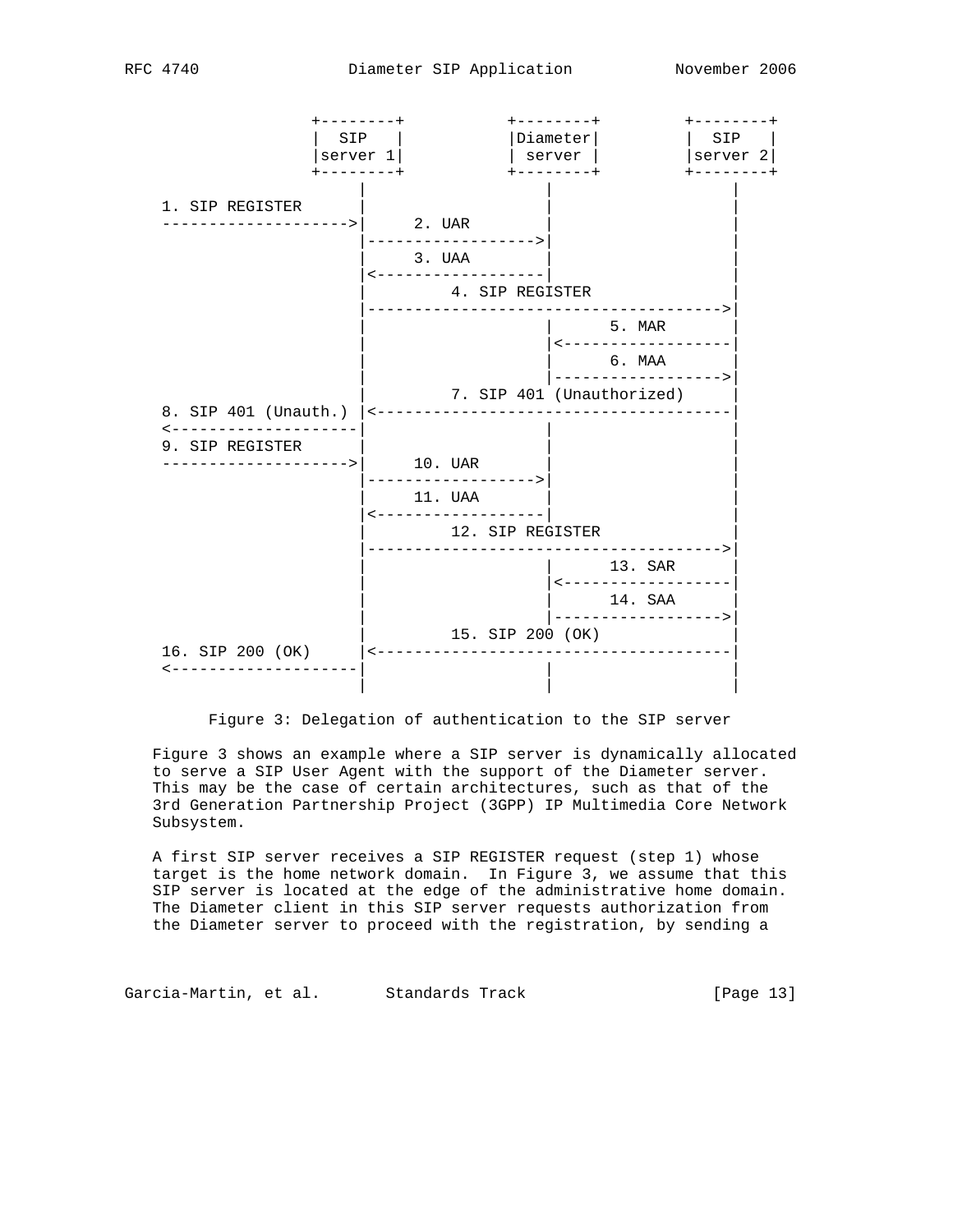

Figure 3: Delegation of authentication to the SIP server

 Figure 3 shows an example where a SIP server is dynamically allocated to serve a SIP User Agent with the support of the Diameter server. This may be the case of certain architectures, such as that of the 3rd Generation Partnership Project (3GPP) IP Multimedia Core Network Subsystem.

 A first SIP server receives a SIP REGISTER request (step 1) whose target is the home network domain. In Figure 3, we assume that this SIP server is located at the edge of the administrative home domain. The Diameter client in this SIP server requests authorization from the Diameter server to proceed with the registration, by sending a

Garcia-Martin, et al. Standards Track [Page 13]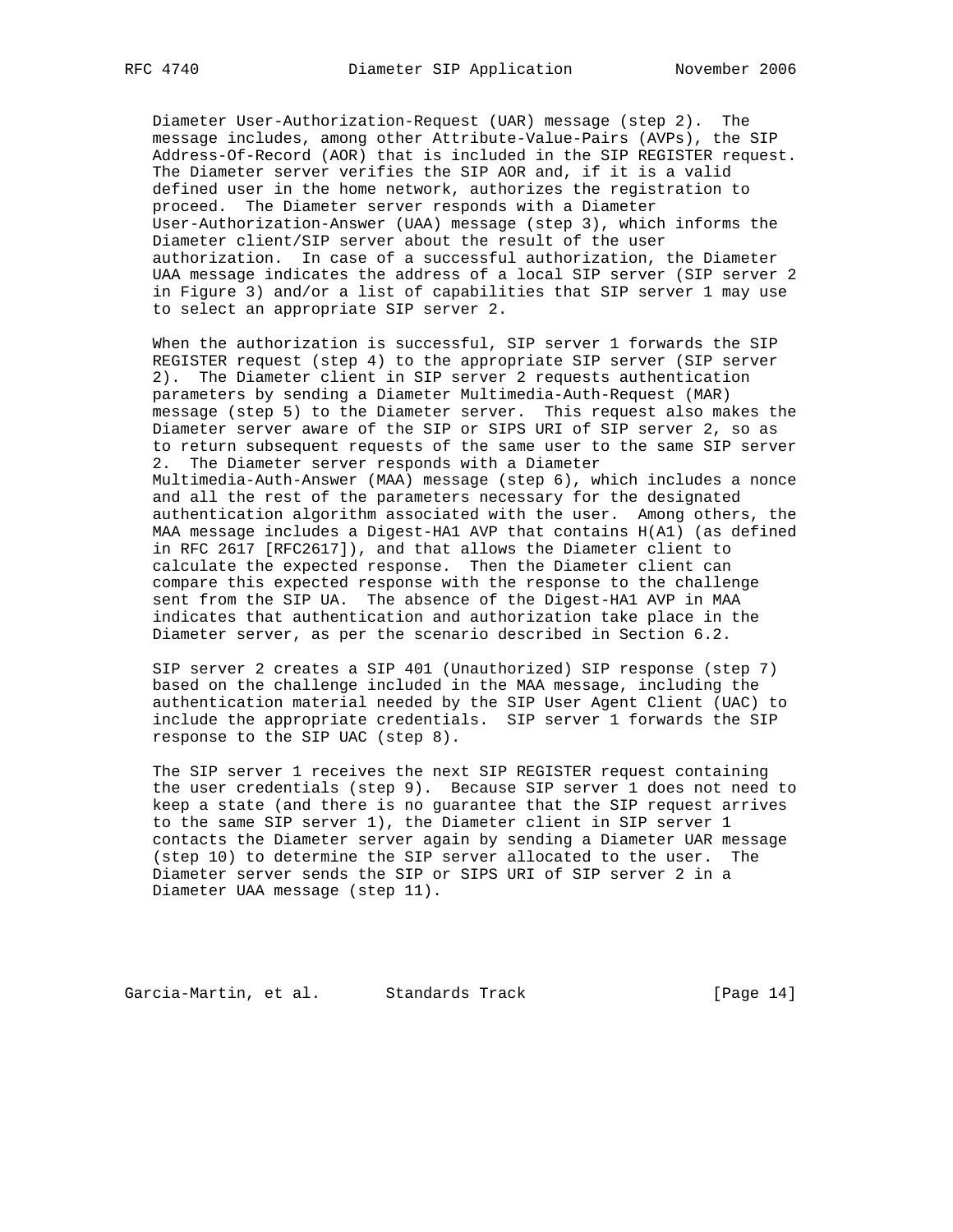Diameter User-Authorization-Request (UAR) message (step 2). The message includes, among other Attribute-Value-Pairs (AVPs), the SIP Address-Of-Record (AOR) that is included in the SIP REGISTER request. The Diameter server verifies the SIP AOR and, if it is a valid defined user in the home network, authorizes the registration to proceed. The Diameter server responds with a Diameter User-Authorization-Answer (UAA) message (step 3), which informs the Diameter client/SIP server about the result of the user authorization. In case of a successful authorization, the Diameter UAA message indicates the address of a local SIP server (SIP server 2 in Figure 3) and/or a list of capabilities that SIP server 1 may use to select an appropriate SIP server 2.

 When the authorization is successful, SIP server 1 forwards the SIP REGISTER request (step 4) to the appropriate SIP server (SIP server 2). The Diameter client in SIP server 2 requests authentication parameters by sending a Diameter Multimedia-Auth-Request (MAR) message (step 5) to the Diameter server. This request also makes the Diameter server aware of the SIP or SIPS URI of SIP server 2, so as to return subsequent requests of the same user to the same SIP server 2. The Diameter server responds with a Diameter Multimedia-Auth-Answer (MAA) message (step 6), which includes a nonce and all the rest of the parameters necessary for the designated authentication algorithm associated with the user. Among others, the MAA message includes a Digest-HA1 AVP that contains H(A1) (as defined in RFC 2617 [RFC2617]), and that allows the Diameter client to calculate the expected response. Then the Diameter client can compare this expected response with the response to the challenge sent from the SIP UA. The absence of the Digest-HA1 AVP in MAA indicates that authentication and authorization take place in the Diameter server, as per the scenario described in Section 6.2.

 SIP server 2 creates a SIP 401 (Unauthorized) SIP response (step 7) based on the challenge included in the MAA message, including the authentication material needed by the SIP User Agent Client (UAC) to include the appropriate credentials. SIP server 1 forwards the SIP response to the SIP UAC (step 8).

 The SIP server 1 receives the next SIP REGISTER request containing the user credentials (step 9). Because SIP server 1 does not need to keep a state (and there is no guarantee that the SIP request arrives to the same SIP server 1), the Diameter client in SIP server 1 contacts the Diameter server again by sending a Diameter UAR message (step 10) to determine the SIP server allocated to the user. The Diameter server sends the SIP or SIPS URI of SIP server 2 in a Diameter UAA message (step 11).

Garcia-Martin, et al. Standards Track [Page 14]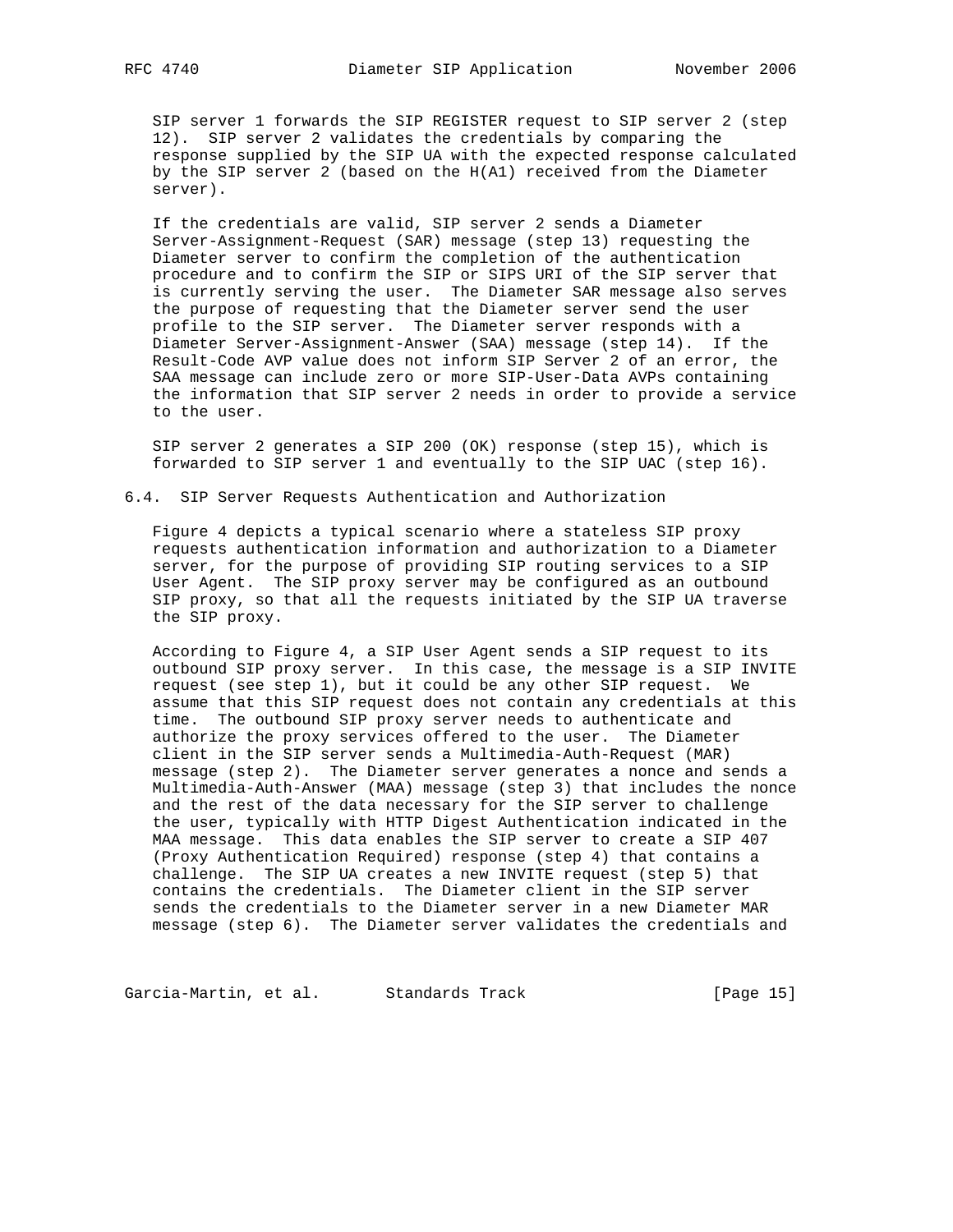SIP server 1 forwards the SIP REGISTER request to SIP server 2 (step 12). SIP server 2 validates the credentials by comparing the response supplied by the SIP UA with the expected response calculated by the SIP server 2 (based on the H(A1) received from the Diameter server).

 If the credentials are valid, SIP server 2 sends a Diameter Server-Assignment-Request (SAR) message (step 13) requesting the Diameter server to confirm the completion of the authentication procedure and to confirm the SIP or SIPS URI of the SIP server that is currently serving the user. The Diameter SAR message also serves the purpose of requesting that the Diameter server send the user profile to the SIP server. The Diameter server responds with a Diameter Server-Assignment-Answer (SAA) message (step 14). If the Result-Code AVP value does not inform SIP Server 2 of an error, the SAA message can include zero or more SIP-User-Data AVPs containing the information that SIP server 2 needs in order to provide a service to the user.

 SIP server 2 generates a SIP 200 (OK) response (step 15), which is forwarded to SIP server 1 and eventually to the SIP UAC (step 16).

## 6.4. SIP Server Requests Authentication and Authorization

 Figure 4 depicts a typical scenario where a stateless SIP proxy requests authentication information and authorization to a Diameter server, for the purpose of providing SIP routing services to a SIP User Agent. The SIP proxy server may be configured as an outbound SIP proxy, so that all the requests initiated by the SIP UA traverse the SIP proxy.

 According to Figure 4, a SIP User Agent sends a SIP request to its outbound SIP proxy server. In this case, the message is a SIP INVITE request (see step 1), but it could be any other SIP request. We assume that this SIP request does not contain any credentials at this time. The outbound SIP proxy server needs to authenticate and authorize the proxy services offered to the user. The Diameter client in the SIP server sends a Multimedia-Auth-Request (MAR) message (step 2). The Diameter server generates a nonce and sends a Multimedia-Auth-Answer (MAA) message (step 3) that includes the nonce and the rest of the data necessary for the SIP server to challenge the user, typically with HTTP Digest Authentication indicated in the MAA message. This data enables the SIP server to create a SIP 407 (Proxy Authentication Required) response (step 4) that contains a challenge. The SIP UA creates a new INVITE request (step 5) that contains the credentials. The Diameter client in the SIP server sends the credentials to the Diameter server in a new Diameter MAR message (step 6). The Diameter server validates the credentials and

Garcia-Martin, et al. Standards Track [Page 15]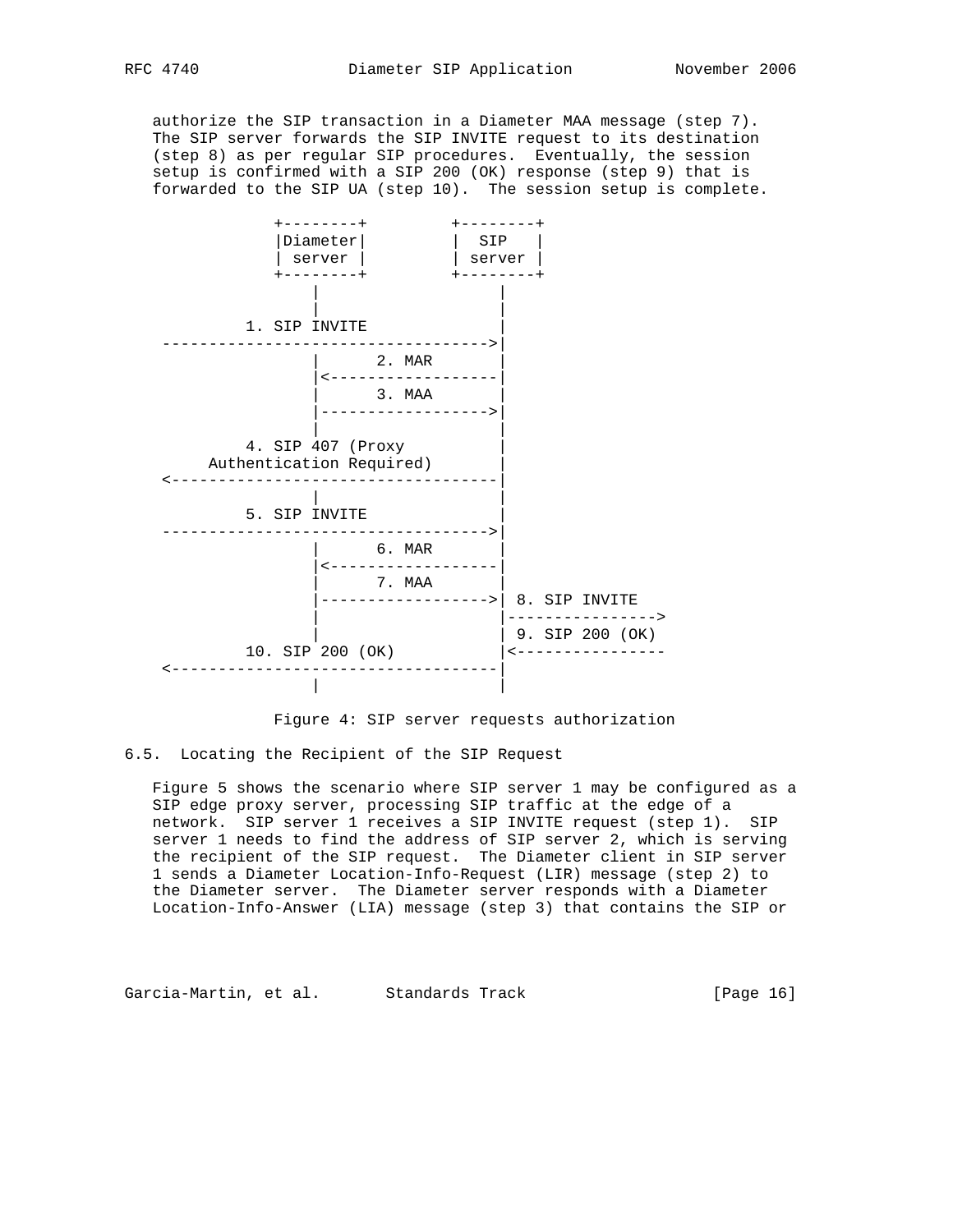authorize the SIP transaction in a Diameter MAA message (step 7). The SIP server forwards the SIP INVITE request to its destination (step 8) as per regular SIP procedures. Eventually, the session setup is confirmed with a SIP 200 (OK) response (step 9) that is forwarded to the SIP UA (step 10). The session setup is complete.



Figure 4: SIP server requests authorization

6.5. Locating the Recipient of the SIP Request

 Figure 5 shows the scenario where SIP server 1 may be configured as a SIP edge proxy server, processing SIP traffic at the edge of a network. SIP server 1 receives a SIP INVITE request (step 1). SIP server 1 needs to find the address of SIP server 2, which is serving the recipient of the SIP request. The Diameter client in SIP server 1 sends a Diameter Location-Info-Request (LIR) message (step 2) to the Diameter server. The Diameter server responds with a Diameter Location-Info-Answer (LIA) message (step 3) that contains the SIP or

Garcia-Martin, et al. Standards Track [Page 16]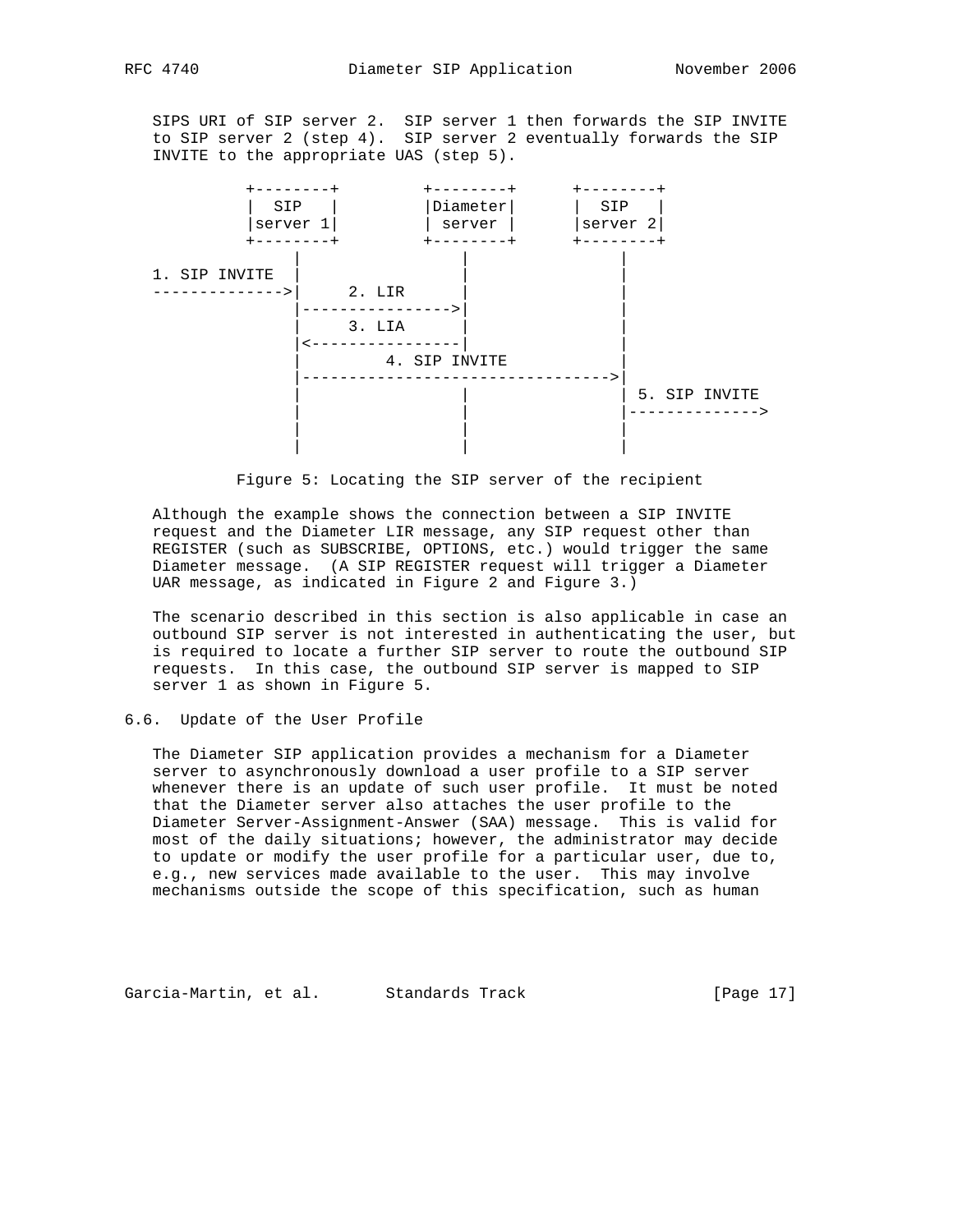SIPS URI of SIP server 2. SIP server 1 then forwards the SIP INVITE to SIP server 2 (step 4). SIP server 2 eventually forwards the SIP INVITE to the appropriate UAS (step 5).





 Although the example shows the connection between a SIP INVITE request and the Diameter LIR message, any SIP request other than REGISTER (such as SUBSCRIBE, OPTIONS, etc.) would trigger the same Diameter message. (A SIP REGISTER request will trigger a Diameter UAR message, as indicated in Figure 2 and Figure 3.)

 The scenario described in this section is also applicable in case an outbound SIP server is not interested in authenticating the user, but is required to locate a further SIP server to route the outbound SIP requests. In this case, the outbound SIP server is mapped to SIP server 1 as shown in Figure 5.

# 6.6. Update of the User Profile

 The Diameter SIP application provides a mechanism for a Diameter server to asynchronously download a user profile to a SIP server whenever there is an update of such user profile. It must be noted that the Diameter server also attaches the user profile to the Diameter Server-Assignment-Answer (SAA) message. This is valid for most of the daily situations; however, the administrator may decide to update or modify the user profile for a particular user, due to, e.g., new services made available to the user. This may involve mechanisms outside the scope of this specification, such as human

Garcia-Martin, et al. Standards Track [Page 17]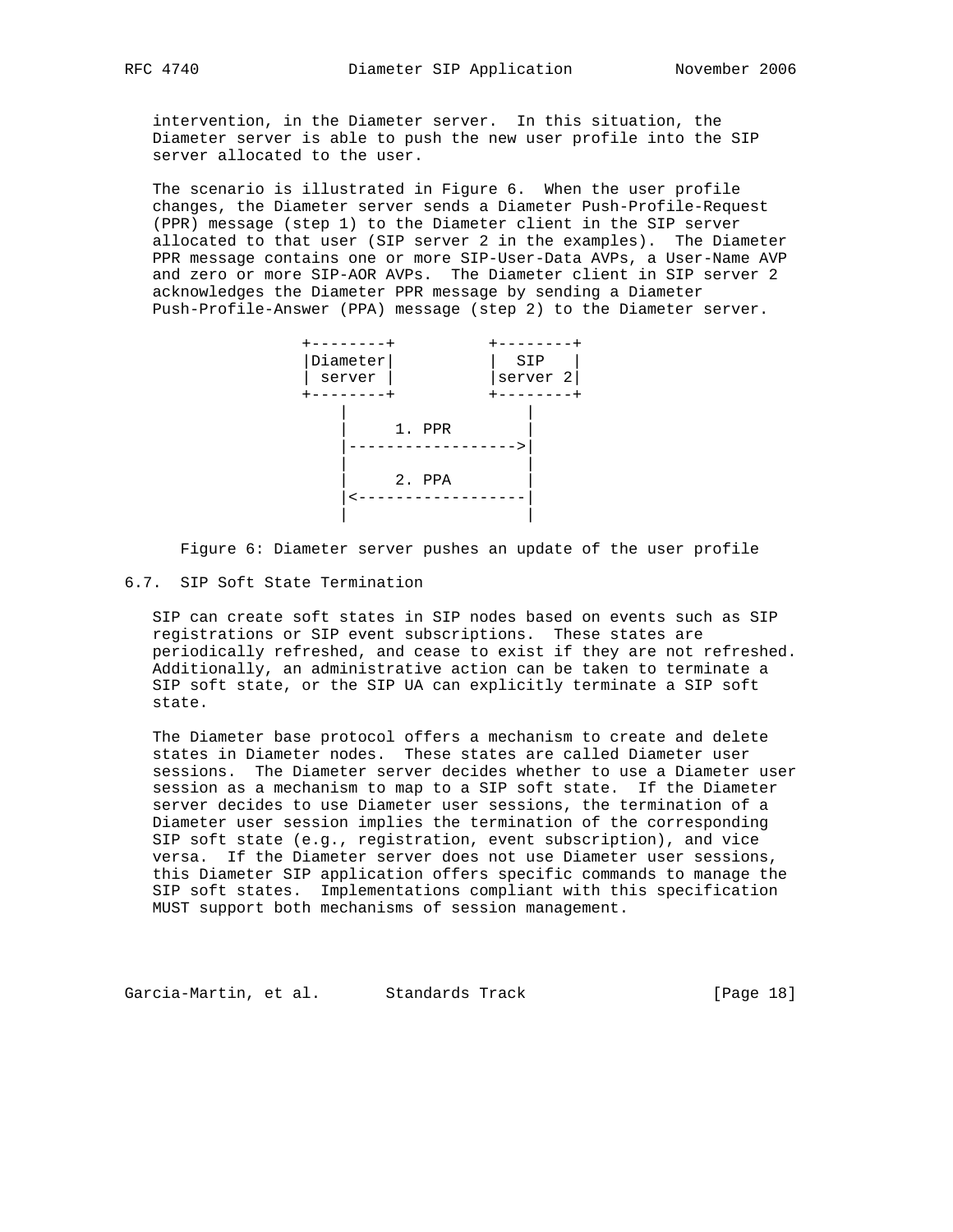intervention, in the Diameter server. In this situation, the Diameter server is able to push the new user profile into the SIP server allocated to the user.

 The scenario is illustrated in Figure 6. When the user profile changes, the Diameter server sends a Diameter Push-Profile-Request (PPR) message (step 1) to the Diameter client in the SIP server allocated to that user (SIP server 2 in the examples). The Diameter PPR message contains one or more SIP-User-Data AVPs, a User-Name AVP and zero or more SIP-AOR AVPs. The Diameter client in SIP server 2 acknowledges the Diameter PPR message by sending a Diameter Push-Profile-Answer (PPA) message (step 2) to the Diameter server.



Figure 6: Diameter server pushes an update of the user profile

## 6.7. SIP Soft State Termination

 SIP can create soft states in SIP nodes based on events such as SIP registrations or SIP event subscriptions. These states are periodically refreshed, and cease to exist if they are not refreshed. Additionally, an administrative action can be taken to terminate a SIP soft state, or the SIP UA can explicitly terminate a SIP soft state.

 The Diameter base protocol offers a mechanism to create and delete states in Diameter nodes. These states are called Diameter user sessions. The Diameter server decides whether to use a Diameter user session as a mechanism to map to a SIP soft state. If the Diameter server decides to use Diameter user sessions, the termination of a Diameter user session implies the termination of the corresponding SIP soft state (e.g., registration, event subscription), and vice versa. If the Diameter server does not use Diameter user sessions, this Diameter SIP application offers specific commands to manage the SIP soft states. Implementations compliant with this specification MUST support both mechanisms of session management.

Garcia-Martin, et al. Standards Track [Page 18]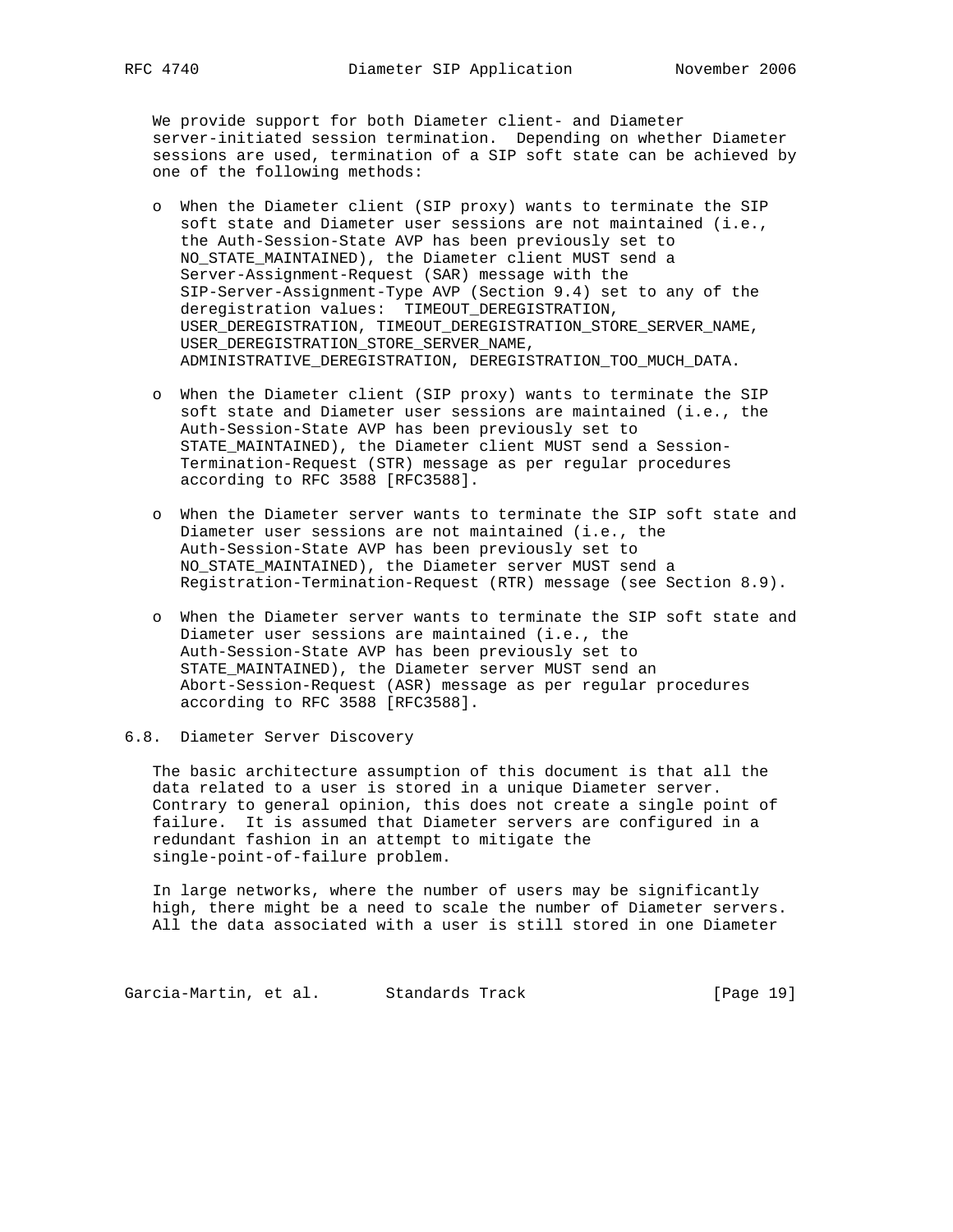We provide support for both Diameter client- and Diameter server-initiated session termination. Depending on whether Diameter sessions are used, termination of a SIP soft state can be achieved by one of the following methods:

- o When the Diameter client (SIP proxy) wants to terminate the SIP soft state and Diameter user sessions are not maintained (i.e., the Auth-Session-State AVP has been previously set to NO\_STATE\_MAINTAINED), the Diameter client MUST send a Server-Assignment-Request (SAR) message with the SIP-Server-Assignment-Type AVP (Section 9.4) set to any of the deregistration values: TIMEOUT\_DEREGISTRATION, USER\_DEREGISTRATION, TIMEOUT\_DEREGISTRATION\_STORE\_SERVER\_NAME, USER\_DEREGISTRATION\_STORE\_SERVER\_NAME, ADMINISTRATIVE\_DEREGISTRATION, DEREGISTRATION\_TOO\_MUCH\_DATA.
- o When the Diameter client (SIP proxy) wants to terminate the SIP soft state and Diameter user sessions are maintained (i.e., the Auth-Session-State AVP has been previously set to STATE\_MAINTAINED), the Diameter client MUST send a Session- Termination-Request (STR) message as per regular procedures according to RFC 3588 [RFC3588].
- o When the Diameter server wants to terminate the SIP soft state and Diameter user sessions are not maintained (i.e., the Auth-Session-State AVP has been previously set to NO\_STATE\_MAINTAINED), the Diameter server MUST send a Registration-Termination-Request (RTR) message (see Section 8.9).
- o When the Diameter server wants to terminate the SIP soft state and Diameter user sessions are maintained (i.e., the Auth-Session-State AVP has been previously set to STATE\_MAINTAINED), the Diameter server MUST send an Abort-Session-Request (ASR) message as per regular procedures according to RFC 3588 [RFC3588].
- 6.8. Diameter Server Discovery

 The basic architecture assumption of this document is that all the data related to a user is stored in a unique Diameter server. Contrary to general opinion, this does not create a single point of failure. It is assumed that Diameter servers are configured in a redundant fashion in an attempt to mitigate the single-point-of-failure problem.

 In large networks, where the number of users may be significantly high, there might be a need to scale the number of Diameter servers. All the data associated with a user is still stored in one Diameter

Garcia-Martin, et al. Standards Track [Page 19]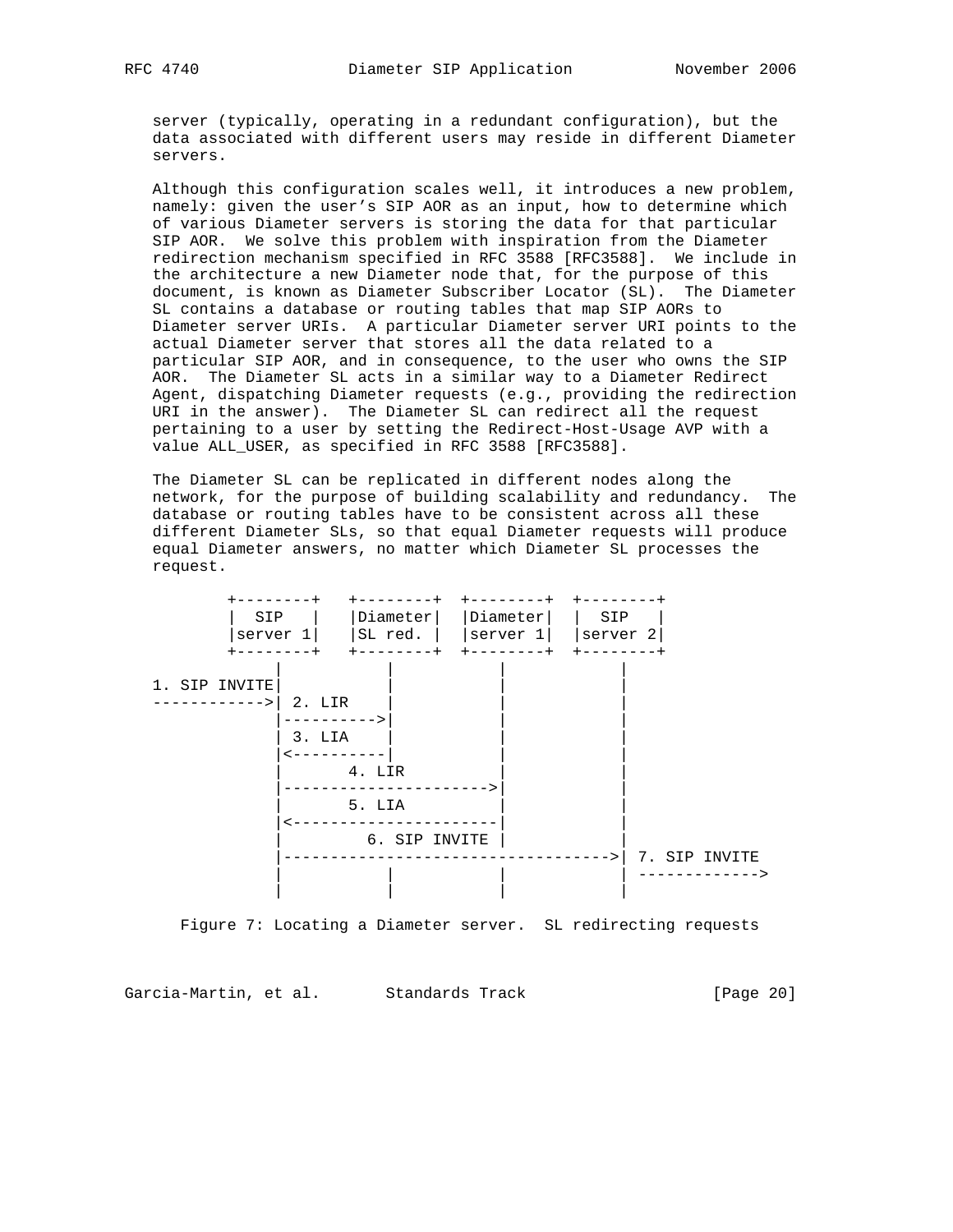server (typically, operating in a redundant configuration), but the data associated with different users may reside in different Diameter servers.

 Although this configuration scales well, it introduces a new problem, namely: given the user's SIP AOR as an input, how to determine which of various Diameter servers is storing the data for that particular SIP AOR. We solve this problem with inspiration from the Diameter redirection mechanism specified in RFC 3588 [RFC3588]. We include in the architecture a new Diameter node that, for the purpose of this document, is known as Diameter Subscriber Locator (SL). The Diameter SL contains a database or routing tables that map SIP AORs to Diameter server URIs. A particular Diameter server URI points to the actual Diameter server that stores all the data related to a particular SIP AOR, and in consequence, to the user who owns the SIP AOR. The Diameter SL acts in a similar way to a Diameter Redirect Agent, dispatching Diameter requests (e.g., providing the redirection URI in the answer). The Diameter SL can redirect all the request pertaining to a user by setting the Redirect-Host-Usage AVP with a value ALL\_USER, as specified in RFC 3588 [RFC3588].

 The Diameter SL can be replicated in different nodes along the network, for the purpose of building scalability and redundancy. The database or routing tables have to be consistent across all these different Diameter SLs, so that equal Diameter requests will produce equal Diameter answers, no matter which Diameter SL processes the request.



Figure 7: Locating a Diameter server. SL redirecting requests

Garcia-Martin, et al. Standards Track [Page 20]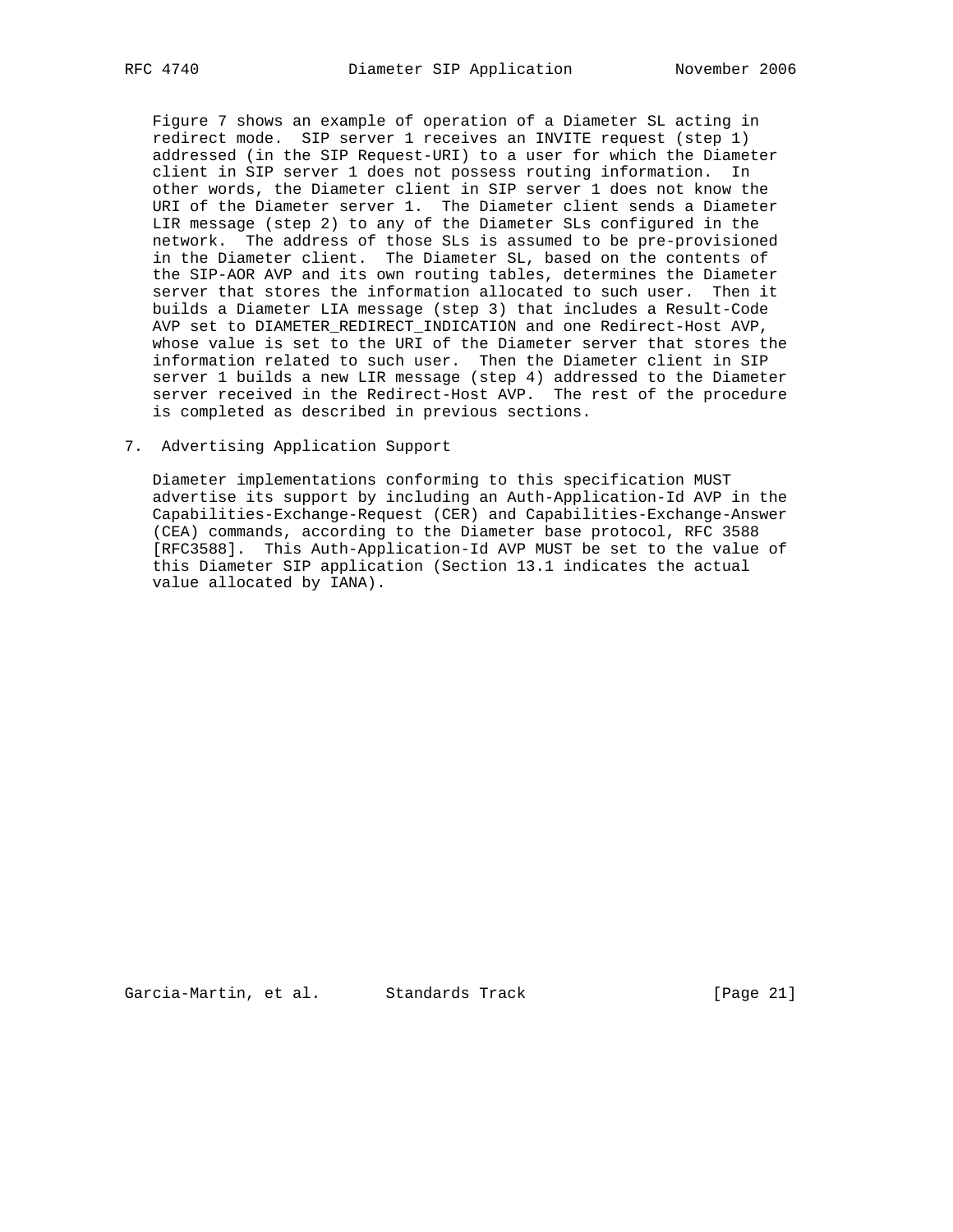Figure 7 shows an example of operation of a Diameter SL acting in redirect mode. SIP server 1 receives an INVITE request (step 1) addressed (in the SIP Request-URI) to a user for which the Diameter client in SIP server 1 does not possess routing information. In other words, the Diameter client in SIP server 1 does not know the URI of the Diameter server 1. The Diameter client sends a Diameter LIR message (step 2) to any of the Diameter SLs configured in the network. The address of those SLs is assumed to be pre-provisioned in the Diameter client. The Diameter SL, based on the contents of the SIP-AOR AVP and its own routing tables, determines the Diameter server that stores the information allocated to such user. Then it builds a Diameter LIA message (step 3) that includes a Result-Code AVP set to DIAMETER\_REDIRECT\_INDICATION and one Redirect-Host AVP, whose value is set to the URI of the Diameter server that stores the information related to such user. Then the Diameter client in SIP server 1 builds a new LIR message (step 4) addressed to the Diameter server received in the Redirect-Host AVP. The rest of the procedure is completed as described in previous sections.

7. Advertising Application Support

 Diameter implementations conforming to this specification MUST advertise its support by including an Auth-Application-Id AVP in the Capabilities-Exchange-Request (CER) and Capabilities-Exchange-Answer (CEA) commands, according to the Diameter base protocol, RFC 3588 [RFC3588]. This Auth-Application-Id AVP MUST be set to the value of this Diameter SIP application (Section 13.1 indicates the actual value allocated by IANA).

Garcia-Martin, et al. Standards Track [Page 21]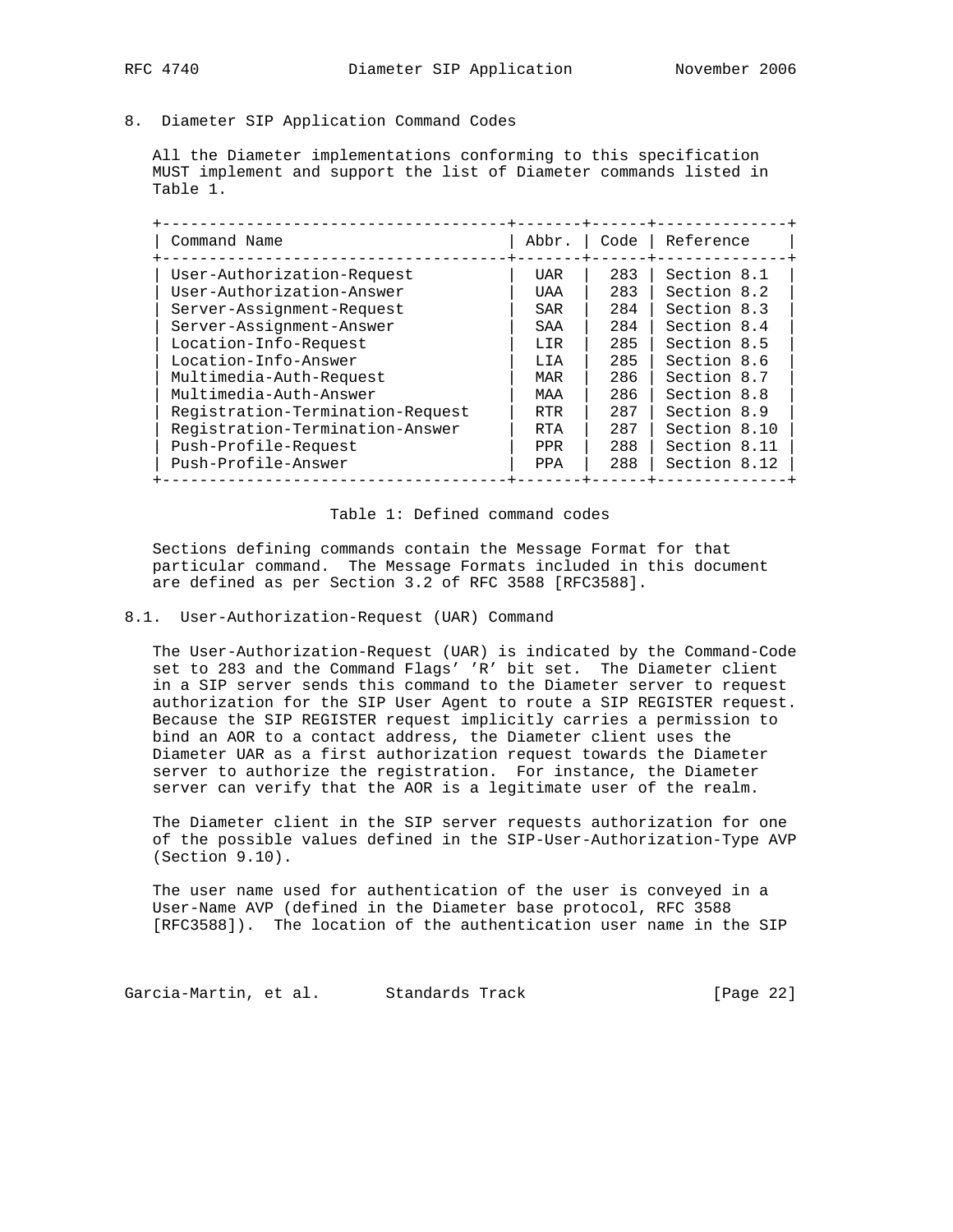# 8. Diameter SIP Application Command Codes

 All the Diameter implementations conforming to this specification MUST implement and support the list of Diameter commands listed in Table 1.

| Command Name                     | Abbr.      | Code | Reference    |
|----------------------------------|------------|------|--------------|
| User-Authorization-Request       | UAR        | 283  | Section 8.1  |
| User-Authorization-Answer        | UAA        | 283  | Section 8.2  |
| Server-Assignment-Request        | SAR        | 284  | Section 8.3  |
| Server-Assignment-Answer         | SAA        | 284  | Section 8.4  |
| Location-Info-Request            | LIR        | 285  | Section 8.5  |
| Location-Info-Answer             | LIA        | 285  | Section 8.6  |
| Multimedia-Auth-Request          | MAR        | 286  | Section 8.7  |
| Multimedia-Auth-Answer           | MAA        | 286  | Section 8.8  |
| Registration-Termination-Request | RTR        | 287  | Section 8.9  |
| Registration-Termination-Answer  | RTA        | 287  | Section 8.10 |
| Push-Profile-Request             | <b>PPR</b> | 288  | Section 8.11 |
| Push-Profile-Answer              | PPA        | 288  | Section 8.12 |

# Table 1: Defined command codes

 Sections defining commands contain the Message Format for that particular command. The Message Formats included in this document are defined as per Section 3.2 of RFC 3588 [RFC3588].

## 8.1. User-Authorization-Request (UAR) Command

 The User-Authorization-Request (UAR) is indicated by the Command-Code set to 283 and the Command Flags' 'R' bit set. The Diameter client in a SIP server sends this command to the Diameter server to request authorization for the SIP User Agent to route a SIP REGISTER request. Because the SIP REGISTER request implicitly carries a permission to bind an AOR to a contact address, the Diameter client uses the Diameter UAR as a first authorization request towards the Diameter server to authorize the registration. For instance, the Diameter server can verify that the AOR is a legitimate user of the realm.

 The Diameter client in the SIP server requests authorization for one of the possible values defined in the SIP-User-Authorization-Type AVP (Section 9.10).

 The user name used for authentication of the user is conveyed in a User-Name AVP (defined in the Diameter base protocol, RFC 3588 [RFC3588]). The location of the authentication user name in the SIP

Garcia-Martin, et al. Standards Track [Page 22]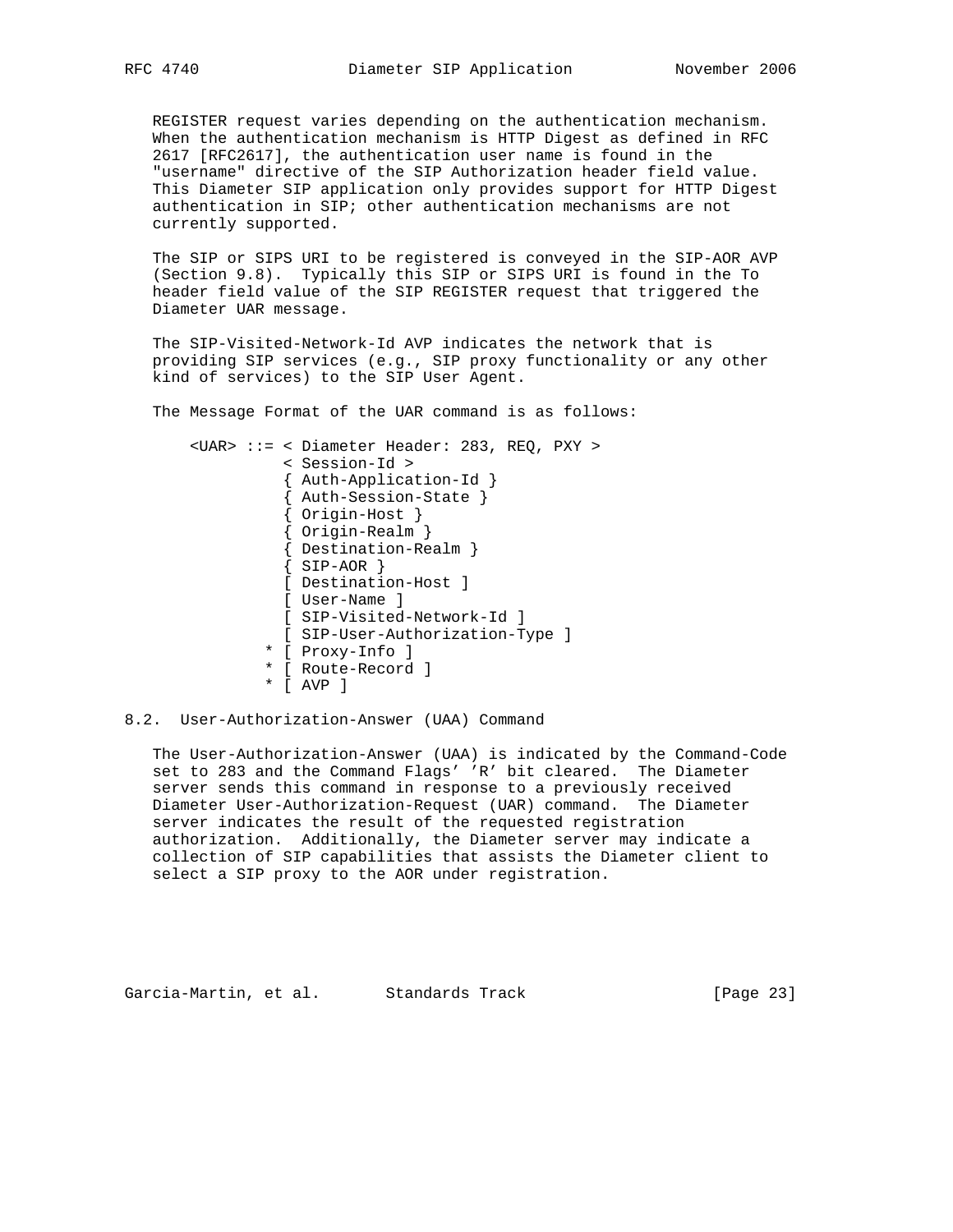REGISTER request varies depending on the authentication mechanism. When the authentication mechanism is HTTP Digest as defined in RFC 2617 [RFC2617], the authentication user name is found in the "username" directive of the SIP Authorization header field value. This Diameter SIP application only provides support for HTTP Digest authentication in SIP; other authentication mechanisms are not currently supported.

 The SIP or SIPS URI to be registered is conveyed in the SIP-AOR AVP (Section 9.8). Typically this SIP or SIPS URI is found in the To header field value of the SIP REGISTER request that triggered the Diameter UAR message.

 The SIP-Visited-Network-Id AVP indicates the network that is providing SIP services (e.g., SIP proxy functionality or any other kind of services) to the SIP User Agent.

The Message Format of the UAR command is as follows:

 <UAR> ::= < Diameter Header: 283, REQ, PXY > < Session-Id > { Auth-Application-Id } { Auth-Session-State } { Origin-Host } { Origin-Realm } { Destination-Realm }  $\{SIP-AOR\}$  [ Destination-Host ] [ User-Name ] [ SIP-Visited-Network-Id ] [ SIP-User-Authorization-Type ] \* [ Proxy-Info ] \* [ Route-Record ] \* [ AVP ]

## 8.2. User-Authorization-Answer (UAA) Command

 The User-Authorization-Answer (UAA) is indicated by the Command-Code set to 283 and the Command Flags' 'R' bit cleared. The Diameter server sends this command in response to a previously received Diameter User-Authorization-Request (UAR) command. The Diameter server indicates the result of the requested registration authorization. Additionally, the Diameter server may indicate a collection of SIP capabilities that assists the Diameter client to select a SIP proxy to the AOR under registration.

Garcia-Martin, et al. Standards Track [Page 23]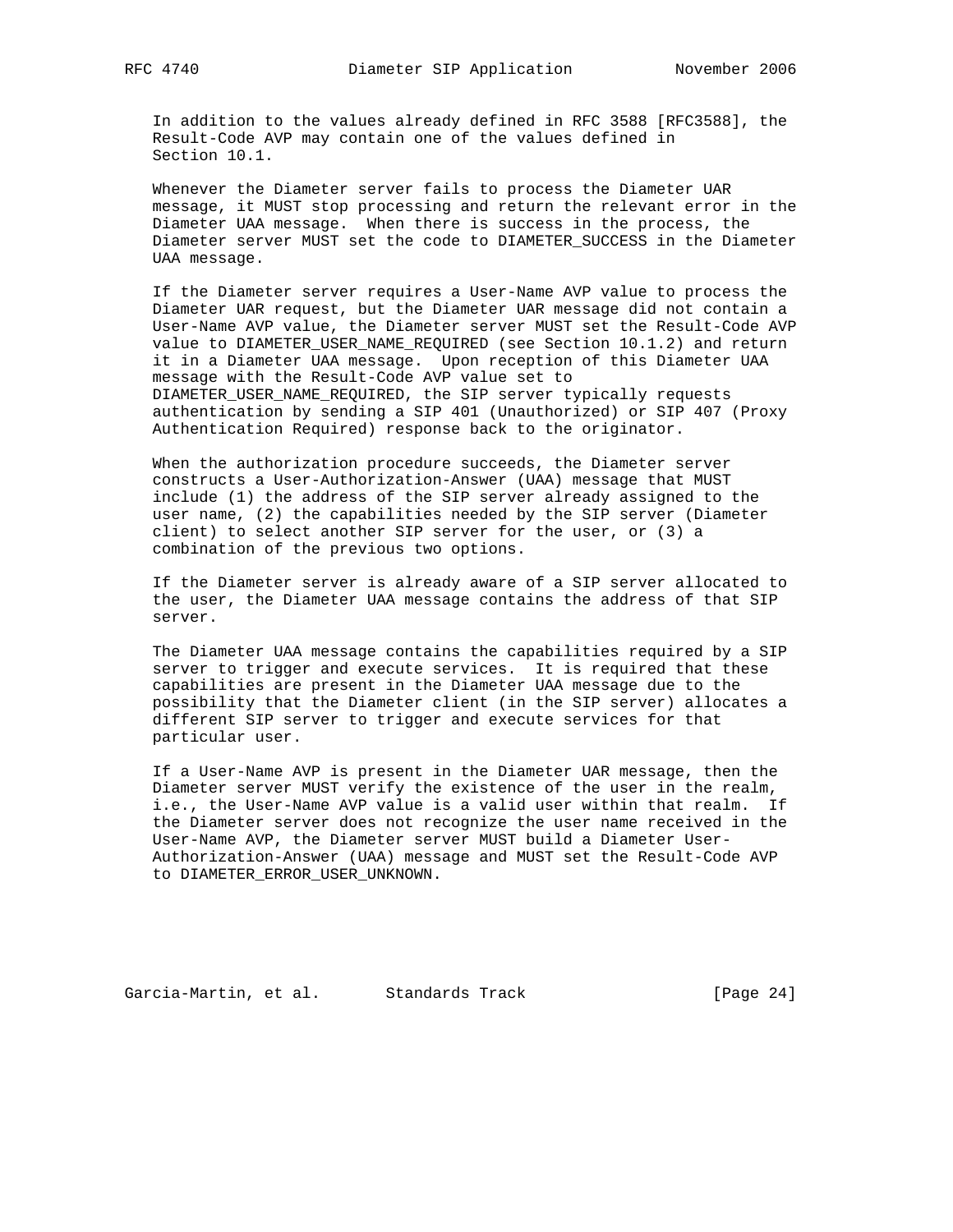In addition to the values already defined in RFC 3588 [RFC3588], the Result-Code AVP may contain one of the values defined in Section 10.1.

 Whenever the Diameter server fails to process the Diameter UAR message, it MUST stop processing and return the relevant error in the Diameter UAA message. When there is success in the process, the Diameter server MUST set the code to DIAMETER\_SUCCESS in the Diameter UAA message.

 If the Diameter server requires a User-Name AVP value to process the Diameter UAR request, but the Diameter UAR message did not contain a User-Name AVP value, the Diameter server MUST set the Result-Code AVP value to DIAMETER\_USER\_NAME\_REQUIRED (see Section 10.1.2) and return it in a Diameter UAA message. Upon reception of this Diameter UAA message with the Result-Code AVP value set to DIAMETER\_USER\_NAME\_REQUIRED, the SIP server typically requests authentication by sending a SIP 401 (Unauthorized) or SIP 407 (Proxy Authentication Required) response back to the originator.

 When the authorization procedure succeeds, the Diameter server constructs a User-Authorization-Answer (UAA) message that MUST include (1) the address of the SIP server already assigned to the user name, (2) the capabilities needed by the SIP server (Diameter client) to select another SIP server for the user, or (3) a combination of the previous two options.

 If the Diameter server is already aware of a SIP server allocated to the user, the Diameter UAA message contains the address of that SIP server.

 The Diameter UAA message contains the capabilities required by a SIP server to trigger and execute services. It is required that these capabilities are present in the Diameter UAA message due to the possibility that the Diameter client (in the SIP server) allocates a different SIP server to trigger and execute services for that particular user.

 If a User-Name AVP is present in the Diameter UAR message, then the Diameter server MUST verify the existence of the user in the realm, i.e., the User-Name AVP value is a valid user within that realm. If the Diameter server does not recognize the user name received in the User-Name AVP, the Diameter server MUST build a Diameter User- Authorization-Answer (UAA) message and MUST set the Result-Code AVP to DIAMETER\_ERROR\_USER\_UNKNOWN.

Garcia-Martin, et al. Standards Track [Page 24]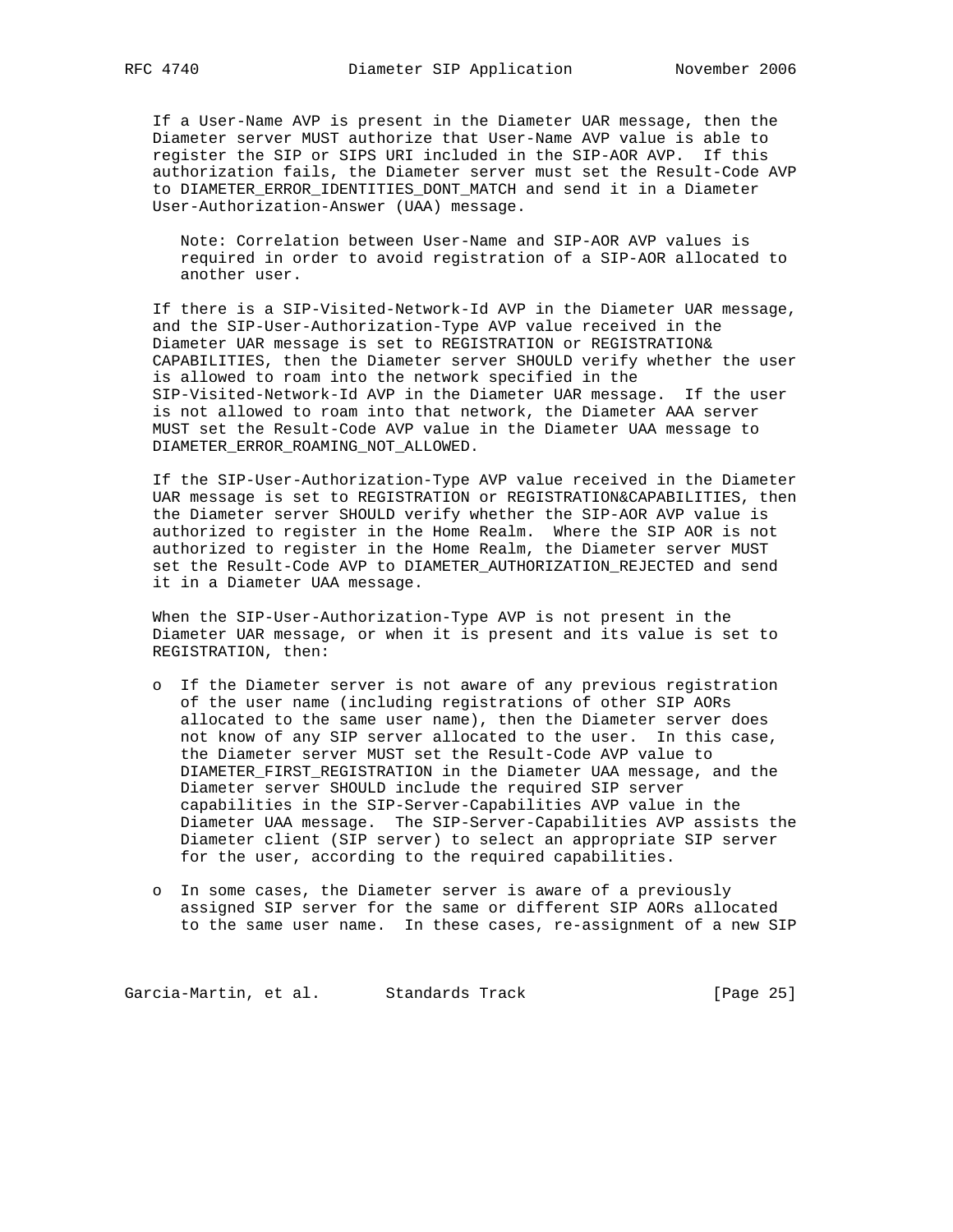If a User-Name AVP is present in the Diameter UAR message, then the Diameter server MUST authorize that User-Name AVP value is able to register the SIP or SIPS URI included in the SIP-AOR AVP. If this authorization fails, the Diameter server must set the Result-Code AVP to DIAMETER\_ERROR\_IDENTITIES\_DONT\_MATCH and send it in a Diameter User-Authorization-Answer (UAA) message.

 Note: Correlation between User-Name and SIP-AOR AVP values is required in order to avoid registration of a SIP-AOR allocated to another user.

 If there is a SIP-Visited-Network-Id AVP in the Diameter UAR message, and the SIP-User-Authorization-Type AVP value received in the Diameter UAR message is set to REGISTRATION or REGISTRATION& CAPABILITIES, then the Diameter server SHOULD verify whether the user is allowed to roam into the network specified in the SIP-Visited-Network-Id AVP in the Diameter UAR message. If the user is not allowed to roam into that network, the Diameter AAA server MUST set the Result-Code AVP value in the Diameter UAA message to DIAMETER\_ERROR\_ROAMING\_NOT\_ALLOWED.

 If the SIP-User-Authorization-Type AVP value received in the Diameter UAR message is set to REGISTRATION or REGISTRATION&CAPABILITIES, then the Diameter server SHOULD verify whether the SIP-AOR AVP value is authorized to register in the Home Realm. Where the SIP AOR is not authorized to register in the Home Realm, the Diameter server MUST set the Result-Code AVP to DIAMETER\_AUTHORIZATION\_REJECTED and send it in a Diameter UAA message.

 When the SIP-User-Authorization-Type AVP is not present in the Diameter UAR message, or when it is present and its value is set to REGISTRATION, then:

- o If the Diameter server is not aware of any previous registration of the user name (including registrations of other SIP AORs allocated to the same user name), then the Diameter server does not know of any SIP server allocated to the user. In this case, the Diameter server MUST set the Result-Code AVP value to DIAMETER\_FIRST\_REGISTRATION in the Diameter UAA message, and the Diameter server SHOULD include the required SIP server capabilities in the SIP-Server-Capabilities AVP value in the Diameter UAA message. The SIP-Server-Capabilities AVP assists the Diameter client (SIP server) to select an appropriate SIP server for the user, according to the required capabilities.
- o In some cases, the Diameter server is aware of a previously assigned SIP server for the same or different SIP AORs allocated to the same user name. In these cases, re-assignment of a new SIP

Garcia-Martin, et al. Standards Track [Page 25]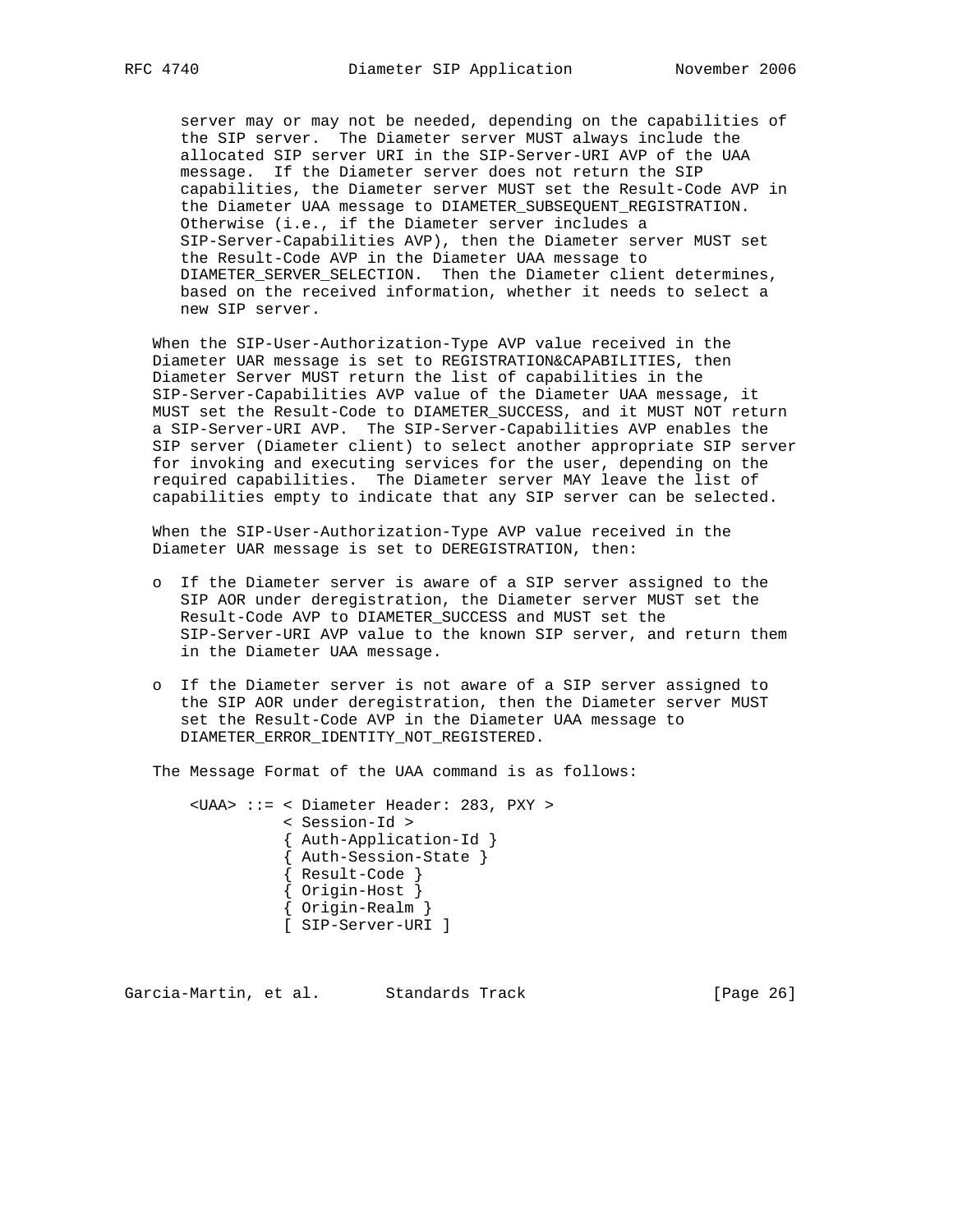server may or may not be needed, depending on the capabilities of the SIP server. The Diameter server MUST always include the allocated SIP server URI in the SIP-Server-URI AVP of the UAA message. If the Diameter server does not return the SIP capabilities, the Diameter server MUST set the Result-Code AVP in the Diameter UAA message to DIAMETER\_SUBSEQUENT\_REGISTRATION. Otherwise (i.e., if the Diameter server includes a SIP-Server-Capabilities AVP), then the Diameter server MUST set the Result-Code AVP in the Diameter UAA message to DIAMETER SERVER SELECTION. Then the Diameter client determines, based on the received information, whether it needs to select a new SIP server.

 When the SIP-User-Authorization-Type AVP value received in the Diameter UAR message is set to REGISTRATION&CAPABILITIES, then Diameter Server MUST return the list of capabilities in the SIP-Server-Capabilities AVP value of the Diameter UAA message, it MUST set the Result-Code to DIAMETER\_SUCCESS, and it MUST NOT return a SIP-Server-URI AVP. The SIP-Server-Capabilities AVP enables the SIP server (Diameter client) to select another appropriate SIP server for invoking and executing services for the user, depending on the required capabilities. The Diameter server MAY leave the list of capabilities empty to indicate that any SIP server can be selected.

 When the SIP-User-Authorization-Type AVP value received in the Diameter UAR message is set to DEREGISTRATION, then:

- o If the Diameter server is aware of a SIP server assigned to the SIP AOR under deregistration, the Diameter server MUST set the Result-Code AVP to DIAMETER\_SUCCESS and MUST set the SIP-Server-URI AVP value to the known SIP server, and return them in the Diameter UAA message.
- o If the Diameter server is not aware of a SIP server assigned to the SIP AOR under deregistration, then the Diameter server MUST set the Result-Code AVP in the Diameter UAA message to DIAMETER\_ERROR\_IDENTITY\_NOT\_REGISTERED.

The Message Format of the UAA command is as follows:

 <UAA> ::= < Diameter Header: 283, PXY > < Session-Id > { Auth-Application-Id } { Auth-Session-State } { Result-Code } { Origin-Host } { Origin-Realm } [ SIP-Server-URI ]

Garcia-Martin, et al. Standards Track [Page 26]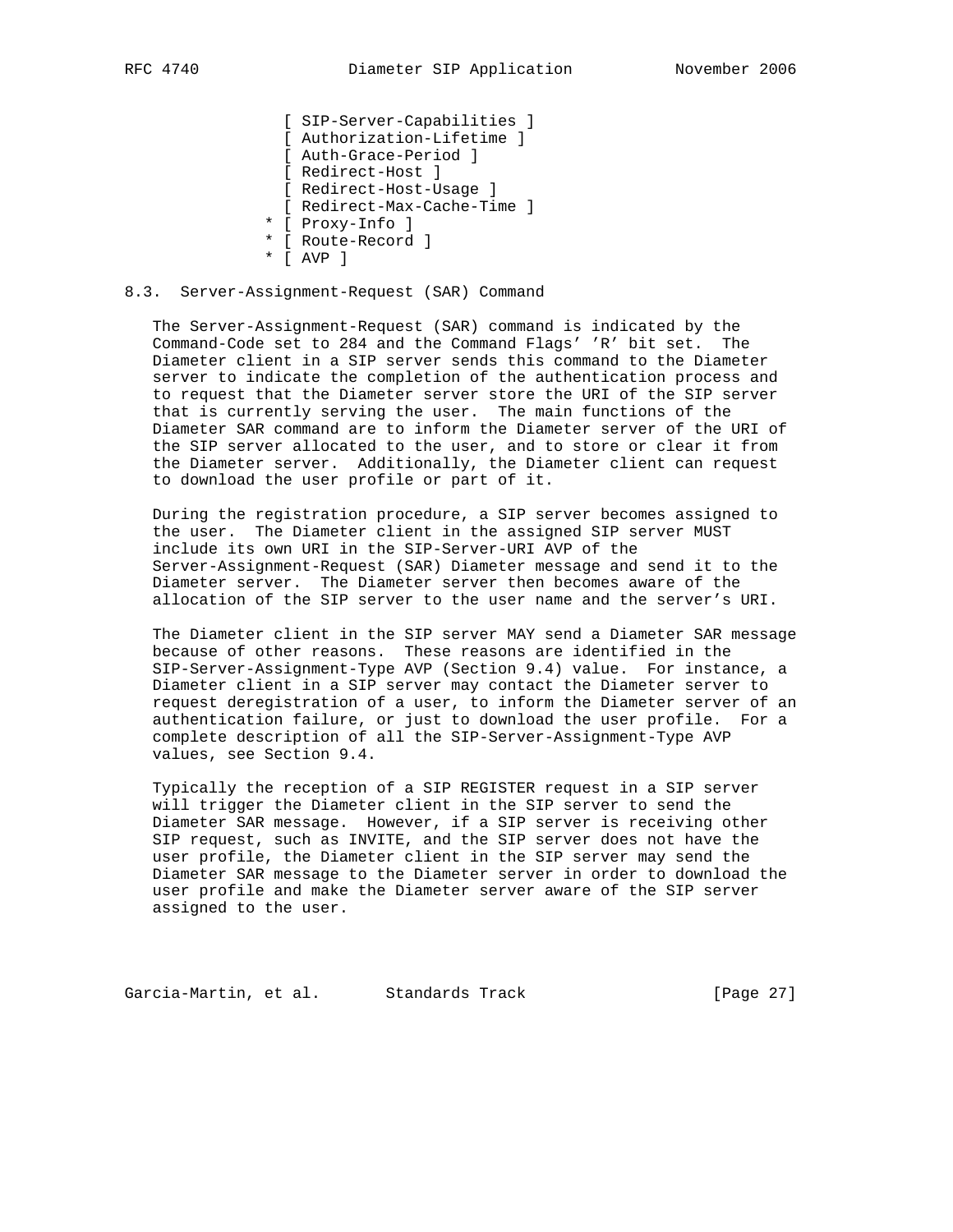[ SIP-Server-Capabilities ] [ Authorization-Lifetime ] [ Auth-Grace-Period ] [ Redirect-Host ] [ Redirect-Host-Usage ] [ Redirect-Max-Cache-Time ] \* [ Proxy-Info ] \* [ Route-Record ] \* [ AVP ]

#### 8.3. Server-Assignment-Request (SAR) Command

 The Server-Assignment-Request (SAR) command is indicated by the Command-Code set to 284 and the Command Flags' 'R' bit set. The Diameter client in a SIP server sends this command to the Diameter server to indicate the completion of the authentication process and to request that the Diameter server store the URI of the SIP server that is currently serving the user. The main functions of the Diameter SAR command are to inform the Diameter server of the URI of the SIP server allocated to the user, and to store or clear it from the Diameter server. Additionally, the Diameter client can request to download the user profile or part of it.

 During the registration procedure, a SIP server becomes assigned to the user. The Diameter client in the assigned SIP server MUST include its own URI in the SIP-Server-URI AVP of the Server-Assignment-Request (SAR) Diameter message and send it to the Diameter server. The Diameter server then becomes aware of the allocation of the SIP server to the user name and the server's URI.

 The Diameter client in the SIP server MAY send a Diameter SAR message because of other reasons. These reasons are identified in the SIP-Server-Assignment-Type AVP (Section 9.4) value. For instance, a Diameter client in a SIP server may contact the Diameter server to request deregistration of a user, to inform the Diameter server of an authentication failure, or just to download the user profile. For a complete description of all the SIP-Server-Assignment-Type AVP values, see Section 9.4.

 Typically the reception of a SIP REGISTER request in a SIP server will trigger the Diameter client in the SIP server to send the Diameter SAR message. However, if a SIP server is receiving other SIP request, such as INVITE, and the SIP server does not have the user profile, the Diameter client in the SIP server may send the Diameter SAR message to the Diameter server in order to download the user profile and make the Diameter server aware of the SIP server assigned to the user.

Garcia-Martin, et al. Standards Track [Page 27]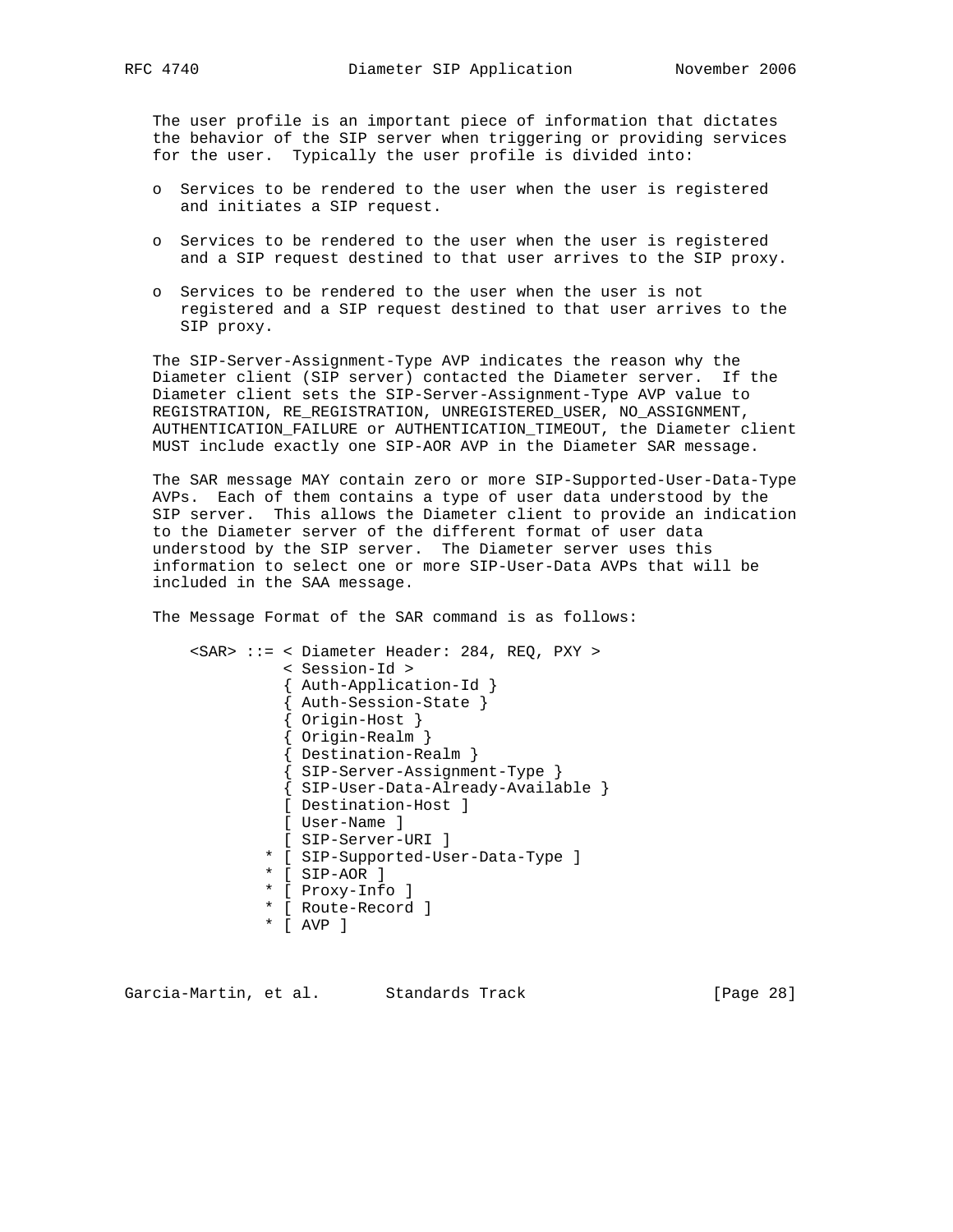The user profile is an important piece of information that dictates the behavior of the SIP server when triggering or providing services for the user. Typically the user profile is divided into:

- o Services to be rendered to the user when the user is registered and initiates a SIP request.
- o Services to be rendered to the user when the user is registered and a SIP request destined to that user arrives to the SIP proxy.
- o Services to be rendered to the user when the user is not registered and a SIP request destined to that user arrives to the SIP proxy.

 The SIP-Server-Assignment-Type AVP indicates the reason why the Diameter client (SIP server) contacted the Diameter server. If the Diameter client sets the SIP-Server-Assignment-Type AVP value to REGISTRATION, RE\_REGISTRATION, UNREGISTERED\_USER, NO\_ASSIGNMENT, AUTHENTICATION\_FAILURE or AUTHENTICATION\_TIMEOUT, the Diameter client MUST include exactly one SIP-AOR AVP in the Diameter SAR message.

 The SAR message MAY contain zero or more SIP-Supported-User-Data-Type AVPs. Each of them contains a type of user data understood by the SIP server. This allows the Diameter client to provide an indication to the Diameter server of the different format of user data understood by the SIP server. The Diameter server uses this information to select one or more SIP-User-Data AVPs that will be included in the SAA message.

The Message Format of the SAR command is as follows:

 <SAR> ::= < Diameter Header: 284, REQ, PXY > < Session-Id > { Auth-Application-Id } { Auth-Session-State } { Origin-Host } { Origin-Realm } { Destination-Realm } { SIP-Server-Assignment-Type } { SIP-User-Data-Already-Available } [ Destination-Host ] [ User-Name ] [ SIP-Server-URI ] \* [ SIP-Supported-User-Data-Type ] \* [ SIP-AOR ] \* [ Proxy-Info ] \* [ Route-Record ]

\* [ AVP ]

Garcia-Martin, et al. Standards Track [Page 28]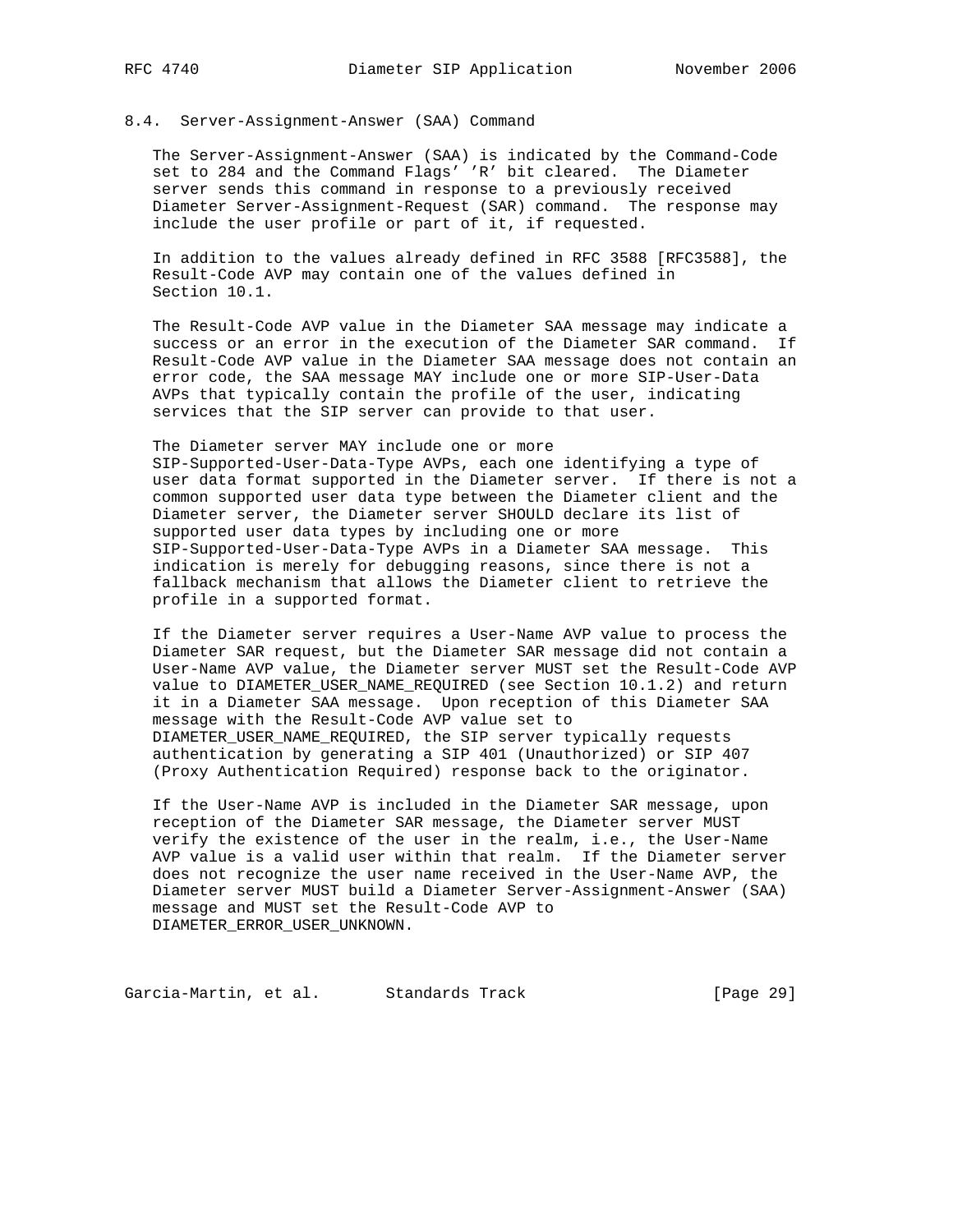#### 8.4. Server-Assignment-Answer (SAA) Command

 The Server-Assignment-Answer (SAA) is indicated by the Command-Code set to 284 and the Command Flags' 'R' bit cleared. The Diameter server sends this command in response to a previously received Diameter Server-Assignment-Request (SAR) command. The response may include the user profile or part of it, if requested.

 In addition to the values already defined in RFC 3588 [RFC3588], the Result-Code AVP may contain one of the values defined in Section 10.1.

 The Result-Code AVP value in the Diameter SAA message may indicate a success or an error in the execution of the Diameter SAR command. If Result-Code AVP value in the Diameter SAA message does not contain an error code, the SAA message MAY include one or more SIP-User-Data AVPs that typically contain the profile of the user, indicating services that the SIP server can provide to that user.

 The Diameter server MAY include one or more SIP-Supported-User-Data-Type AVPs, each one identifying a type of user data format supported in the Diameter server. If there is not a common supported user data type between the Diameter client and the Diameter server, the Diameter server SHOULD declare its list of supported user data types by including one or more SIP-Supported-User-Data-Type AVPs in a Diameter SAA message. This indication is merely for debugging reasons, since there is not a fallback mechanism that allows the Diameter client to retrieve the profile in a supported format.

 If the Diameter server requires a User-Name AVP value to process the Diameter SAR request, but the Diameter SAR message did not contain a User-Name AVP value, the Diameter server MUST set the Result-Code AVP value to DIAMETER USER NAME REQUIRED (see Section 10.1.2) and return it in a Diameter SAA message. Upon reception of this Diameter SAA message with the Result-Code AVP value set to DIAMETER\_USER\_NAME\_REQUIRED, the SIP server typically requests authentication by generating a SIP 401 (Unauthorized) or SIP 407 (Proxy Authentication Required) response back to the originator.

 If the User-Name AVP is included in the Diameter SAR message, upon reception of the Diameter SAR message, the Diameter server MUST verify the existence of the user in the realm, i.e., the User-Name AVP value is a valid user within that realm. If the Diameter server does not recognize the user name received in the User-Name AVP, the Diameter server MUST build a Diameter Server-Assignment-Answer (SAA) message and MUST set the Result-Code AVP to DIAMETER\_ERROR\_USER\_UNKNOWN.

Garcia-Martin, et al. Standards Track [Page 29]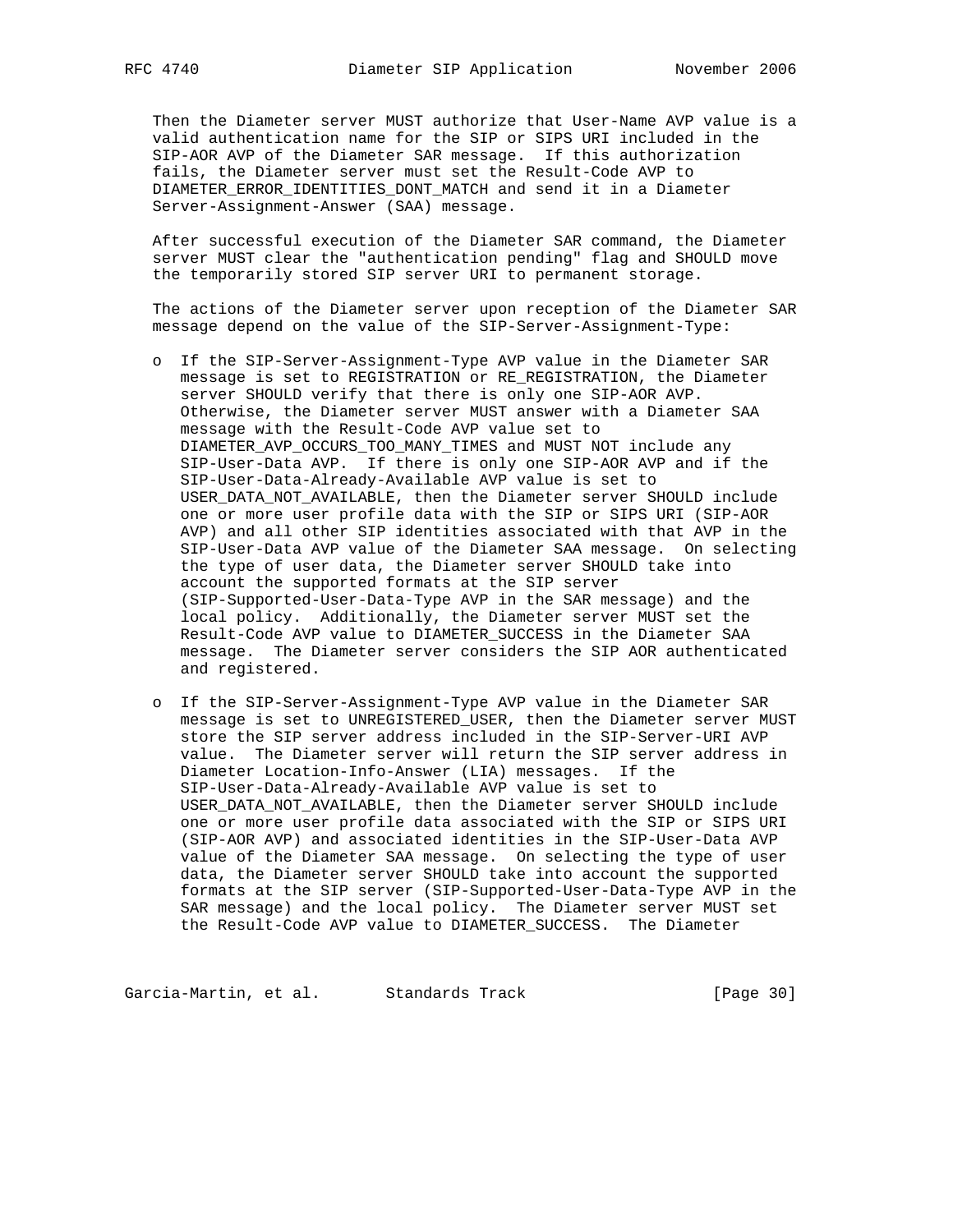Then the Diameter server MUST authorize that User-Name AVP value is a valid authentication name for the SIP or SIPS URI included in the SIP-AOR AVP of the Diameter SAR message. If this authorization fails, the Diameter server must set the Result-Code AVP to DIAMETER\_ERROR\_IDENTITIES\_DONT\_MATCH and send it in a Diameter Server-Assignment-Answer (SAA) message.

 After successful execution of the Diameter SAR command, the Diameter server MUST clear the "authentication pending" flag and SHOULD move the temporarily stored SIP server URI to permanent storage.

 The actions of the Diameter server upon reception of the Diameter SAR message depend on the value of the SIP-Server-Assignment-Type:

- o If the SIP-Server-Assignment-Type AVP value in the Diameter SAR message is set to REGISTRATION or RE\_REGISTRATION, the Diameter server SHOULD verify that there is only one SIP-AOR AVP. Otherwise, the Diameter server MUST answer with a Diameter SAA message with the Result-Code AVP value set to DIAMETER\_AVP\_OCCURS\_TOO\_MANY\_TIMES and MUST NOT include any SIP-User-Data AVP. If there is only one SIP-AOR AVP and if the SIP-User-Data-Already-Available AVP value is set to USER\_DATA\_NOT\_AVAILABLE, then the Diameter server SHOULD include one or more user profile data with the SIP or SIPS URI (SIP-AOR AVP) and all other SIP identities associated with that AVP in the SIP-User-Data AVP value of the Diameter SAA message. On selecting the type of user data, the Diameter server SHOULD take into account the supported formats at the SIP server (SIP-Supported-User-Data-Type AVP in the SAR message) and the local policy. Additionally, the Diameter server MUST set the Result-Code AVP value to DIAMETER\_SUCCESS in the Diameter SAA message. The Diameter server considers the SIP AOR authenticated and registered.
- o If the SIP-Server-Assignment-Type AVP value in the Diameter SAR message is set to UNREGISTERED\_USER, then the Diameter server MUST store the SIP server address included in the SIP-Server-URI AVP value. The Diameter server will return the SIP server address in Diameter Location-Info-Answer (LIA) messages. If the SIP-User-Data-Already-Available AVP value is set to USER\_DATA\_NOT\_AVAILABLE, then the Diameter server SHOULD include one or more user profile data associated with the SIP or SIPS URI (SIP-AOR AVP) and associated identities in the SIP-User-Data AVP value of the Diameter SAA message. On selecting the type of user data, the Diameter server SHOULD take into account the supported formats at the SIP server (SIP-Supported-User-Data-Type AVP in the SAR message) and the local policy. The Diameter server MUST set the Result-Code AVP value to DIAMETER\_SUCCESS. The Diameter

Garcia-Martin, et al. Standards Track [Page 30]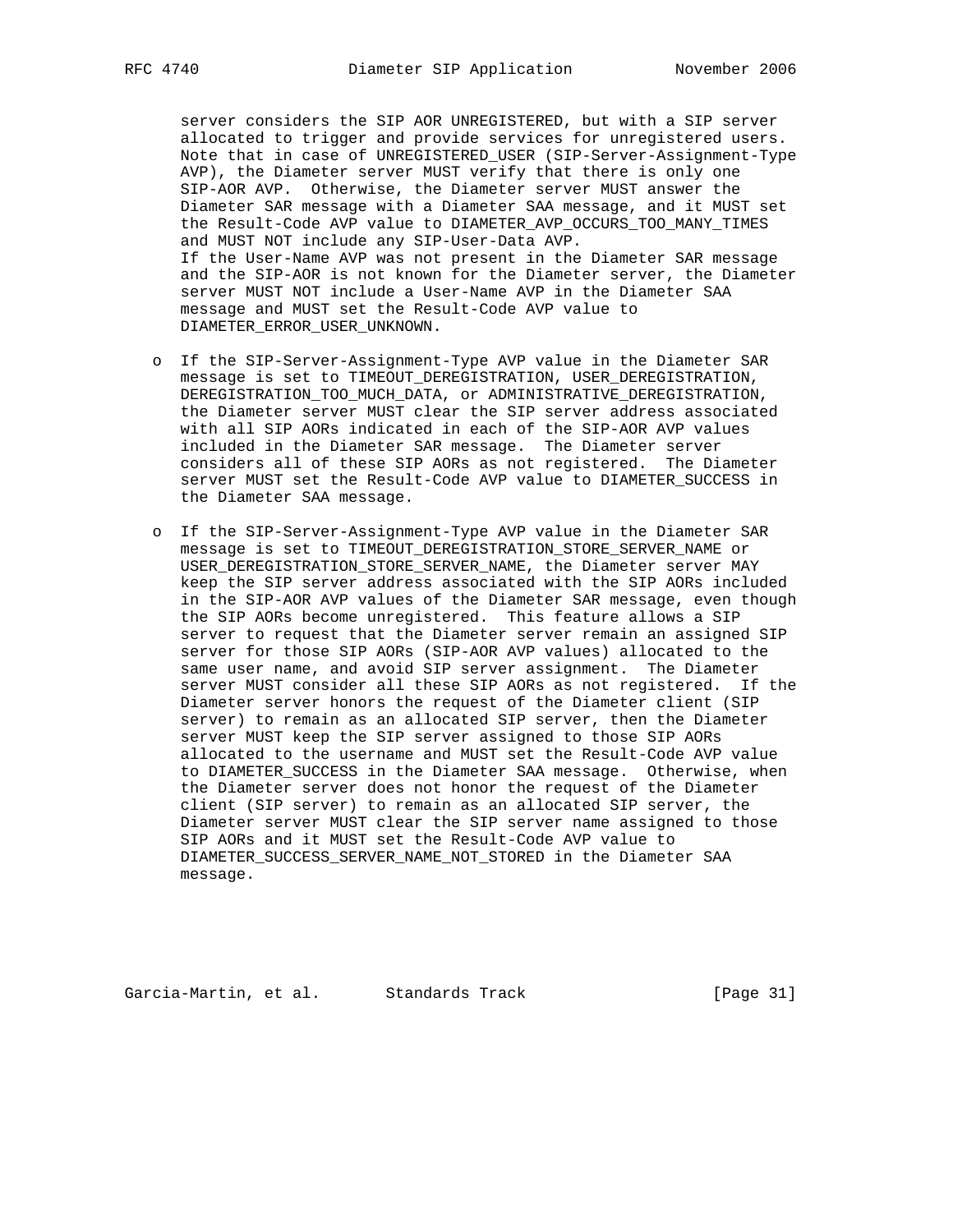server considers the SIP AOR UNREGISTERED, but with a SIP server allocated to trigger and provide services for unregistered users. Note that in case of UNREGISTERED\_USER (SIP-Server-Assignment-Type AVP), the Diameter server MUST verify that there is only one SIP-AOR AVP. Otherwise, the Diameter server MUST answer the Diameter SAR message with a Diameter SAA message, and it MUST set the Result-Code AVP value to DIAMETER\_AVP\_OCCURS\_TOO\_MANY\_TIMES and MUST NOT include any SIP-User-Data AVP. If the User-Name AVP was not present in the Diameter SAR message and the SIP-AOR is not known for the Diameter server, the Diameter server MUST NOT include a User-Name AVP in the Diameter SAA message and MUST set the Result-Code AVP value to DIAMETER\_ERROR\_USER\_UNKNOWN.

- o If the SIP-Server-Assignment-Type AVP value in the Diameter SAR message is set to TIMEOUT\_DEREGISTRATION, USER\_DEREGISTRATION, DEREGISTRATION\_TOO\_MUCH\_DATA, or ADMINISTRATIVE\_DEREGISTRATION, the Diameter server MUST clear the SIP server address associated with all SIP AORs indicated in each of the SIP-AOR AVP values included in the Diameter SAR message. The Diameter server considers all of these SIP AORs as not registered. The Diameter server MUST set the Result-Code AVP value to DIAMETER\_SUCCESS in the Diameter SAA message.
- o If the SIP-Server-Assignment-Type AVP value in the Diameter SAR message is set to TIMEOUT\_DEREGISTRATION\_STORE\_SERVER\_NAME or USER\_DEREGISTRATION\_STORE\_SERVER\_NAME, the Diameter server MAY keep the SIP server address associated with the SIP AORs included in the SIP-AOR AVP values of the Diameter SAR message, even though the SIP AORs become unregistered. This feature allows a SIP server to request that the Diameter server remain an assigned SIP server for those SIP AORs (SIP-AOR AVP values) allocated to the same user name, and avoid SIP server assignment. The Diameter server MUST consider all these SIP AORs as not registered. If the Diameter server honors the request of the Diameter client (SIP server) to remain as an allocated SIP server, then the Diameter server MUST keep the SIP server assigned to those SIP AORs allocated to the username and MUST set the Result-Code AVP value to DIAMETER\_SUCCESS in the Diameter SAA message. Otherwise, when the Diameter server does not honor the request of the Diameter client (SIP server) to remain as an allocated SIP server, the Diameter server MUST clear the SIP server name assigned to those SIP AORs and it MUST set the Result-Code AVP value to DIAMETER\_SUCCESS\_SERVER\_NAME\_NOT\_STORED in the Diameter SAA message.

Garcia-Martin, et al. Standards Track [Page 31]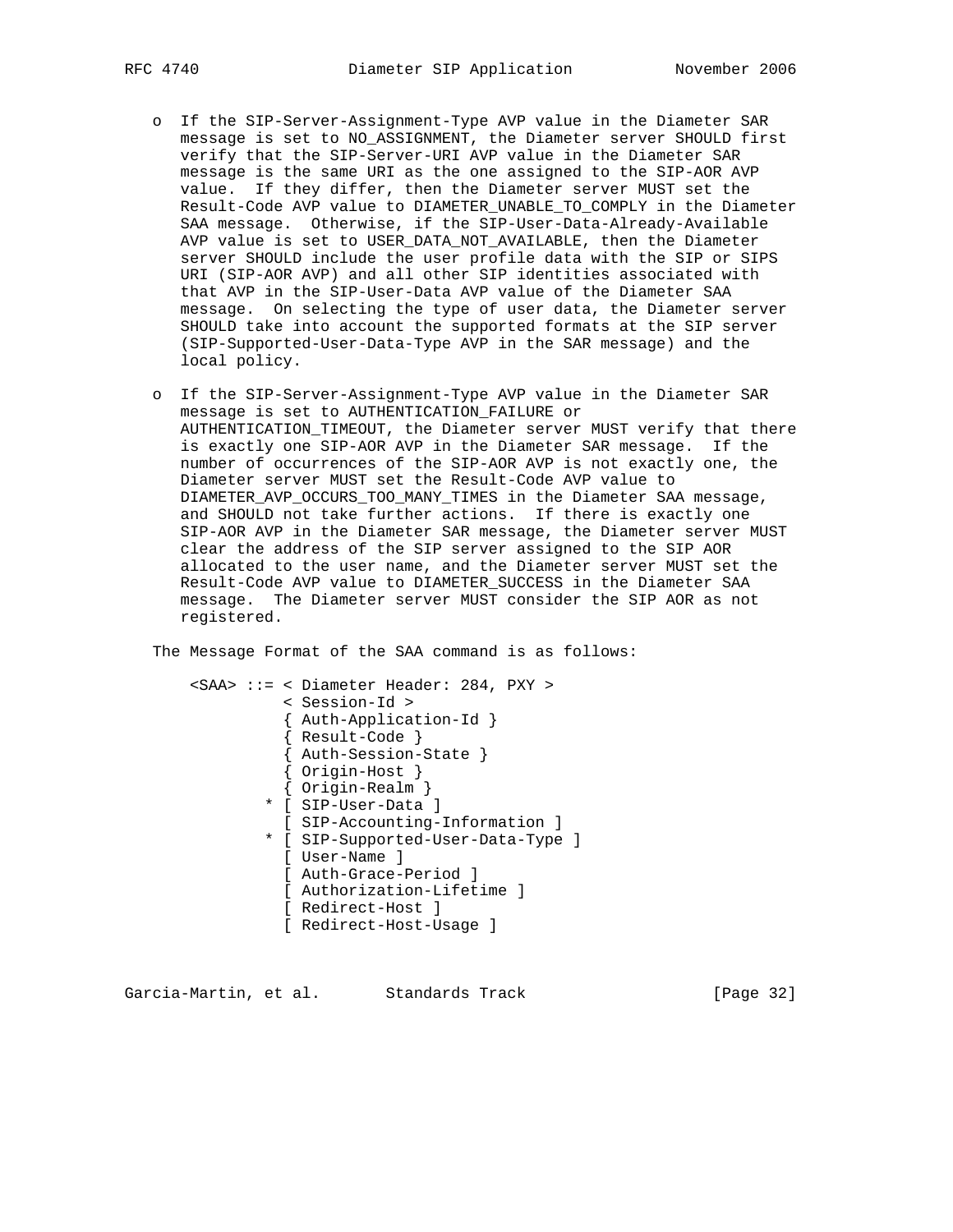- o If the SIP-Server-Assignment-Type AVP value in the Diameter SAR message is set to NO\_ASSIGNMENT, the Diameter server SHOULD first verify that the SIP-Server-URI AVP value in the Diameter SAR message is the same URI as the one assigned to the SIP-AOR AVP value. If they differ, then the Diameter server MUST set the Result-Code AVP value to DIAMETER\_UNABLE\_TO\_COMPLY in the Diameter SAA message. Otherwise, if the SIP-User-Data-Already-Available AVP value is set to USER\_DATA\_NOT\_AVAILABLE, then the Diameter server SHOULD include the user profile data with the SIP or SIPS URI (SIP-AOR AVP) and all other SIP identities associated with that AVP in the SIP-User-Data AVP value of the Diameter SAA message. On selecting the type of user data, the Diameter server SHOULD take into account the supported formats at the SIP server (SIP-Supported-User-Data-Type AVP in the SAR message) and the local policy.
- o If the SIP-Server-Assignment-Type AVP value in the Diameter SAR message is set to AUTHENTICATION\_FAILURE or AUTHENTICATION\_TIMEOUT, the Diameter server MUST verify that there is exactly one SIP-AOR AVP in the Diameter SAR message. If the number of occurrences of the SIP-AOR AVP is not exactly one, the Diameter server MUST set the Result-Code AVP value to DIAMETER\_AVP\_OCCURS\_TOO\_MANY\_TIMES in the Diameter SAA message, and SHOULD not take further actions. If there is exactly one SIP-AOR AVP in the Diameter SAR message, the Diameter server MUST clear the address of the SIP server assigned to the SIP AOR allocated to the user name, and the Diameter server MUST set the Result-Code AVP value to DIAMETER\_SUCCESS in the Diameter SAA message. The Diameter server MUST consider the SIP AOR as not registered.

The Message Format of the SAA command is as follows:

 <SAA> ::= < Diameter Header: 284, PXY > < Session-Id > { Auth-Application-Id } { Result-Code } { Auth-Session-State } { Origin-Host } { Origin-Realm } \* [ SIP-User-Data ] [ SIP-Accounting-Information ] \* [ SIP-Supported-User-Data-Type ] [ User-Name ] [ Auth-Grace-Period ] [ Authorization-Lifetime ] [ Redirect-Host ] [ Redirect-Host-Usage ]

Garcia-Martin, et al. Standards Track (Page 32)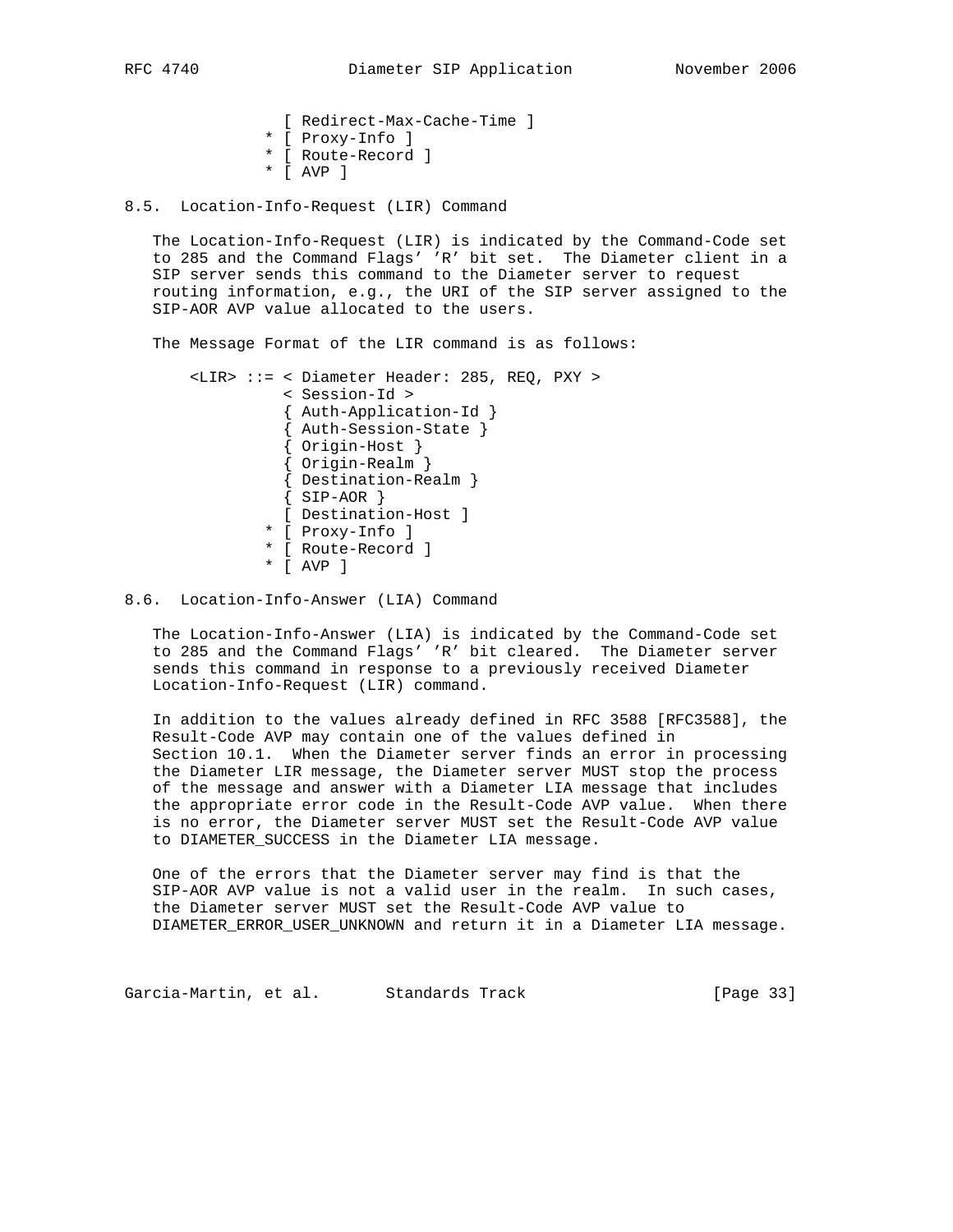```
 [ Redirect-Max-Cache-Time ]
* [ Proxy-Info ]
* [ Route-Record ]
* [ AVP ]
```
8.5. Location-Info-Request (LIR) Command

 The Location-Info-Request (LIR) is indicated by the Command-Code set to 285 and the Command Flags' 'R' bit set. The Diameter client in a SIP server sends this command to the Diameter server to request routing information, e.g., the URI of the SIP server assigned to the SIP-AOR AVP value allocated to the users.

The Message Format of the LIR command is as follows:

```
 <LIR> ::= < Diameter Header: 285, REQ, PXY >
          < Session-Id >
          { Auth-Application-Id }
          { Auth-Session-State }
          { Origin-Host }
          { Origin-Realm }
          { Destination-Realm }
         \{SIP-AOR\} [ Destination-Host ]
        * [ Proxy-Info ]
        * [ Route-Record ]
        * [ AVP ]
```
## 8.6. Location-Info-Answer (LIA) Command

 The Location-Info-Answer (LIA) is indicated by the Command-Code set to 285 and the Command Flags' 'R' bit cleared. The Diameter server sends this command in response to a previously received Diameter Location-Info-Request (LIR) command.

 In addition to the values already defined in RFC 3588 [RFC3588], the Result-Code AVP may contain one of the values defined in Section 10.1. When the Diameter server finds an error in processing the Diameter LIR message, the Diameter server MUST stop the process of the message and answer with a Diameter LIA message that includes the appropriate error code in the Result-Code AVP value. When there is no error, the Diameter server MUST set the Result-Code AVP value to DIAMETER\_SUCCESS in the Diameter LIA message.

 One of the errors that the Diameter server may find is that the SIP-AOR AVP value is not a valid user in the realm. In such cases, the Diameter server MUST set the Result-Code AVP value to DIAMETER\_ERROR\_USER\_UNKNOWN and return it in a Diameter LIA message.

Garcia-Martin, et al. Standards Track [Page 33]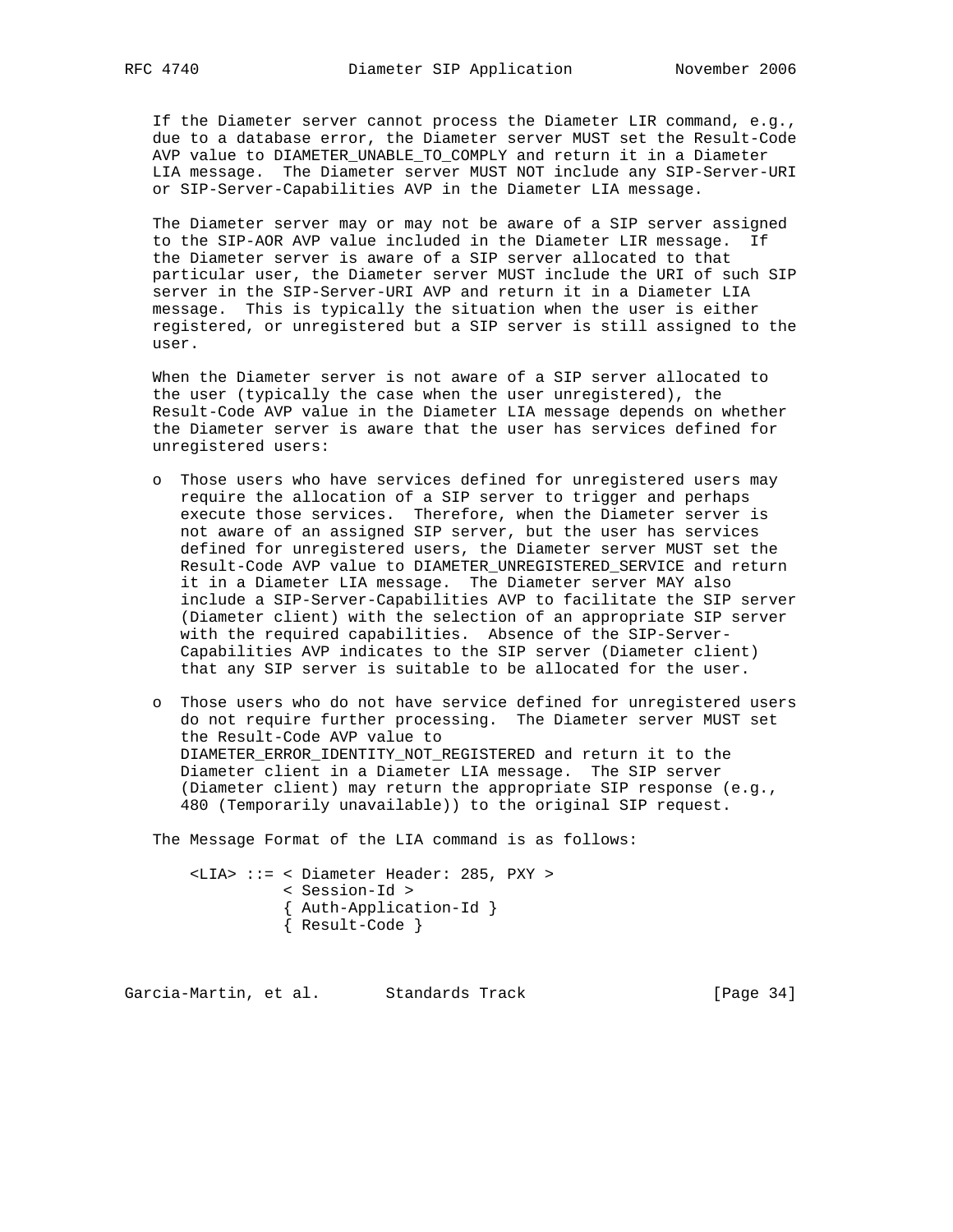If the Diameter server cannot process the Diameter LIR command, e.g., due to a database error, the Diameter server MUST set the Result-Code AVP value to DIAMETER\_UNABLE\_TO\_COMPLY and return it in a Diameter LIA message. The Diameter server MUST NOT include any SIP-Server-URI or SIP-Server-Capabilities AVP in the Diameter LIA message.

 The Diameter server may or may not be aware of a SIP server assigned to the SIP-AOR AVP value included in the Diameter LIR message. If the Diameter server is aware of a SIP server allocated to that particular user, the Diameter server MUST include the URI of such SIP server in the SIP-Server-URI AVP and return it in a Diameter LIA message. This is typically the situation when the user is either registered, or unregistered but a SIP server is still assigned to the user.

 When the Diameter server is not aware of a SIP server allocated to the user (typically the case when the user unregistered), the Result-Code AVP value in the Diameter LIA message depends on whether the Diameter server is aware that the user has services defined for unregistered users:

- o Those users who have services defined for unregistered users may require the allocation of a SIP server to trigger and perhaps execute those services. Therefore, when the Diameter server is not aware of an assigned SIP server, but the user has services defined for unregistered users, the Diameter server MUST set the Result-Code AVP value to DIAMETER\_UNREGISTERED\_SERVICE and return it in a Diameter LIA message. The Diameter server MAY also include a SIP-Server-Capabilities AVP to facilitate the SIP server (Diameter client) with the selection of an appropriate SIP server with the required capabilities. Absence of the SIP-Server- Capabilities AVP indicates to the SIP server (Diameter client) that any SIP server is suitable to be allocated for the user.
- o Those users who do not have service defined for unregistered users do not require further processing. The Diameter server MUST set the Result-Code AVP value to DIAMETER\_ERROR\_IDENTITY\_NOT\_REGISTERED and return it to the Diameter client in a Diameter LIA message. The SIP server (Diameter client) may return the appropriate SIP response (e.g., 480 (Temporarily unavailable)) to the original SIP request.

The Message Format of the LIA command is as follows:

 <LIA> ::= < Diameter Header: 285, PXY > < Session-Id > { Auth-Application-Id } { Result-Code }

Garcia-Martin, et al. Standards Track [Page 34]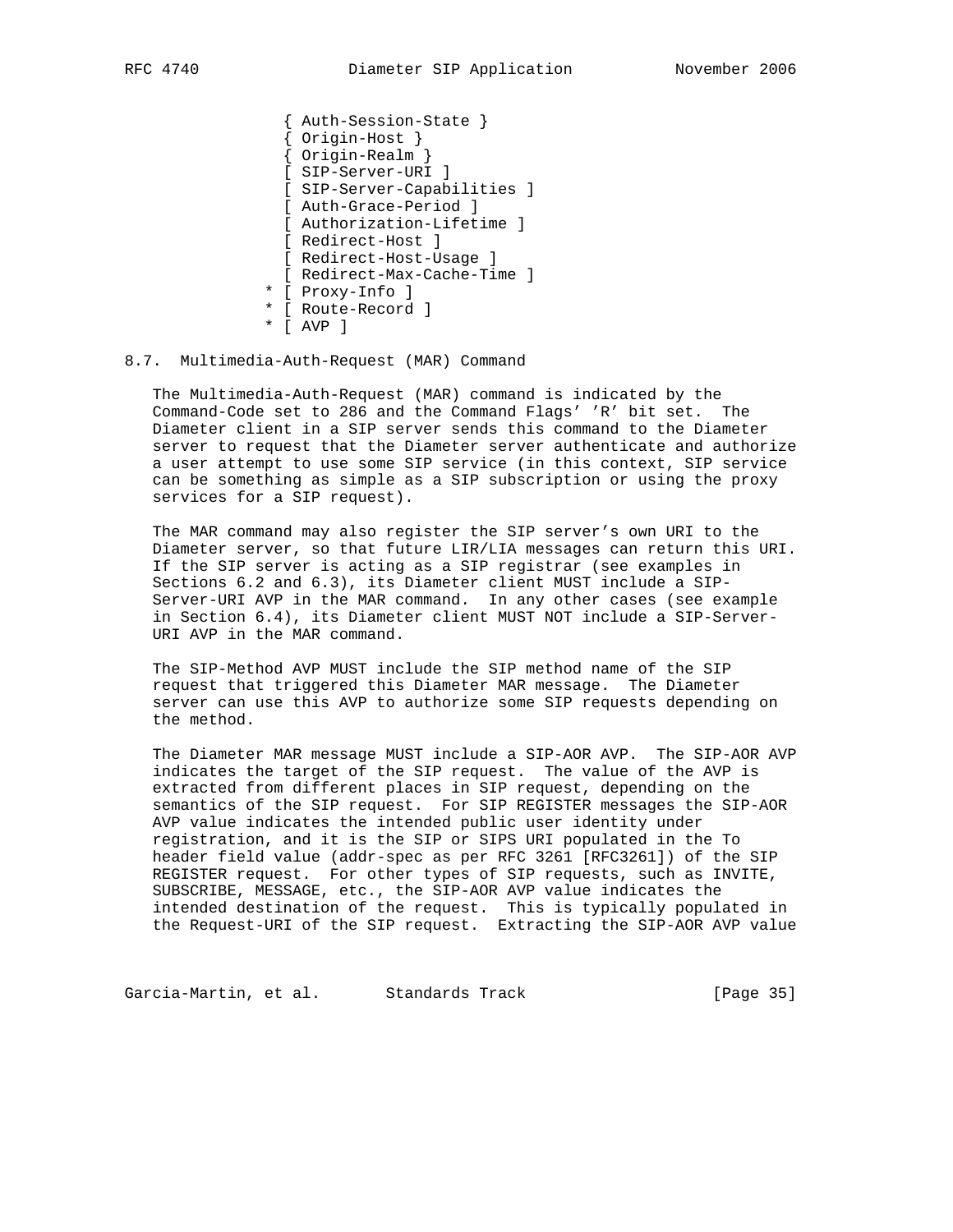{ Auth-Session-State } { Origin-Host } { Origin-Realm } [ SIP-Server-URI ] [ SIP-Server-Capabilities ] [ Auth-Grace-Period ] [ Authorization-Lifetime ] [ Redirect-Host ] [ Redirect-Host-Usage ] [ Redirect-Max-Cache-Time ] \* [ Proxy-Info ] \* [ Route-Record ] \* [ AVP ]

## 8.7. Multimedia-Auth-Request (MAR) Command

 The Multimedia-Auth-Request (MAR) command is indicated by the Command-Code set to 286 and the Command Flags' 'R' bit set. The Diameter client in a SIP server sends this command to the Diameter server to request that the Diameter server authenticate and authorize a user attempt to use some SIP service (in this context, SIP service can be something as simple as a SIP subscription or using the proxy services for a SIP request).

 The MAR command may also register the SIP server's own URI to the Diameter server, so that future LIR/LIA messages can return this URI. If the SIP server is acting as a SIP registrar (see examples in Sections 6.2 and 6.3), its Diameter client MUST include a SIP- Server-URI AVP in the MAR command. In any other cases (see example in Section 6.4), its Diameter client MUST NOT include a SIP-Server- URI AVP in the MAR command.

 The SIP-Method AVP MUST include the SIP method name of the SIP request that triggered this Diameter MAR message. The Diameter server can use this AVP to authorize some SIP requests depending on the method.

 The Diameter MAR message MUST include a SIP-AOR AVP. The SIP-AOR AVP indicates the target of the SIP request. The value of the AVP is extracted from different places in SIP request, depending on the semantics of the SIP request. For SIP REGISTER messages the SIP-AOR AVP value indicates the intended public user identity under registration, and it is the SIP or SIPS URI populated in the To header field value (addr-spec as per RFC 3261 [RFC3261]) of the SIP REGISTER request. For other types of SIP requests, such as INVITE, SUBSCRIBE, MESSAGE, etc., the SIP-AOR AVP value indicates the intended destination of the request. This is typically populated in the Request-URI of the SIP request. Extracting the SIP-AOR AVP value

Garcia-Martin, et al. Standards Track [Page 35]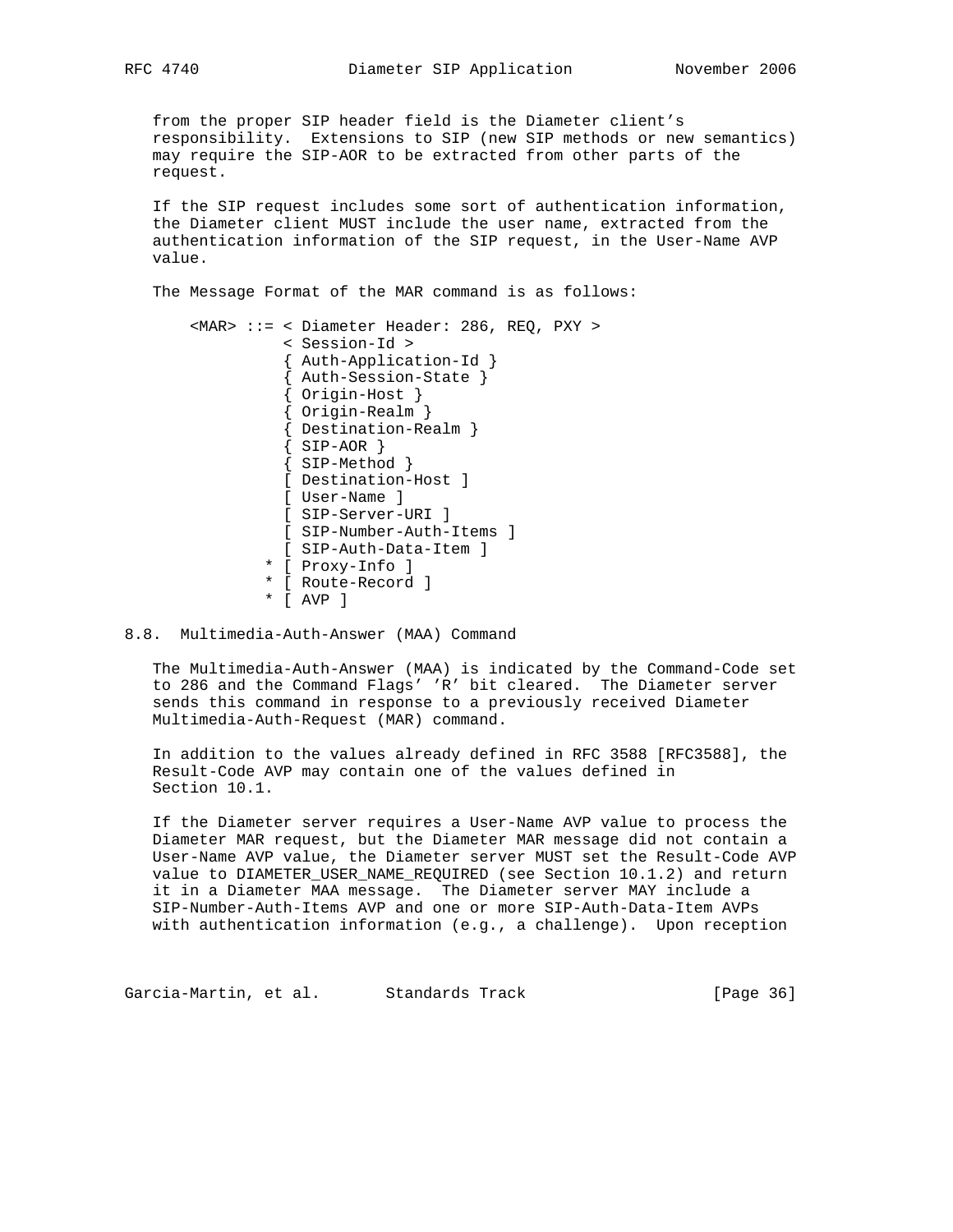from the proper SIP header field is the Diameter client's responsibility. Extensions to SIP (new SIP methods or new semantics) may require the SIP-AOR to be extracted from other parts of the request.

 If the SIP request includes some sort of authentication information, the Diameter client MUST include the user name, extracted from the authentication information of the SIP request, in the User-Name AVP value.

The Message Format of the MAR command is as follows:

 <MAR> ::= < Diameter Header: 286, REQ, PXY > < Session-Id > { Auth-Application-Id } { Auth-Session-State } { Origin-Host } { Origin-Realm } { Destination-Realm } { SIP-AOR } { SIP-Method } [ Destination-Host ] [ User-Name ] [ SIP-Server-URI ] [ SIP-Number-Auth-Items ] [ SIP-Auth-Data-Item ] \* [ Proxy-Info ] \* [ Route-Record ] \* [ AVP ]

## 8.8. Multimedia-Auth-Answer (MAA) Command

 The Multimedia-Auth-Answer (MAA) is indicated by the Command-Code set to 286 and the Command Flags' 'R' bit cleared. The Diameter server sends this command in response to a previously received Diameter Multimedia-Auth-Request (MAR) command.

 In addition to the values already defined in RFC 3588 [RFC3588], the Result-Code AVP may contain one of the values defined in Section 10.1.

 If the Diameter server requires a User-Name AVP value to process the Diameter MAR request, but the Diameter MAR message did not contain a User-Name AVP value, the Diameter server MUST set the Result-Code AVP value to DIAMETER\_USER\_NAME\_REQUIRED (see Section 10.1.2) and return it in a Diameter MAA message. The Diameter server MAY include a SIP-Number-Auth-Items AVP and one or more SIP-Auth-Data-Item AVPs with authentication information (e.g., a challenge). Upon reception

Garcia-Martin, et al. Standards Track [Page 36]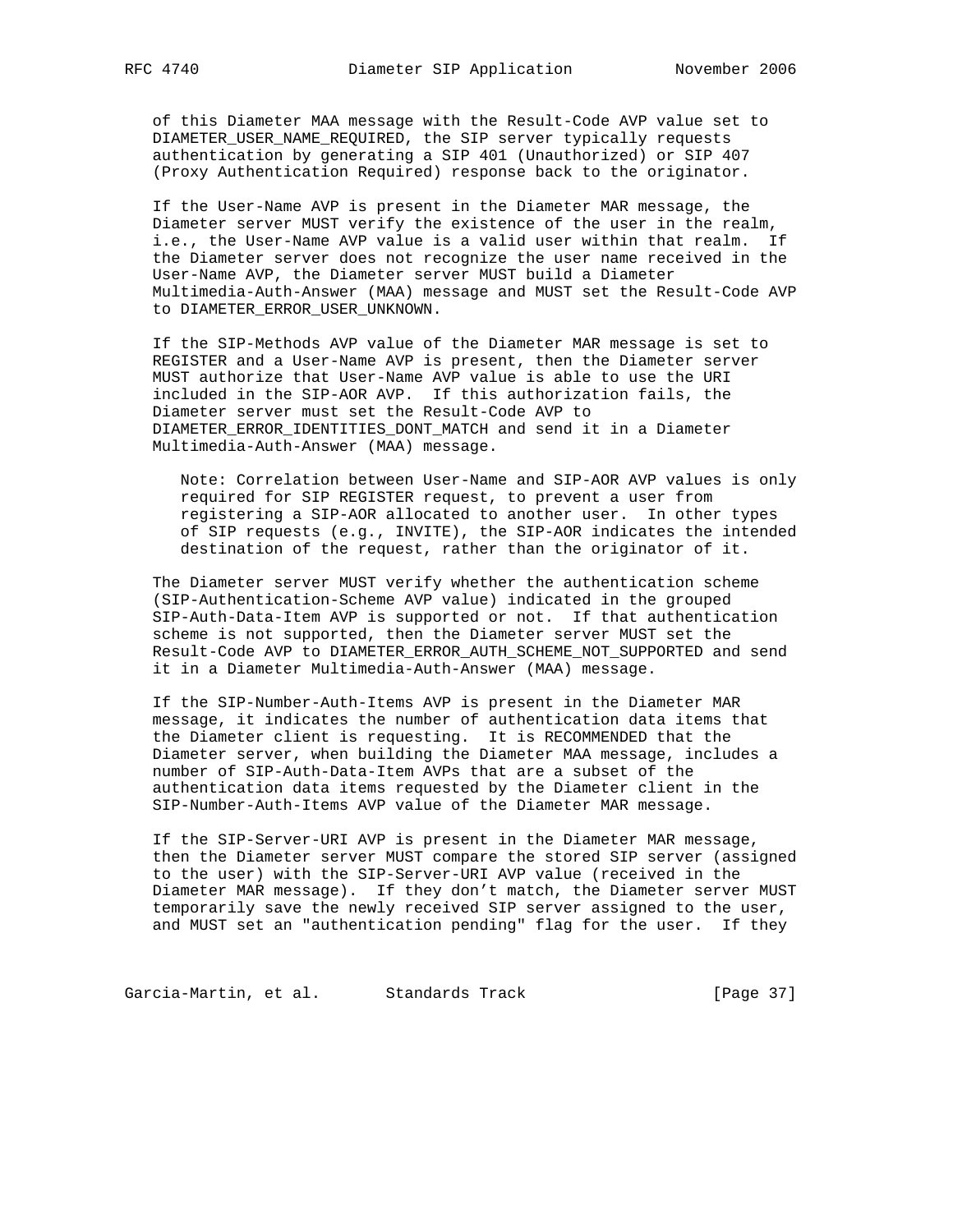of this Diameter MAA message with the Result-Code AVP value set to DIAMETER\_USER\_NAME\_REQUIRED, the SIP server typically requests authentication by generating a SIP 401 (Unauthorized) or SIP 407 (Proxy Authentication Required) response back to the originator.

 If the User-Name AVP is present in the Diameter MAR message, the Diameter server MUST verify the existence of the user in the realm, i.e., the User-Name AVP value is a valid user within that realm. If the Diameter server does not recognize the user name received in the User-Name AVP, the Diameter server MUST build a Diameter Multimedia-Auth-Answer (MAA) message and MUST set the Result-Code AVP to DIAMETER\_ERROR\_USER\_UNKNOWN.

 If the SIP-Methods AVP value of the Diameter MAR message is set to REGISTER and a User-Name AVP is present, then the Diameter server MUST authorize that User-Name AVP value is able to use the URI included in the SIP-AOR AVP. If this authorization fails, the Diameter server must set the Result-Code AVP to DIAMETER\_ERROR\_IDENTITIES\_DONT\_MATCH and send it in a Diameter Multimedia-Auth-Answer (MAA) message.

 Note: Correlation between User-Name and SIP-AOR AVP values is only required for SIP REGISTER request, to prevent a user from registering a SIP-AOR allocated to another user. In other types of SIP requests (e.g., INVITE), the SIP-AOR indicates the intended destination of the request, rather than the originator of it.

 The Diameter server MUST verify whether the authentication scheme (SIP-Authentication-Scheme AVP value) indicated in the grouped SIP-Auth-Data-Item AVP is supported or not. If that authentication scheme is not supported, then the Diameter server MUST set the Result-Code AVP to DIAMETER\_ERROR\_AUTH\_SCHEME\_NOT\_SUPPORTED and send it in a Diameter Multimedia-Auth-Answer (MAA) message.

 If the SIP-Number-Auth-Items AVP is present in the Diameter MAR message, it indicates the number of authentication data items that the Diameter client is requesting. It is RECOMMENDED that the Diameter server, when building the Diameter MAA message, includes a number of SIP-Auth-Data-Item AVPs that are a subset of the authentication data items requested by the Diameter client in the SIP-Number-Auth-Items AVP value of the Diameter MAR message.

 If the SIP-Server-URI AVP is present in the Diameter MAR message, then the Diameter server MUST compare the stored SIP server (assigned to the user) with the SIP-Server-URI AVP value (received in the Diameter MAR message). If they don't match, the Diameter server MUST temporarily save the newly received SIP server assigned to the user, and MUST set an "authentication pending" flag for the user. If they

Garcia-Martin, et al. Standards Track [Page 37]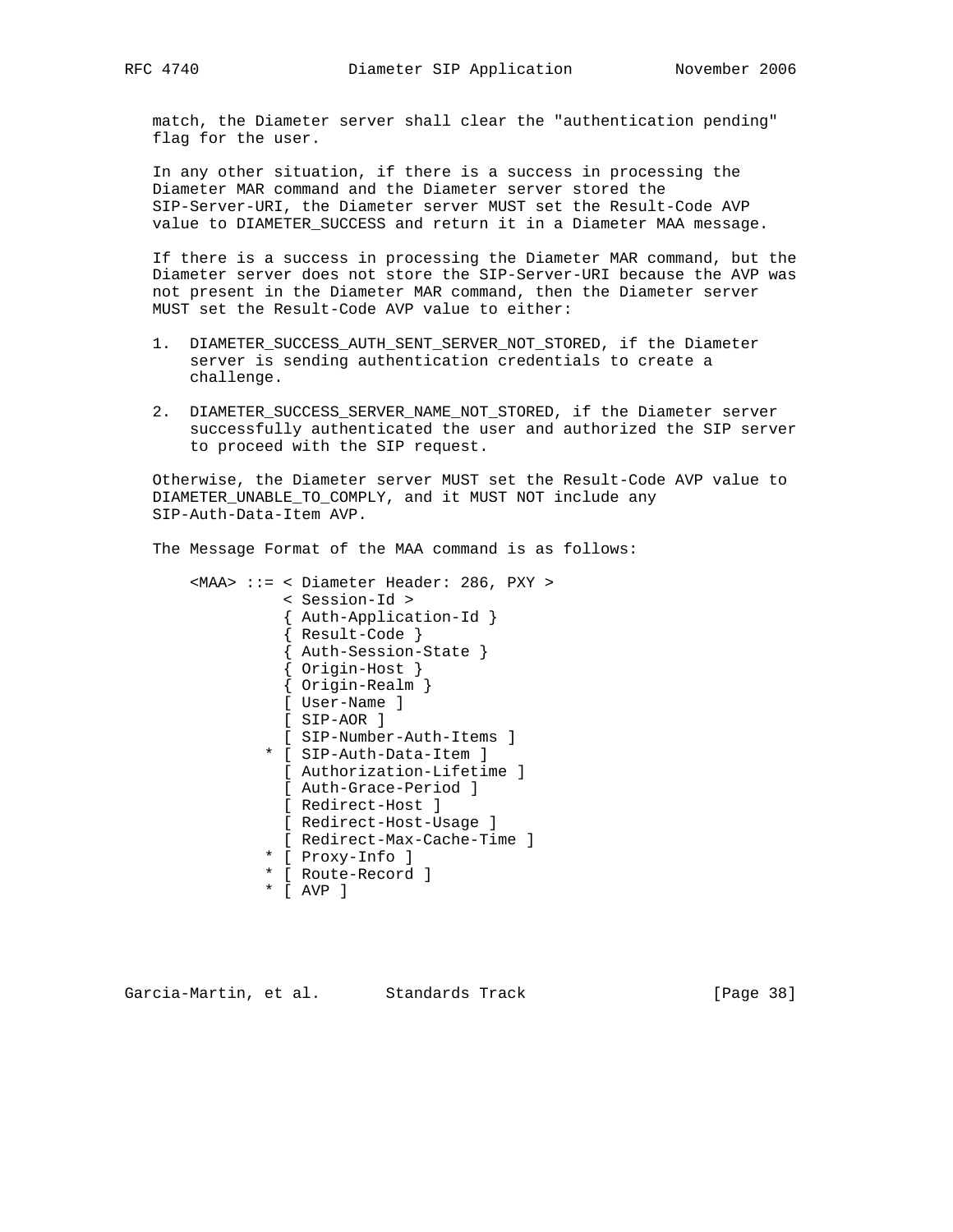match, the Diameter server shall clear the "authentication pending" flag for the user.

 In any other situation, if there is a success in processing the Diameter MAR command and the Diameter server stored the SIP-Server-URI, the Diameter server MUST set the Result-Code AVP value to DIAMETER\_SUCCESS and return it in a Diameter MAA message.

 If there is a success in processing the Diameter MAR command, but the Diameter server does not store the SIP-Server-URI because the AVP was not present in the Diameter MAR command, then the Diameter server MUST set the Result-Code AVP value to either:

- 1. DIAMETER\_SUCCESS\_AUTH\_SENT\_SERVER\_NOT\_STORED, if the Diameter server is sending authentication credentials to create a challenge.
- 2. DIAMETER\_SUCCESS\_SERVER\_NAME\_NOT\_STORED, if the Diameter server successfully authenticated the user and authorized the SIP server to proceed with the SIP request.

 Otherwise, the Diameter server MUST set the Result-Code AVP value to DIAMETER\_UNABLE\_TO\_COMPLY, and it MUST NOT include any SIP-Auth-Data-Item AVP.

The Message Format of the MAA command is as follows:

```
 <MAA> ::= < Diameter Header: 286, PXY >
          < Session-Id >
          { Auth-Application-Id }
          { Result-Code }
          { Auth-Session-State }
          { Origin-Host }
          { Origin-Realm }
          [ User-Name ]
          [ SIP-AOR ]
          [ SIP-Number-Auth-Items ]
        * [ SIP-Auth-Data-Item ]
          [ Authorization-Lifetime ]
          [ Auth-Grace-Period ]
          [ Redirect-Host ]
          [ Redirect-Host-Usage ]
          [ Redirect-Max-Cache-Time ]
        * [ Proxy-Info ]
        * [ Route-Record ]
        * [ AVP ]
```
Garcia-Martin, et al. Standards Track [Page 38]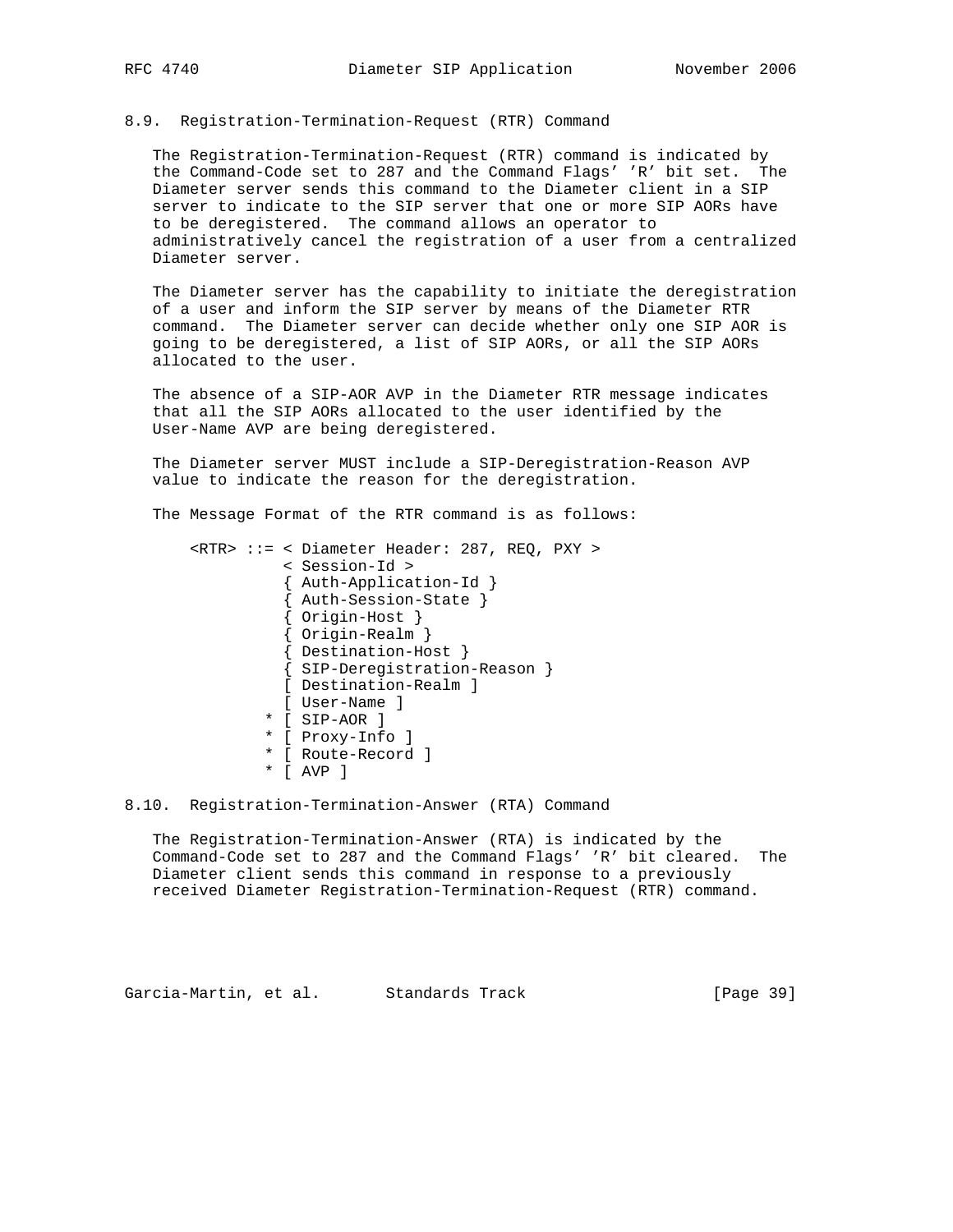### 8.9. Registration-Termination-Request (RTR) Command

 The Registration-Termination-Request (RTR) command is indicated by the Command-Code set to 287 and the Command Flags' 'R' bit set. The Diameter server sends this command to the Diameter client in a SIP server to indicate to the SIP server that one or more SIP AORs have to be deregistered. The command allows an operator to administratively cancel the registration of a user from a centralized Diameter server.

 The Diameter server has the capability to initiate the deregistration of a user and inform the SIP server by means of the Diameter RTR command. The Diameter server can decide whether only one SIP AOR is going to be deregistered, a list of SIP AORs, or all the SIP AORs allocated to the user.

 The absence of a SIP-AOR AVP in the Diameter RTR message indicates that all the SIP AORs allocated to the user identified by the User-Name AVP are being deregistered.

 The Diameter server MUST include a SIP-Deregistration-Reason AVP value to indicate the reason for the deregistration.

The Message Format of the RTR command is as follows:

```
 <RTR> ::= < Diameter Header: 287, REQ, PXY >
          < Session-Id >
          { Auth-Application-Id }
          { Auth-Session-State }
          { Origin-Host }
          { Origin-Realm }
          { Destination-Host }
          { SIP-Deregistration-Reason }
         [ Destination-Realm ]
          [ User-Name ]
        * [ SIP-AOR ]
        * [ Proxy-Info ]
        * [ Route-Record ]
        * [ AVP ]
```
8.10. Registration-Termination-Answer (RTA) Command

 The Registration-Termination-Answer (RTA) is indicated by the Command-Code set to 287 and the Command Flags' 'R' bit cleared. The Diameter client sends this command in response to a previously received Diameter Registration-Termination-Request (RTR) command.

Garcia-Martin, et al. Standards Track [Page 39]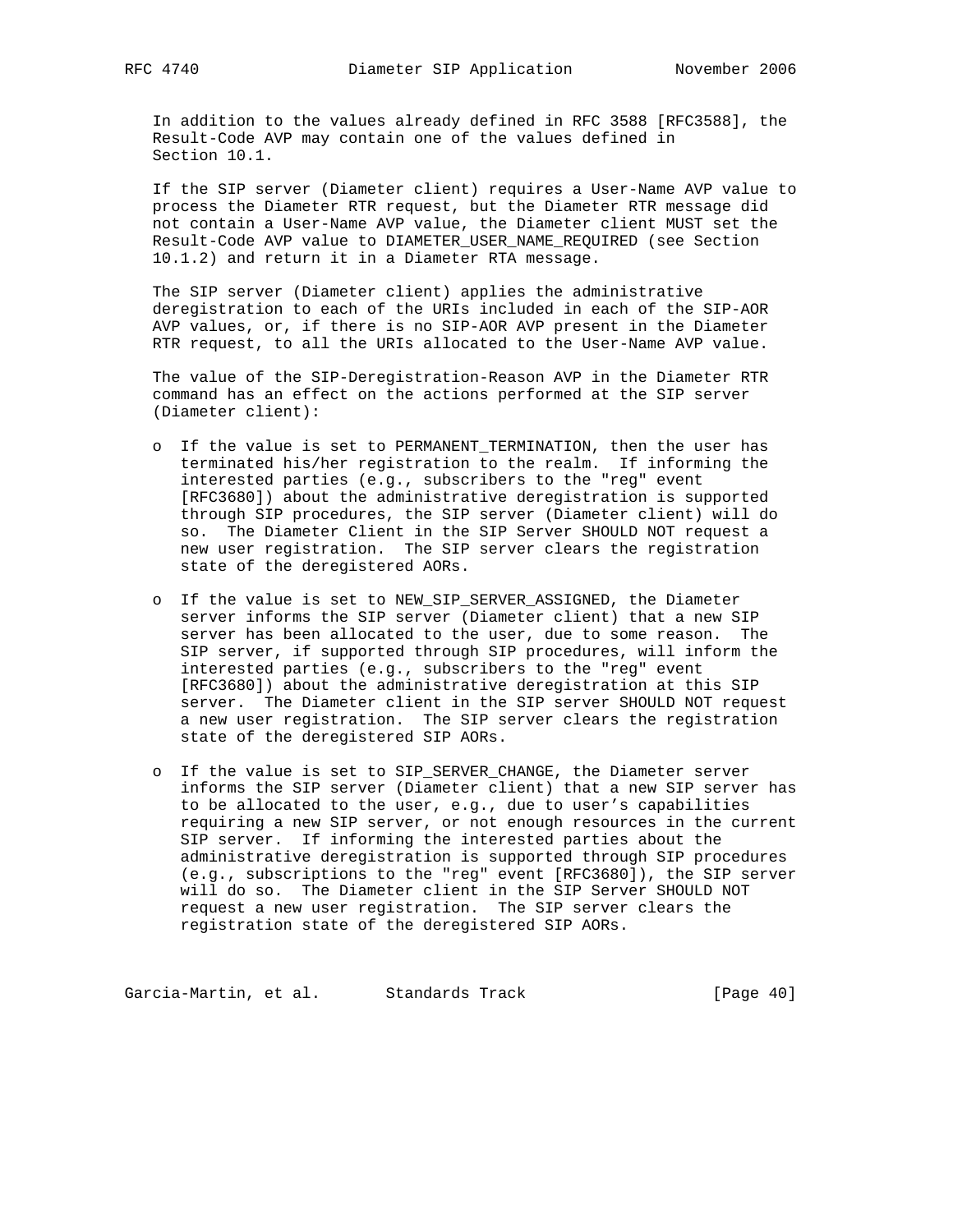In addition to the values already defined in RFC 3588 [RFC3588], the Result-Code AVP may contain one of the values defined in Section 10.1.

 If the SIP server (Diameter client) requires a User-Name AVP value to process the Diameter RTR request, but the Diameter RTR message did not contain a User-Name AVP value, the Diameter client MUST set the Result-Code AVP value to DIAMETER\_USER\_NAME\_REQUIRED (see Section 10.1.2) and return it in a Diameter RTA message.

 The SIP server (Diameter client) applies the administrative deregistration to each of the URIs included in each of the SIP-AOR AVP values, or, if there is no SIP-AOR AVP present in the Diameter RTR request, to all the URIs allocated to the User-Name AVP value.

 The value of the SIP-Deregistration-Reason AVP in the Diameter RTR command has an effect on the actions performed at the SIP server (Diameter client):

- o If the value is set to PERMANENT\_TERMINATION, then the user has terminated his/her registration to the realm. If informing the interested parties (e.g., subscribers to the "reg" event [RFC3680]) about the administrative deregistration is supported through SIP procedures, the SIP server (Diameter client) will do so. The Diameter Client in the SIP Server SHOULD NOT request a new user registration. The SIP server clears the registration state of the deregistered AORs.
- o If the value is set to NEW\_SIP\_SERVER\_ASSIGNED, the Diameter server informs the SIP server (Diameter client) that a new SIP server has been allocated to the user, due to some reason. The SIP server, if supported through SIP procedures, will inform the interested parties (e.g., subscribers to the "reg" event [RFC3680]) about the administrative deregistration at this SIP server. The Diameter client in the SIP server SHOULD NOT request a new user registration. The SIP server clears the registration state of the deregistered SIP AORs.
- o If the value is set to SIP\_SERVER\_CHANGE, the Diameter server informs the SIP server (Diameter client) that a new SIP server has to be allocated to the user, e.g., due to user's capabilities requiring a new SIP server, or not enough resources in the current SIP server. If informing the interested parties about the administrative deregistration is supported through SIP procedures (e.g., subscriptions to the "reg" event [RFC3680]), the SIP server will do so. The Diameter client in the SIP Server SHOULD NOT request a new user registration. The SIP server clears the registration state of the deregistered SIP AORs.

Garcia-Martin, et al. Standards Track [Page 40]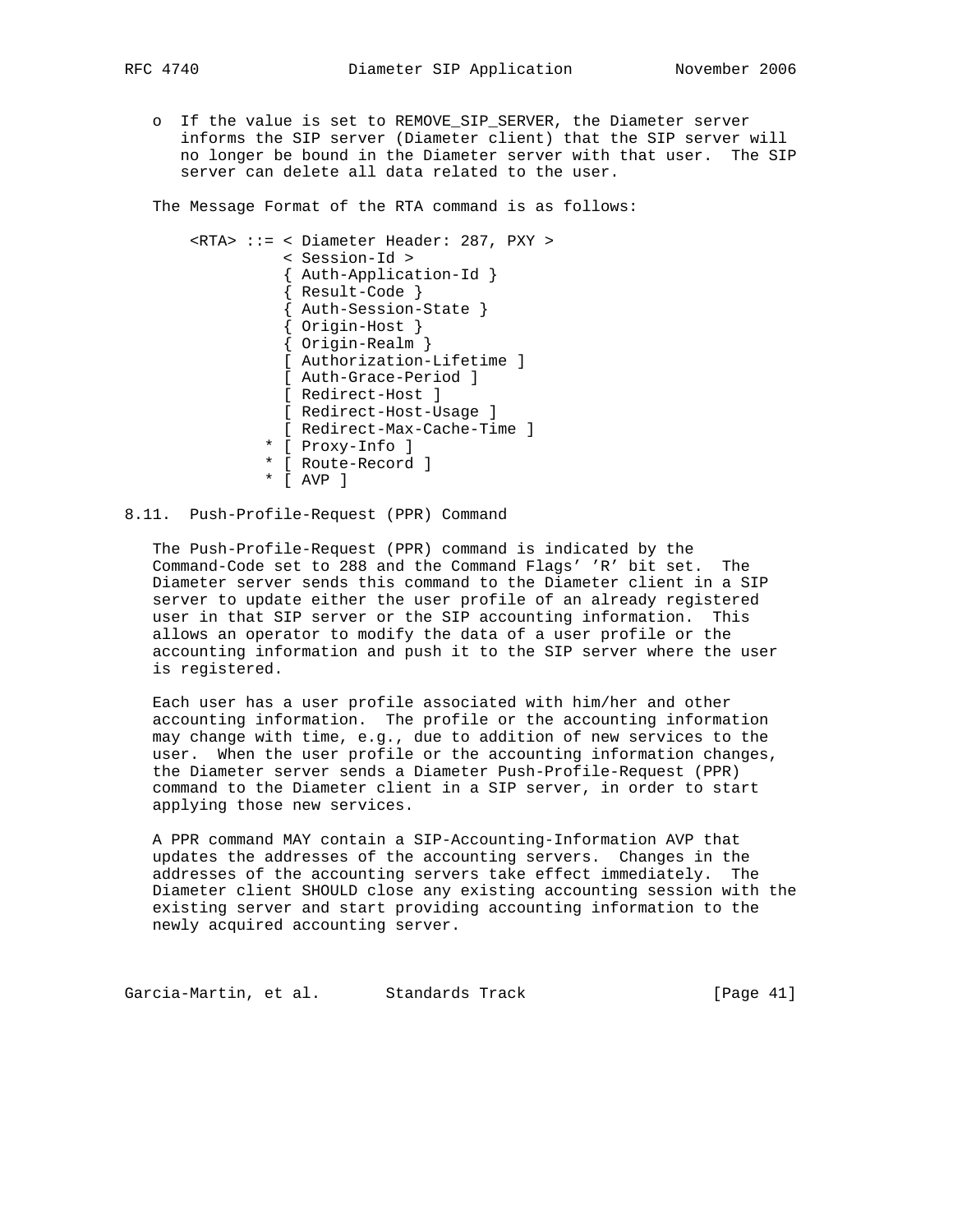o If the value is set to REMOVE\_SIP\_SERVER, the Diameter server informs the SIP server (Diameter client) that the SIP server will no longer be bound in the Diameter server with that user. The SIP server can delete all data related to the user.

The Message Format of the RTA command is as follows:

```
 <RTA> ::= < Diameter Header: 287, PXY >
               < Session-Id >
                { Auth-Application-Id }
                { Result-Code }
                { Auth-Session-State }
                { Origin-Host }
{ Origin-Realm }
[ Authorization-Lifetime ]
               [ Auth-Grace-Period ]
               [ Redirect-Host ]
               [ Redirect-Host-Usage ]
               [ Redirect-Max-Cache-Time ]
              * [ Proxy-Info ]
              * [ Route-Record ]
              * [ AVP ]
```
# 8.11. Push-Profile-Request (PPR) Command

 The Push-Profile-Request (PPR) command is indicated by the Command-Code set to 288 and the Command Flags' 'R' bit set. The Diameter server sends this command to the Diameter client in a SIP server to update either the user profile of an already registered user in that SIP server or the SIP accounting information. This allows an operator to modify the data of a user profile or the accounting information and push it to the SIP server where the user is registered.

 Each user has a user profile associated with him/her and other accounting information. The profile or the accounting information may change with time, e.g., due to addition of new services to the user. When the user profile or the accounting information changes, the Diameter server sends a Diameter Push-Profile-Request (PPR) command to the Diameter client in a SIP server, in order to start applying those new services.

 A PPR command MAY contain a SIP-Accounting-Information AVP that updates the addresses of the accounting servers. Changes in the addresses of the accounting servers take effect immediately. The Diameter client SHOULD close any existing accounting session with the existing server and start providing accounting information to the newly acquired accounting server.

Garcia-Martin, et al. Standards Track [Page 41]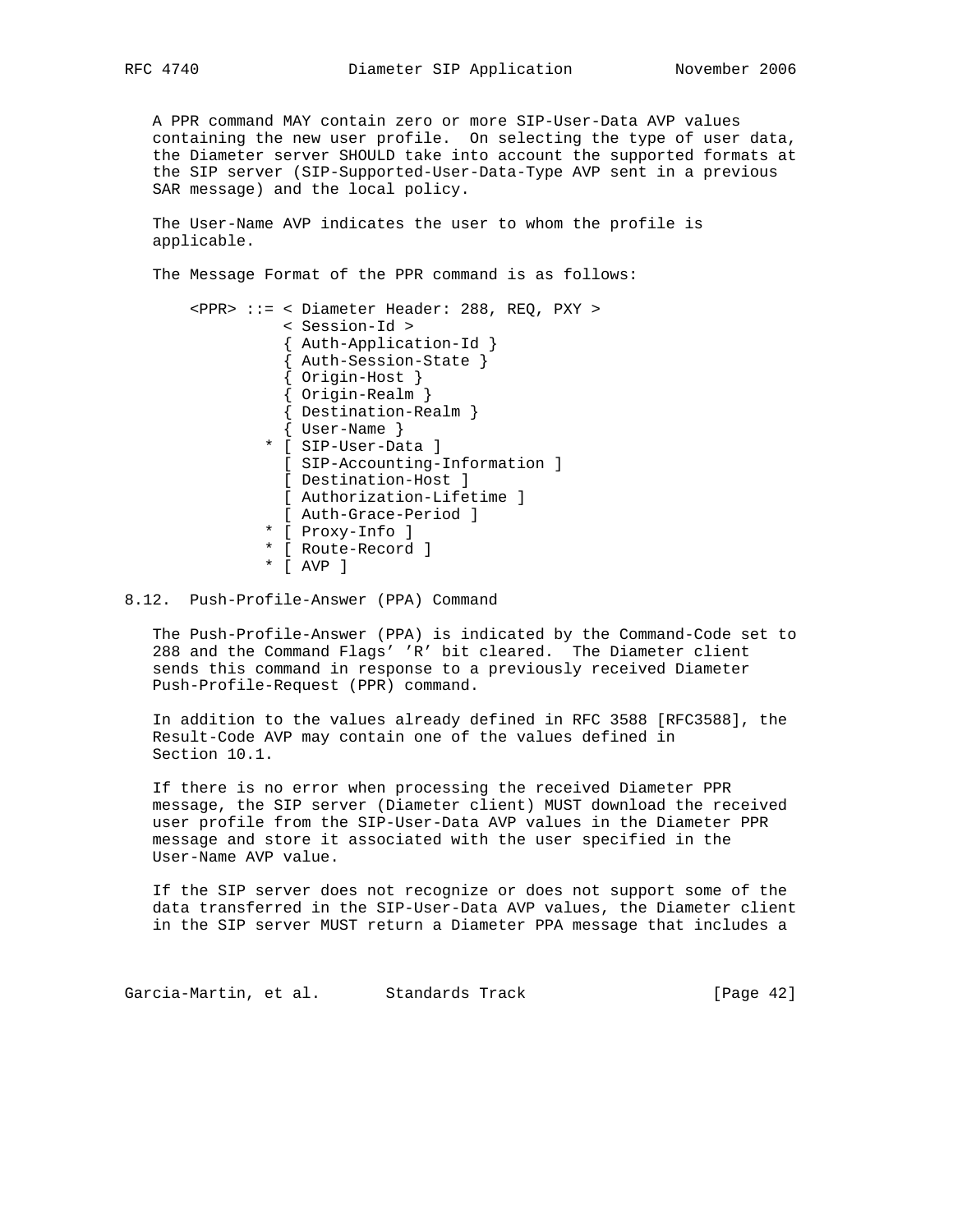A PPR command MAY contain zero or more SIP-User-Data AVP values containing the new user profile. On selecting the type of user data, the Diameter server SHOULD take into account the supported formats at the SIP server (SIP-Supported-User-Data-Type AVP sent in a previous SAR message) and the local policy.

 The User-Name AVP indicates the user to whom the profile is applicable.

The Message Format of the PPR command is as follows:

```
 <PPR> ::= < Diameter Header: 288, REQ, PXY >
          < Session-Id >
          { Auth-Application-Id }
          { Auth-Session-State }
          { Origin-Host }
          { Origin-Realm }
          { Destination-Realm }
          { User-Name }
        * [ SIP-User-Data ]
         [ SIP-Accounting-Information ]
         [ Destination-Host ]
         [ Authorization-Lifetime ]
          [ Auth-Grace-Period ]
        * [ Proxy-Info ]
        * [ Route-Record ]
        * [ AVP ]
```
8.12. Push-Profile-Answer (PPA) Command

 The Push-Profile-Answer (PPA) is indicated by the Command-Code set to 288 and the Command Flags' 'R' bit cleared. The Diameter client sends this command in response to a previously received Diameter Push-Profile-Request (PPR) command.

 In addition to the values already defined in RFC 3588 [RFC3588], the Result-Code AVP may contain one of the values defined in Section 10.1.

 If there is no error when processing the received Diameter PPR message, the SIP server (Diameter client) MUST download the received user profile from the SIP-User-Data AVP values in the Diameter PPR message and store it associated with the user specified in the User-Name AVP value.

 If the SIP server does not recognize or does not support some of the data transferred in the SIP-User-Data AVP values, the Diameter client in the SIP server MUST return a Diameter PPA message that includes a

Garcia-Martin, et al. Standards Track [Page 42]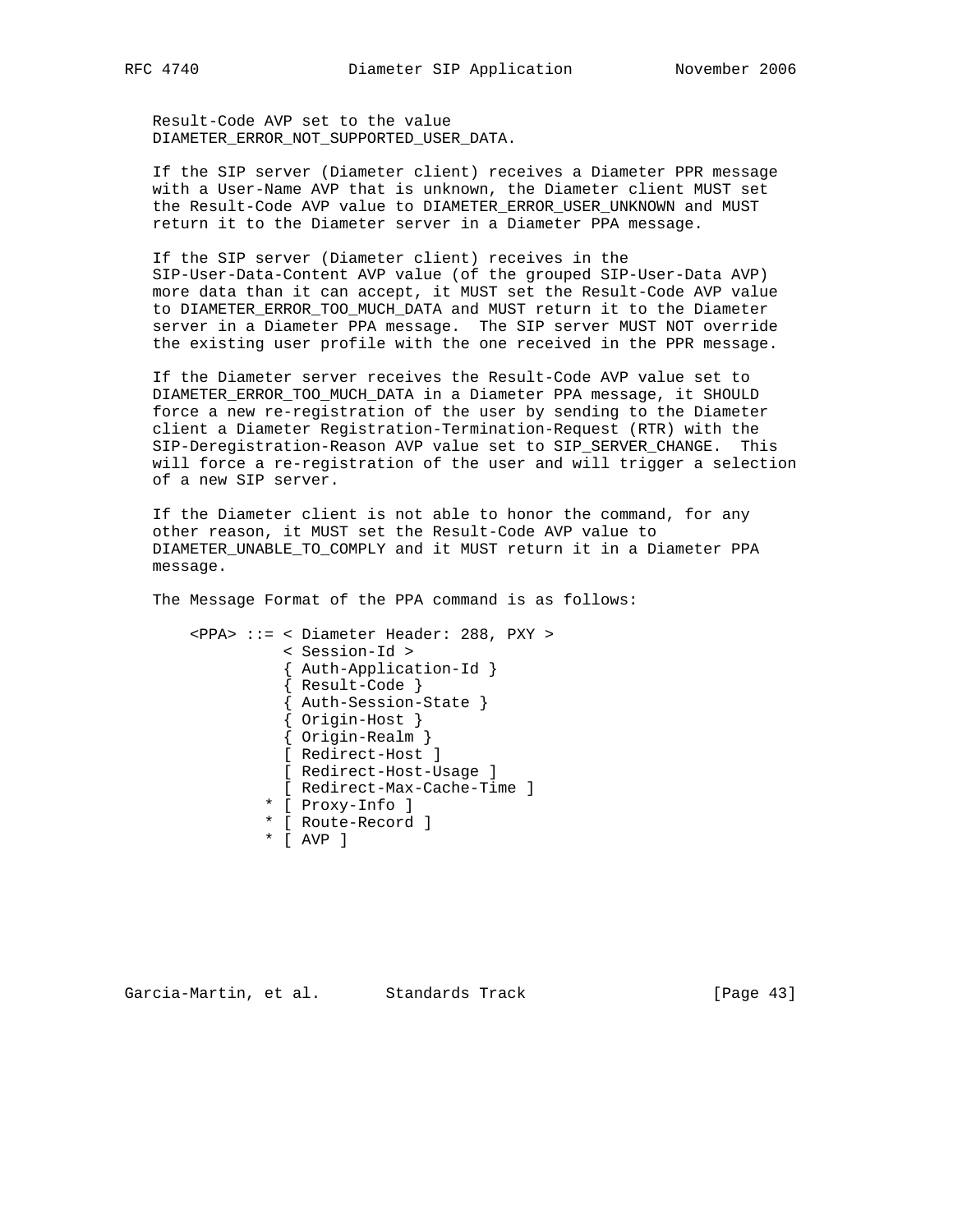Result-Code AVP set to the value DIAMETER\_ERROR\_NOT\_SUPPORTED\_USER\_DATA.

 If the SIP server (Diameter client) receives a Diameter PPR message with a User-Name AVP that is unknown, the Diameter client MUST set the Result-Code AVP value to DIAMETER\_ERROR\_USER\_UNKNOWN and MUST return it to the Diameter server in a Diameter PPA message.

 If the SIP server (Diameter client) receives in the SIP-User-Data-Content AVP value (of the grouped SIP-User-Data AVP) more data than it can accept, it MUST set the Result-Code AVP value to DIAMETER\_ERROR\_TOO\_MUCH\_DATA and MUST return it to the Diameter server in a Diameter PPA message. The SIP server MUST NOT override the existing user profile with the one received in the PPR message.

 If the Diameter server receives the Result-Code AVP value set to DIAMETER\_ERROR\_TOO\_MUCH\_DATA in a Diameter PPA message, it SHOULD force a new re-registration of the user by sending to the Diameter client a Diameter Registration-Termination-Request (RTR) with the SIP-Deregistration-Reason AVP value set to SIP\_SERVER\_CHANGE. This will force a re-registration of the user and will trigger a selection of a new SIP server.

 If the Diameter client is not able to honor the command, for any other reason, it MUST set the Result-Code AVP value to DIAMETER\_UNABLE\_TO\_COMPLY and it MUST return it in a Diameter PPA message.

The Message Format of the PPA command is as follows:

```
 <PPA> ::= < Diameter Header: 288, PXY >
          < Session-Id >
          { Auth-Application-Id }
          { Result-Code }
          { Auth-Session-State }
          { Origin-Host }
          { Origin-Realm }
          [ Redirect-Host ]
          [ Redirect-Host-Usage ]
          [ Redirect-Max-Cache-Time ]
        * [ Proxy-Info ]
        * [ Route-Record ]
        * [ AVP ]
```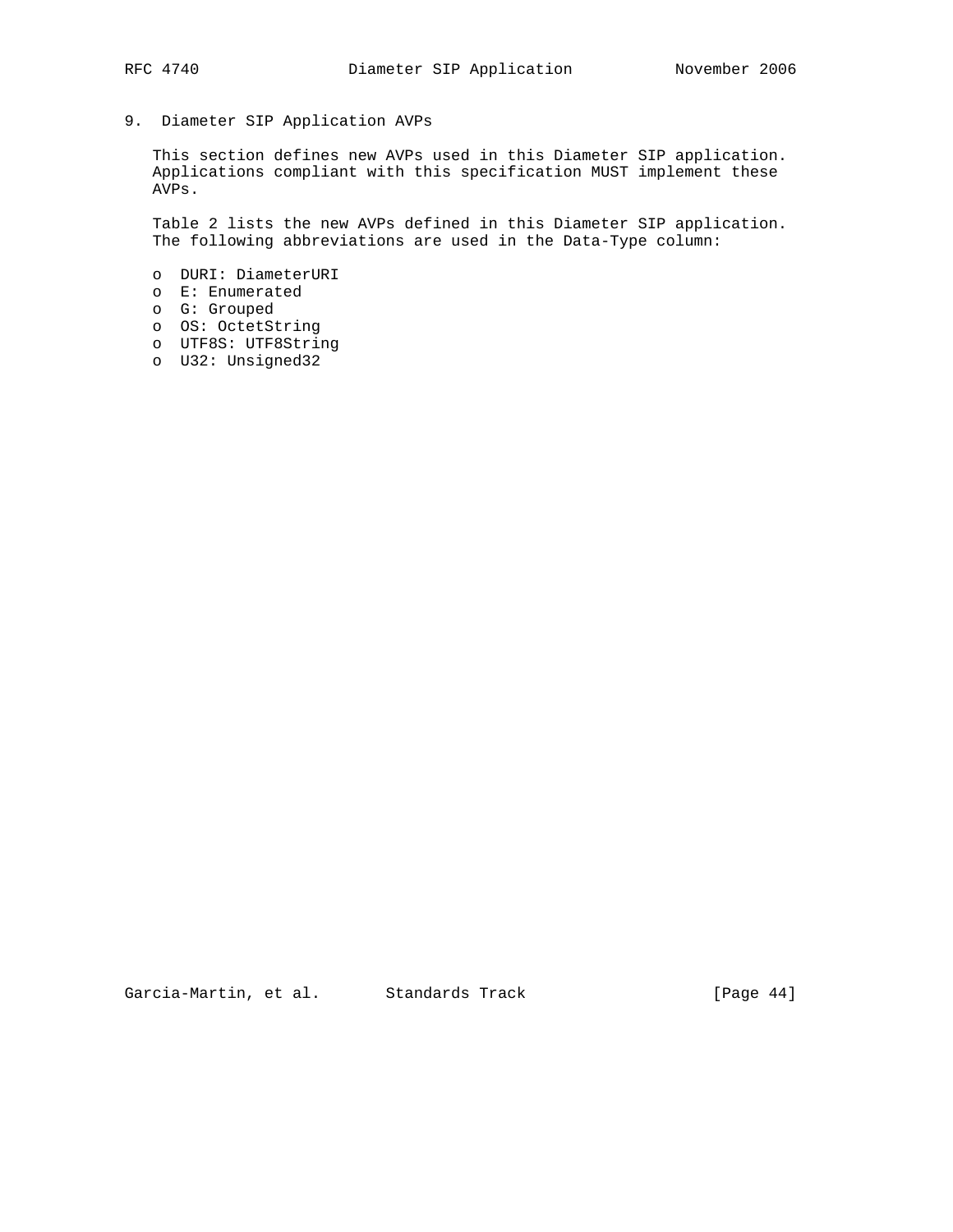# 9. Diameter SIP Application AVPs

 This section defines new AVPs used in this Diameter SIP application. Applications compliant with this specification MUST implement these AVPs.

 Table 2 lists the new AVPs defined in this Diameter SIP application. The following abbreviations are used in the Data-Type column:

- o DURI: DiameterURI o E: Enumerated o G: Grouped o OS: OctetString
- o UTF8S: UTF8String
- o U32: Unsigned32

Garcia-Martin, et al. Standards Track [Page 44]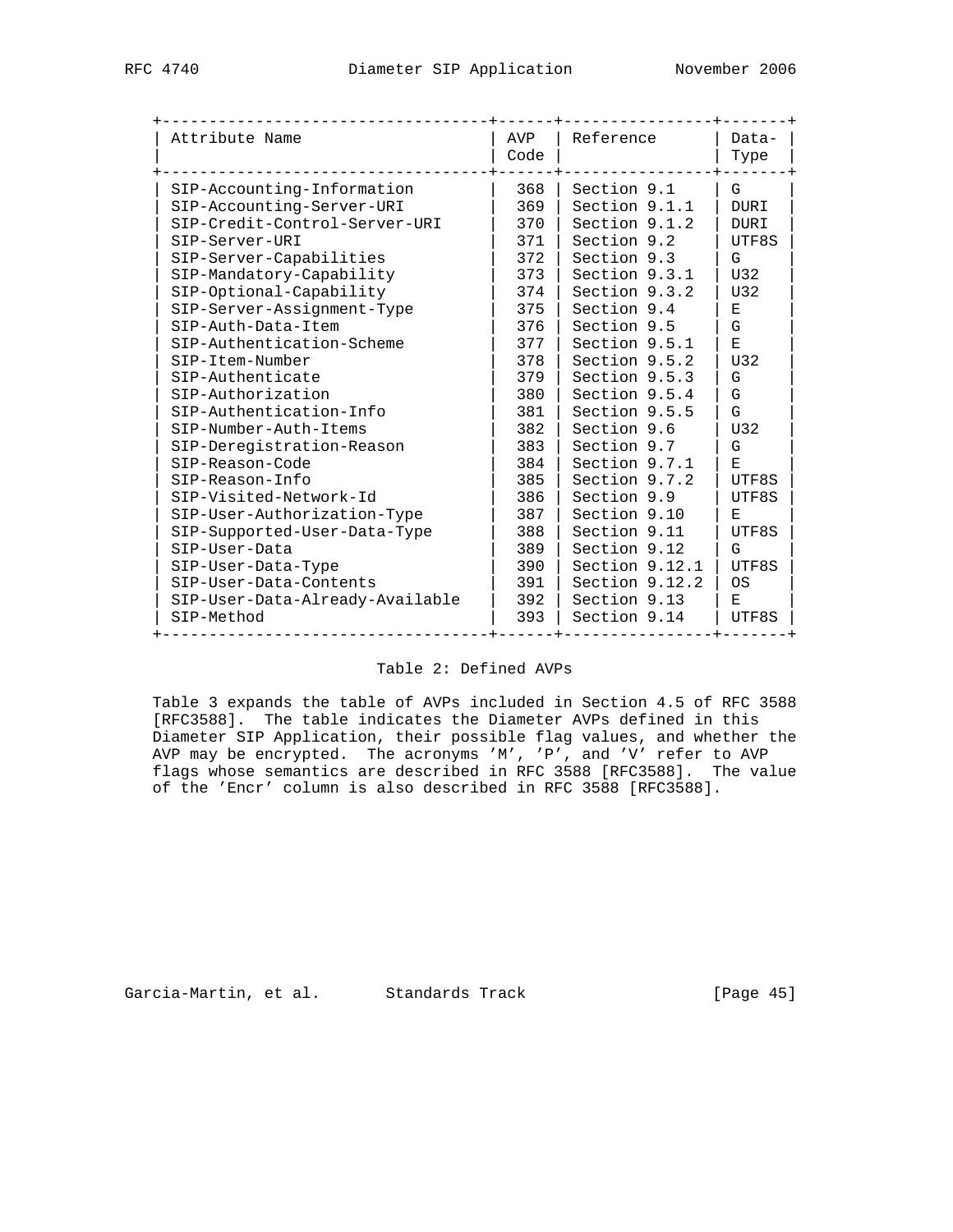| Attribute Name                  | AVP<br>Code | Reference      | Data-<br>Type      |
|---------------------------------|-------------|----------------|--------------------|
| SIP-Accounting-Information      | 368         | Section 9.1    | G                  |
| SIP-Accounting-Server-URI       | 369         | Section 9.1.1  | <b>DURI</b>        |
| SIP-Credit-Control-Server-URI   | 370         | Section 9.1.2  | <b>DURI</b>        |
| SIP-Server-URI                  | 371         | Section 9.2    | UTF8S              |
| SIP-Server-Capabilities         | 372         | Section 9.3    | G                  |
| SIP-Mandatory-Capability        | 373         | Section 9.3.1  | U32                |
| SIP-Optional-Capability         | 374         | Section 9.3.2  | U32                |
| SIP-Server-Assignment-Type      | 375         | Section 9.4    | Е                  |
| SIP-Auth-Data-Item              | 376         | Section 9.5    | G                  |
| SIP-Authentication-Scheme       | 377         | Section 9.5.1  | $\mathbf{E}% _{t}$ |
| SIP-Item-Number                 | 378         | Section 9.5.2  | U32                |
| SIP-Authenticate                | 379         | Section 9.5.3  | G                  |
| SIP-Authorization               | 380         | Section 9.5.4  | G                  |
| SIP-Authentication-Info         | 381         | Section 9.5.5  | G                  |
| SIP-Number-Auth-Items           | 382         | Section 9.6    | U32                |
| SIP-Deregistration-Reason       | 383         | Section 9.7    | G                  |
| SIP-Reason-Code                 | 384         | Section 9.7.1  | F.                 |
| SIP-Reason-Info                 | 385         | Section 9.7.2  | UTF8S              |
| SIP-Visited-Network-Id          | 386         | Section 9.9    | UTF8S              |
| SIP-User-Authorization-Type     | 387         | Section 9.10   | $F_{\rm c}$        |
| SIP-Supported-User-Data-Type    | 388         | Section 9.11   | UTF8S              |
| SIP-User-Data                   | 389         | Section 9.12   | G                  |
| SIP-User-Data-Type              | 390         | Section 9.12.1 | UTF8S              |
| SIP-User-Data-Contents          | 391         | Section 9.12.2 | 0S                 |
| SIP-User-Data-Already-Available | 392         | Section 9.13   | E                  |
| SIP-Method                      | 393         | Section 9.14   | UTF8S              |

# Table 2: Defined AVPs

 Table 3 expands the table of AVPs included in Section 4.5 of RFC 3588 [RFC3588]. The table indicates the Diameter AVPs defined in this Diameter SIP Application, their possible flag values, and whether the AVP may be encrypted. The acronyms 'M', 'P', and 'V' refer to AVP flags whose semantics are described in RFC 3588 [RFC3588]. The value of the 'Encr' column is also described in RFC 3588 [RFC3588].

Garcia-Martin, et al. Standards Track [Page 45]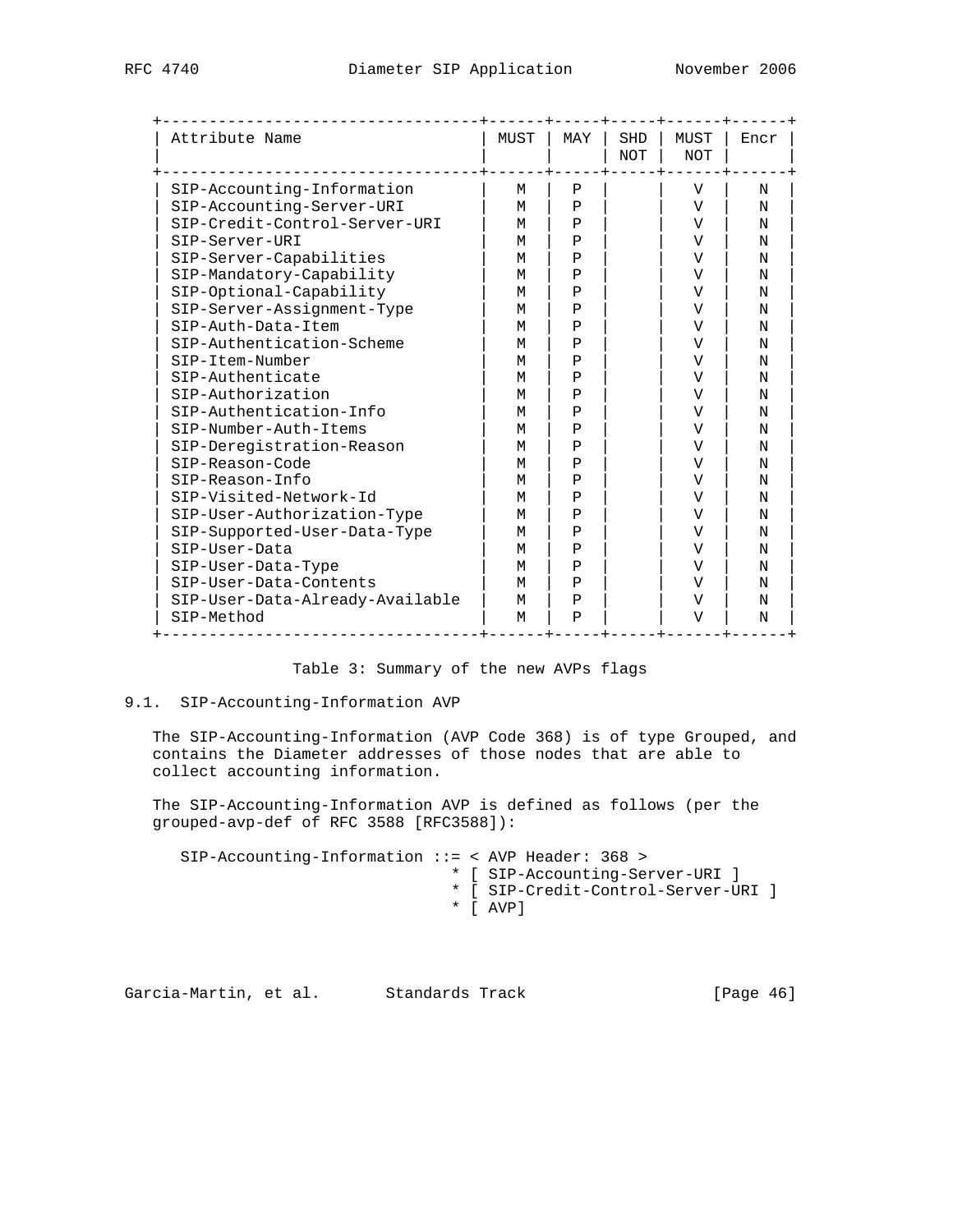| Attribute Name                  | MUST | MAY          | SHD<br><b>NOT</b> | MUST<br><b>NOT</b> | Encr |
|---------------------------------|------|--------------|-------------------|--------------------|------|
| SIP-Accounting-Information      | M    | Ρ            |                   | $\mathbf{V}$       | N    |
| SIP-Accounting-Server-URI       | M    | Ρ            |                   | V                  | N    |
| SIP-Credit-Control-Server-URI   | М    | $\mathbf{P}$ |                   | $\overline{V}$     | N    |
| SIP-Server-URI                  | M    | P            |                   | $\overline{V}$     | N    |
| SIP-Server-Capabilities         | M    | $\mathbf{P}$ |                   | $\overline{V}$     | N    |
| SIP-Mandatory-Capability        | M    | P            |                   | $\overline{V}$     | N    |
| SIP-Optional-Capability         | M    | $\mathbf{P}$ |                   | $\overline{V}$     | N    |
| SIP-Server-Assignment-Type      | M    | Ρ            |                   | $\overline{V}$     | N    |
| SIP-Auth-Data-Item              | M    | $\mathbf{P}$ |                   | $\mathbf{V}$       | N    |
| SIP-Authentication-Scheme       | M    | $\mathbf{P}$ |                   | V                  | N    |
| SIP-Item-Number                 | М    | $\mathbf{P}$ |                   | $\mathbf{V}$       | N    |
| SIP-Authenticate                | M    | $\mathbf{P}$ |                   | $\mathbf{V}$       | N    |
| SIP-Authorization               | M    | $\mathbf{P}$ |                   | $\overline{V}$     | N    |
| SIP-Authentication-Info         | M    | $\mathbf{P}$ |                   | $\overline{V}$     | N    |
| SIP-Number-Auth-Items           | M    | $\mathbf{P}$ |                   | $\overline{V}$     | N    |
| SIP-Deregistration-Reason       | M    | P            |                   | $\mathbf{V}$       | N    |
| SIP-Reason-Code                 | M    | P            |                   | $\mathbf{V}$       | N    |
| SIP-Reason-Info                 | М    | $\mathbf{P}$ |                   | $\mathbf{V}$       | N    |
| SIP-Visited-Network-Id          | M    | $\mathbf{P}$ |                   | $\mathbf{V}$       | N    |
| SIP-User-Authorization-Type     | M    | $\mathbf{P}$ |                   | $\overline{V}$     | N    |
| SIP-Supported-User-Data-Type    | M    | P            |                   | V                  | N    |
| SIP-User-Data                   | M    | P            |                   | $\overline{V}$     | N    |
| SIP-User-Data-Type              | M    | P            |                   | V                  | N    |
| SIP-User-Data-Contents          | М    | $\mathbf{P}$ |                   | $\overline{V}$     | N    |
| SIP-User-Data-Already-Available | M    | $\mathbf{P}$ |                   | $\mathbf{V}$       | N    |
| SIP-Method                      | M    | Ρ            |                   | $\overline{V}$     | N    |

### Table 3: Summary of the new AVPs flags

# 9.1. SIP-Accounting-Information AVP

 The SIP-Accounting-Information (AVP Code 368) is of type Grouped, and contains the Diameter addresses of those nodes that are able to collect accounting information.

 The SIP-Accounting-Information AVP is defined as follows (per the grouped-avp-def of RFC 3588 [RFC3588]):

 SIP-Accounting-Information ::= < AVP Header: 368 > \* [ SIP-Accounting-Server-URI ] \* [ SIP-Credit-Control-Server-URI ] \* [ AVP]

Garcia-Martin, et al. Standards Track [Page 46]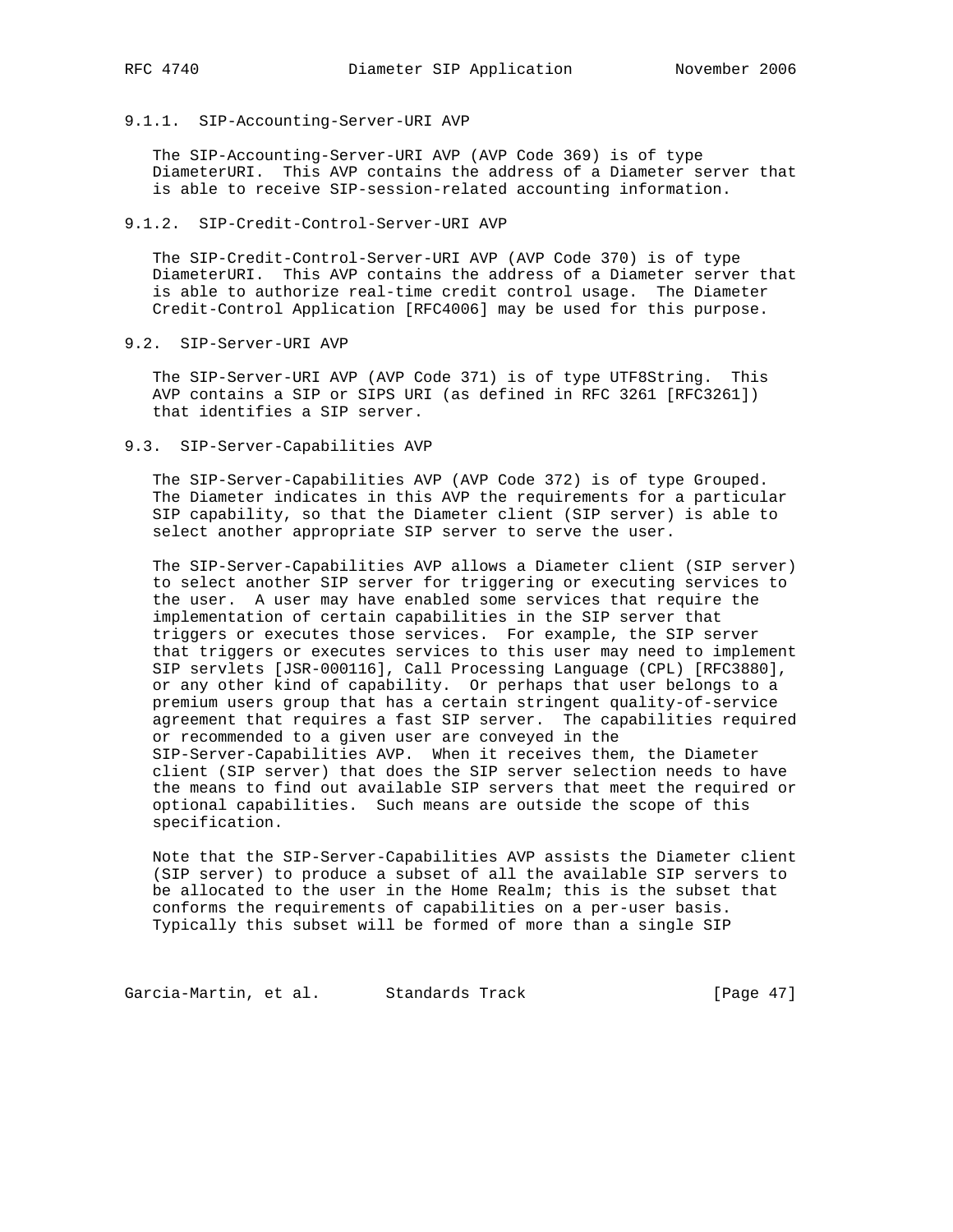- 
- 9.1.1. SIP-Accounting-Server-URI AVP

 The SIP-Accounting-Server-URI AVP (AVP Code 369) is of type DiameterURI. This AVP contains the address of a Diameter server that is able to receive SIP-session-related accounting information.

9.1.2. SIP-Credit-Control-Server-URI AVP

 The SIP-Credit-Control-Server-URI AVP (AVP Code 370) is of type DiameterURI. This AVP contains the address of a Diameter server that is able to authorize real-time credit control usage. The Diameter Credit-Control Application [RFC4006] may be used for this purpose.

9.2. SIP-Server-URI AVP

 The SIP-Server-URI AVP (AVP Code 371) is of type UTF8String. This AVP contains a SIP or SIPS URI (as defined in RFC 3261 [RFC3261]) that identifies a SIP server.

9.3. SIP-Server-Capabilities AVP

 The SIP-Server-Capabilities AVP (AVP Code 372) is of type Grouped. The Diameter indicates in this AVP the requirements for a particular SIP capability, so that the Diameter client (SIP server) is able to select another appropriate SIP server to serve the user.

 The SIP-Server-Capabilities AVP allows a Diameter client (SIP server) to select another SIP server for triggering or executing services to the user. A user may have enabled some services that require the implementation of certain capabilities in the SIP server that triggers or executes those services. For example, the SIP server that triggers or executes services to this user may need to implement SIP servlets [JSR-000116], Call Processing Language (CPL) [RFC3880], or any other kind of capability. Or perhaps that user belongs to a premium users group that has a certain stringent quality-of-service agreement that requires a fast SIP server. The capabilities required or recommended to a given user are conveyed in the SIP-Server-Capabilities AVP. When it receives them, the Diameter client (SIP server) that does the SIP server selection needs to have the means to find out available SIP servers that meet the required or optional capabilities. Such means are outside the scope of this specification.

 Note that the SIP-Server-Capabilities AVP assists the Diameter client (SIP server) to produce a subset of all the available SIP servers to be allocated to the user in the Home Realm; this is the subset that conforms the requirements of capabilities on a per-user basis. Typically this subset will be formed of more than a single SIP

Garcia-Martin, et al. Standards Track [Page 47]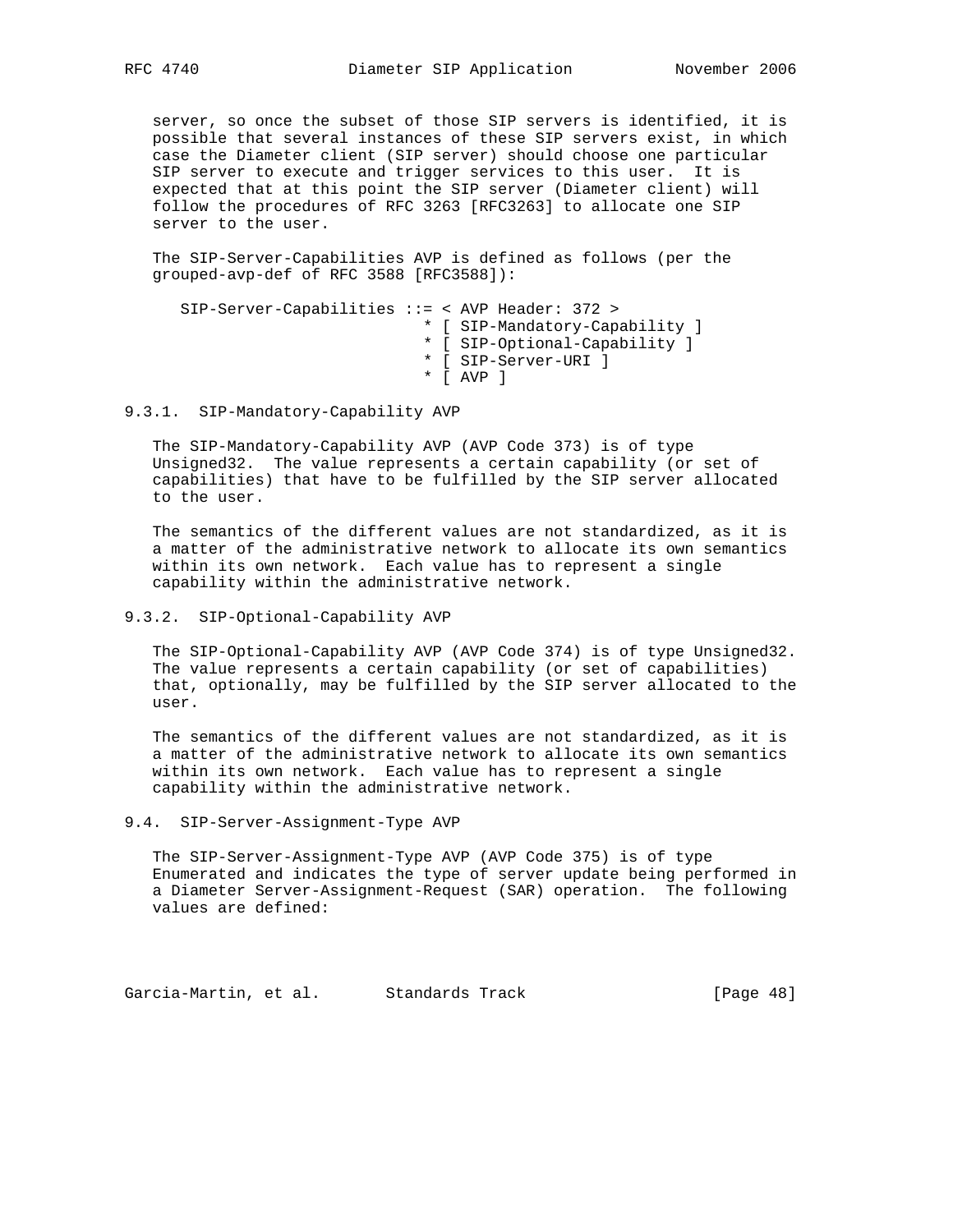server, so once the subset of those SIP servers is identified, it is possible that several instances of these SIP servers exist, in which case the Diameter client (SIP server) should choose one particular SIP server to execute and trigger services to this user. It is expected that at this point the SIP server (Diameter client) will follow the procedures of RFC 3263 [RFC3263] to allocate one SIP server to the user.

 The SIP-Server-Capabilities AVP is defined as follows (per the grouped-avp-def of RFC 3588 [RFC3588]):

 SIP-Server-Capabilities ::= < AVP Header: 372 > \* [ SIP-Mandatory-Capability ] \* [ SIP-Optional-Capability ] \* [ SIP-Server-URI ] \* [ AVP ]

9.3.1. SIP-Mandatory-Capability AVP

 The SIP-Mandatory-Capability AVP (AVP Code 373) is of type Unsigned32. The value represents a certain capability (or set of capabilities) that have to be fulfilled by the SIP server allocated to the user.

 The semantics of the different values are not standardized, as it is a matter of the administrative network to allocate its own semantics within its own network. Each value has to represent a single capability within the administrative network.

### 9.3.2. SIP-Optional-Capability AVP

 The SIP-Optional-Capability AVP (AVP Code 374) is of type Unsigned32. The value represents a certain capability (or set of capabilities) that, optionally, may be fulfilled by the SIP server allocated to the user.

 The semantics of the different values are not standardized, as it is a matter of the administrative network to allocate its own semantics within its own network. Each value has to represent a single capability within the administrative network.

 The SIP-Server-Assignment-Type AVP (AVP Code 375) is of type Enumerated and indicates the type of server update being performed in a Diameter Server-Assignment-Request (SAR) operation. The following values are defined:

Garcia-Martin, et al. Standards Track [Page 48]

<sup>9.4.</sup> SIP-Server-Assignment-Type AVP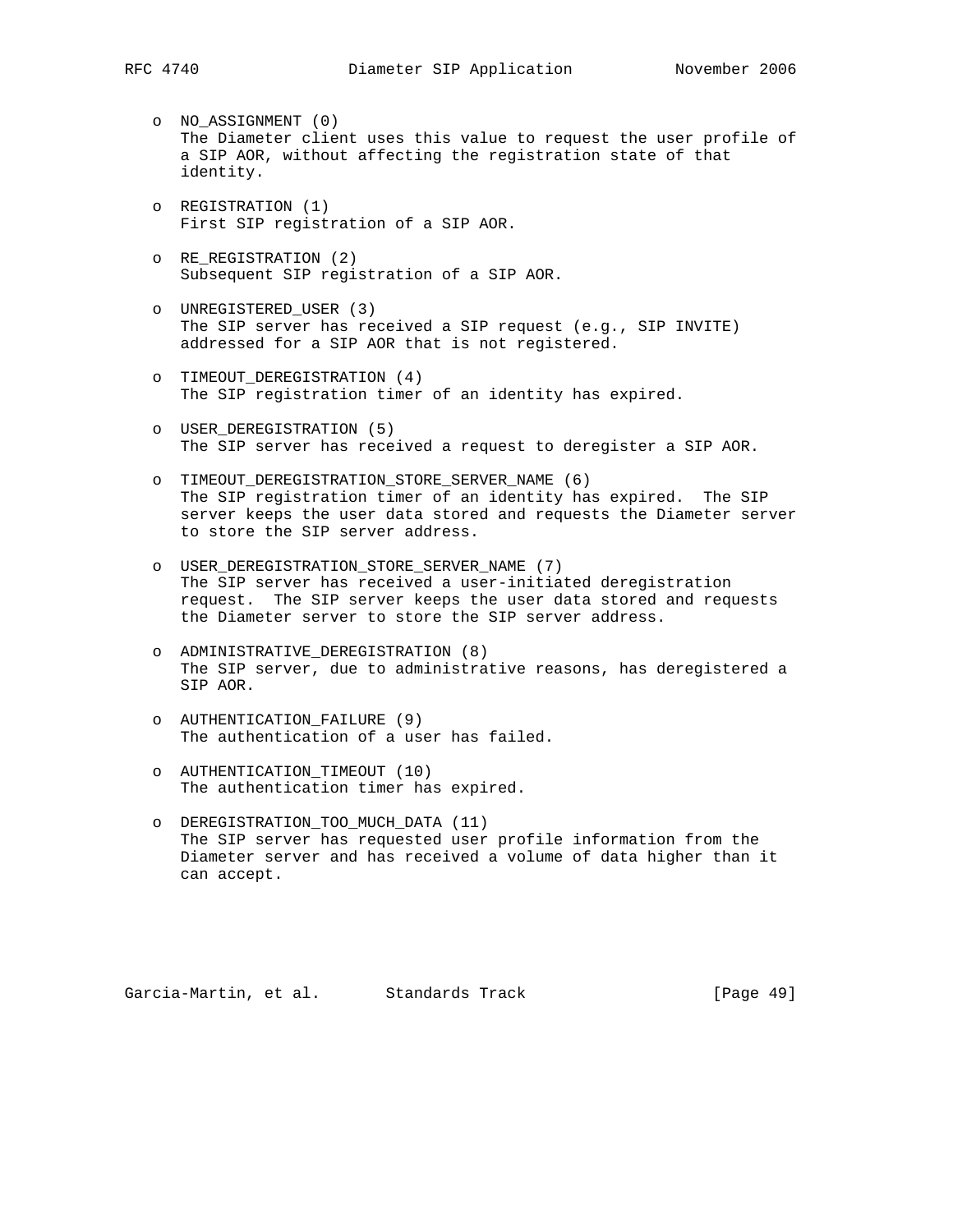- o NO\_ASSIGNMENT (0) The Diameter client uses this value to request the user profile of a SIP AOR, without affecting the registration state of that identity.
- o REGISTRATION (1) First SIP registration of a SIP AOR.
- o RE\_REGISTRATION (2) Subsequent SIP registration of a SIP AOR.
- o UNREGISTERED\_USER (3) The SIP server has received a SIP request (e.g., SIP INVITE) addressed for a SIP AOR that is not registered.
- o TIMEOUT\_DEREGISTRATION (4) The SIP registration timer of an identity has expired.
- o USER\_DEREGISTRATION (5) The SIP server has received a request to deregister a SIP AOR.
- o TIMEOUT\_DEREGISTRATION\_STORE\_SERVER\_NAME (6) The SIP registration timer of an identity has expired. The SIP server keeps the user data stored and requests the Diameter server to store the SIP server address.
- o USER\_DEREGISTRATION\_STORE\_SERVER\_NAME (7) The SIP server has received a user-initiated deregistration request. The SIP server keeps the user data stored and requests the Diameter server to store the SIP server address.
- o ADMINISTRATIVE\_DEREGISTRATION (8) The SIP server, due to administrative reasons, has deregistered a SIP AOR.
- o AUTHENTICATION\_FAILURE (9) The authentication of a user has failed.
- o AUTHENTICATION\_TIMEOUT (10) The authentication timer has expired.
- o DEREGISTRATION\_TOO\_MUCH\_DATA (11) The SIP server has requested user profile information from the Diameter server and has received a volume of data higher than it can accept.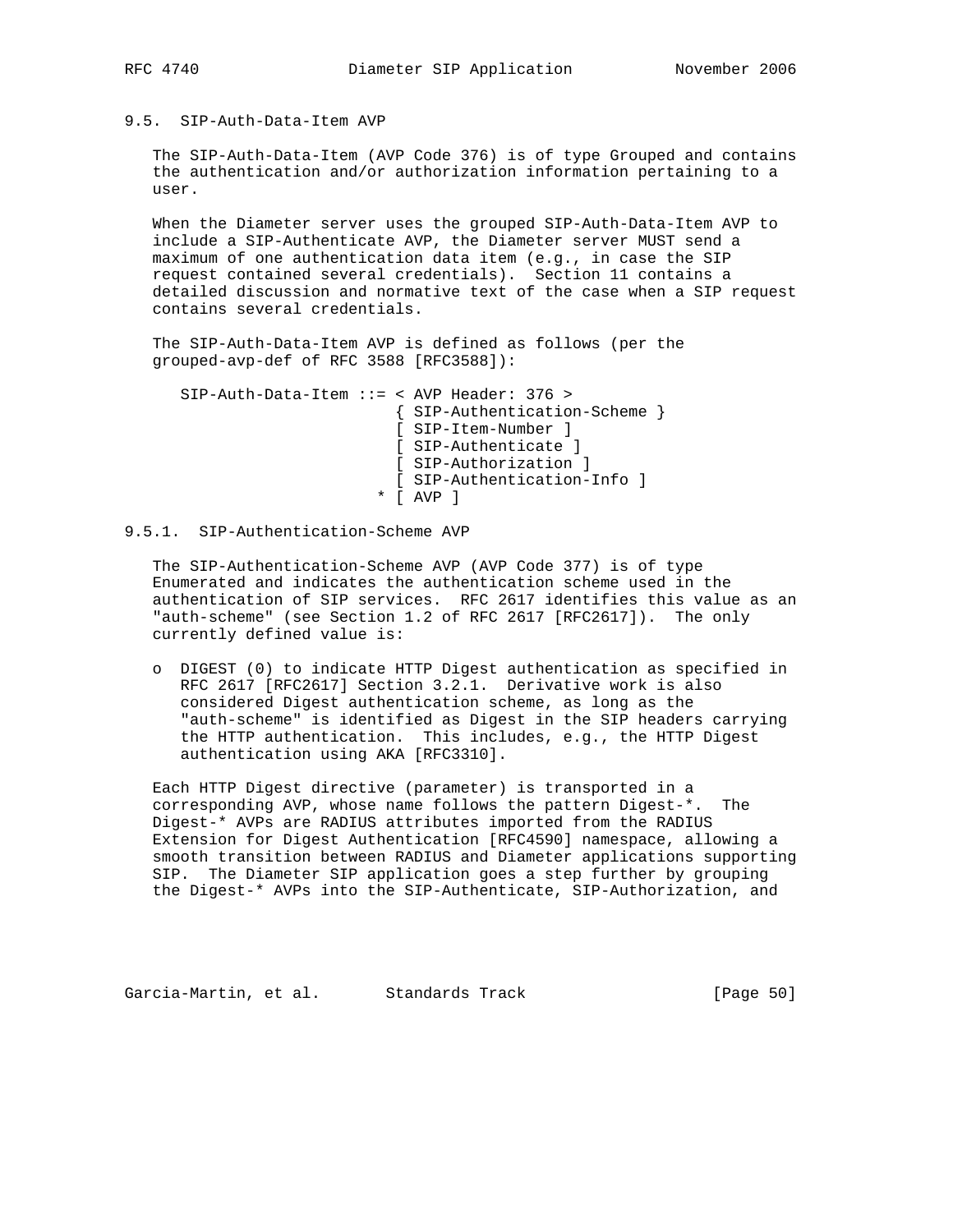9.5. SIP-Auth-Data-Item AVP

 The SIP-Auth-Data-Item (AVP Code 376) is of type Grouped and contains the authentication and/or authorization information pertaining to a user.

 When the Diameter server uses the grouped SIP-Auth-Data-Item AVP to include a SIP-Authenticate AVP, the Diameter server MUST send a maximum of one authentication data item (e.g., in case the SIP request contained several credentials). Section 11 contains a detailed discussion and normative text of the case when a SIP request contains several credentials.

 The SIP-Auth-Data-Item AVP is defined as follows (per the grouped-avp-def of RFC 3588 [RFC3588]):

 SIP-Auth-Data-Item ::= < AVP Header: 376 > { SIP-Authentication-Scheme } [ SIP-Item-Number ] [ SIP-Authenticate ] [ SIP-Authorization ] [ SIP-Authentication-Info ] \* [ AVP ]

# 9.5.1. SIP-Authentication-Scheme AVP

 The SIP-Authentication-Scheme AVP (AVP Code 377) is of type Enumerated and indicates the authentication scheme used in the authentication of SIP services. RFC 2617 identifies this value as an "auth-scheme" (see Section 1.2 of RFC 2617 [RFC2617]). The only currently defined value is:

 o DIGEST (0) to indicate HTTP Digest authentication as specified in RFC 2617 [RFC2617] Section 3.2.1. Derivative work is also considered Digest authentication scheme, as long as the "auth-scheme" is identified as Digest in the SIP headers carrying the HTTP authentication. This includes, e.g., the HTTP Digest authentication using AKA [RFC3310].

 Each HTTP Digest directive (parameter) is transported in a corresponding AVP, whose name follows the pattern Digest-\*. The Digest-\* AVPs are RADIUS attributes imported from the RADIUS Extension for Digest Authentication [RFC4590] namespace, allowing a smooth transition between RADIUS and Diameter applications supporting SIP. The Diameter SIP application goes a step further by grouping the Digest-\* AVPs into the SIP-Authenticate, SIP-Authorization, and

Garcia-Martin, et al. Standards Track [Page 50]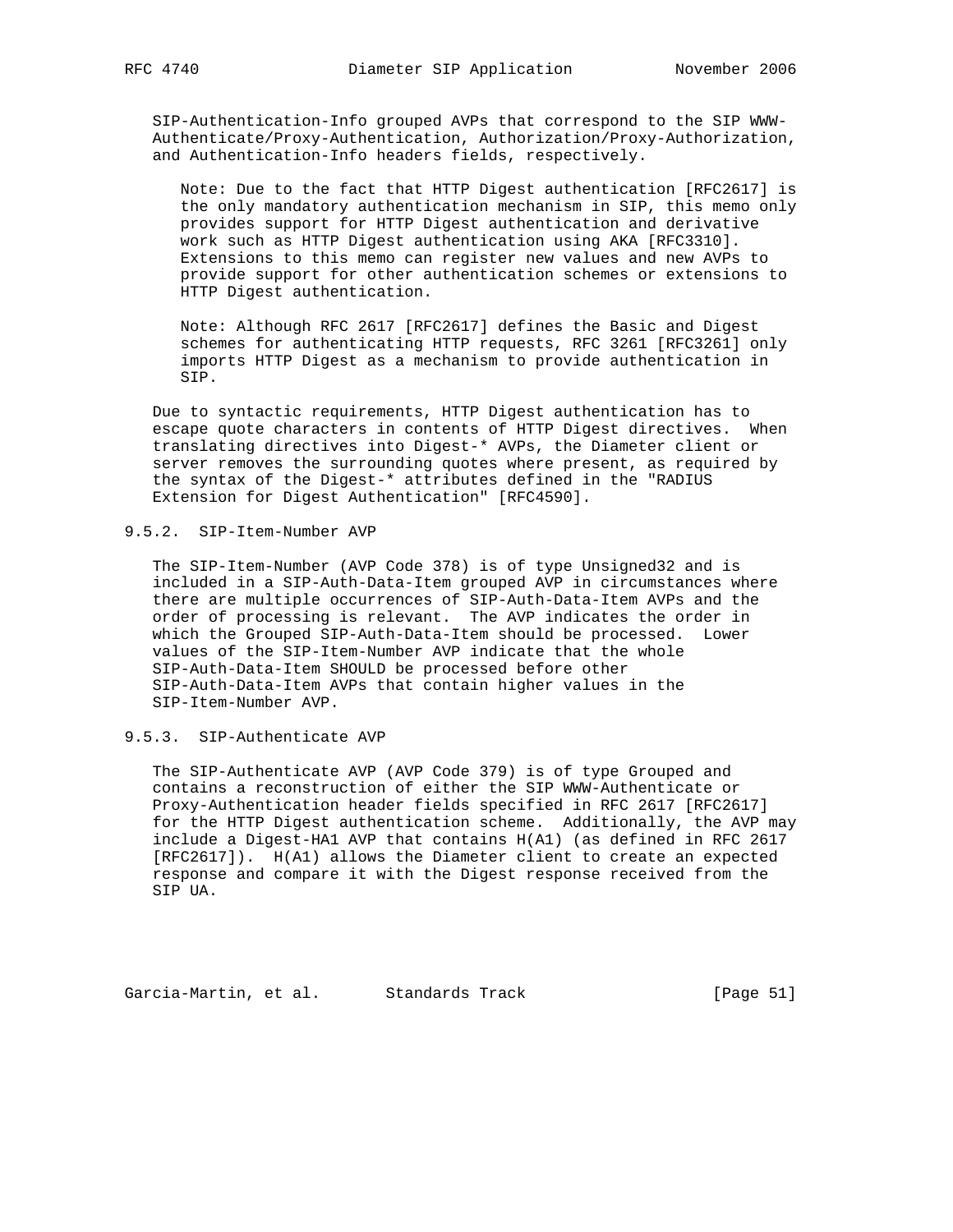SIP-Authentication-Info grouped AVPs that correspond to the SIP WWW- Authenticate/Proxy-Authentication, Authorization/Proxy-Authorization, and Authentication-Info headers fields, respectively.

 Note: Due to the fact that HTTP Digest authentication [RFC2617] is the only mandatory authentication mechanism in SIP, this memo only provides support for HTTP Digest authentication and derivative work such as HTTP Digest authentication using AKA [RFC3310]. Extensions to this memo can register new values and new AVPs to provide support for other authentication schemes or extensions to HTTP Digest authentication.

 Note: Although RFC 2617 [RFC2617] defines the Basic and Digest schemes for authenticating HTTP requests, RFC 3261 [RFC3261] only imports HTTP Digest as a mechanism to provide authentication in SIP.

 Due to syntactic requirements, HTTP Digest authentication has to escape quote characters in contents of HTTP Digest directives. When translating directives into Digest-\* AVPs, the Diameter client or server removes the surrounding quotes where present, as required by the syntax of the Digest-\* attributes defined in the "RADIUS Extension for Digest Authentication" [RFC4590].

9.5.2. SIP-Item-Number AVP

 The SIP-Item-Number (AVP Code 378) is of type Unsigned32 and is included in a SIP-Auth-Data-Item grouped AVP in circumstances where there are multiple occurrences of SIP-Auth-Data-Item AVPs and the order of processing is relevant. The AVP indicates the order in which the Grouped SIP-Auth-Data-Item should be processed. Lower values of the SIP-Item-Number AVP indicate that the whole SIP-Auth-Data-Item SHOULD be processed before other SIP-Auth-Data-Item AVPs that contain higher values in the SIP-Item-Number AVP.

9.5.3. SIP-Authenticate AVP

 The SIP-Authenticate AVP (AVP Code 379) is of type Grouped and contains a reconstruction of either the SIP WWW-Authenticate or Proxy-Authentication header fields specified in RFC 2617 [RFC2617] for the HTTP Digest authentication scheme. Additionally, the AVP may include a Digest-HA1 AVP that contains H(A1) (as defined in RFC 2617 [RFC2617]). H(A1) allows the Diameter client to create an expected response and compare it with the Digest response received from the SIP UA.

Garcia-Martin, et al. Standards Track [Page 51]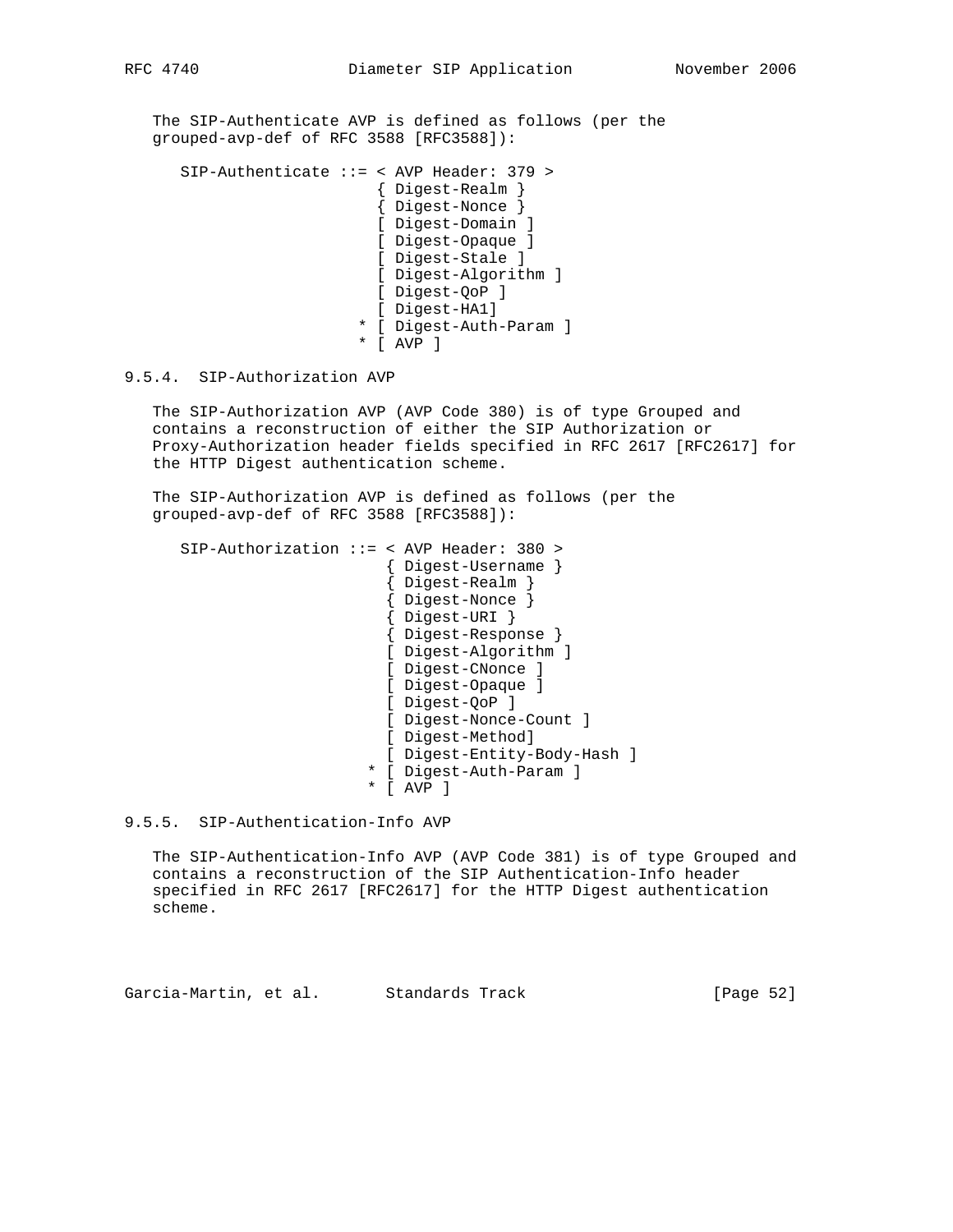The SIP-Authenticate AVP is defined as follows (per the grouped-avp-def of RFC 3588 [RFC3588]):

 SIP-Authenticate ::= < AVP Header: 379 > { Digest-Realm } { Digest-Nonce } [ Digest-Domain ] [ Digest-Opaque ] [ Digest-Stale ] [ Digest-Algorithm ] [ Digest-QoP ] [ Digest-HA1] \* [ Digest-Auth-Param ] \* [ AVP ]

# 9.5.4. SIP-Authorization AVP

 The SIP-Authorization AVP (AVP Code 380) is of type Grouped and contains a reconstruction of either the SIP Authorization or Proxy-Authorization header fields specified in RFC 2617 [RFC2617] for the HTTP Digest authentication scheme.

 The SIP-Authorization AVP is defined as follows (per the grouped-avp-def of RFC 3588 [RFC3588]):

```
 SIP-Authorization ::= < AVP Header: 380 >
                         { Digest-Username }
                         { Digest-Realm }
{ Digest-Nonce }
{ Digest-URI }
                         { Digest-Response }
                        [ Digest-Algorithm ]
                        [ Digest-CNonce ]
                        [ Digest-Opaque ]
                        [ Digest-QoP ]
                        [ Digest-Nonce-Count ]
                        [ Digest-Method]
                         [ Digest-Entity-Body-Hash ]
                       * [ Digest-Auth-Param ]
                       * [ AVP ]
```
9.5.5. SIP-Authentication-Info AVP

 The SIP-Authentication-Info AVP (AVP Code 381) is of type Grouped and contains a reconstruction of the SIP Authentication-Info header specified in RFC 2617 [RFC2617] for the HTTP Digest authentication scheme.

Garcia-Martin, et al. Standards Track [Page 52]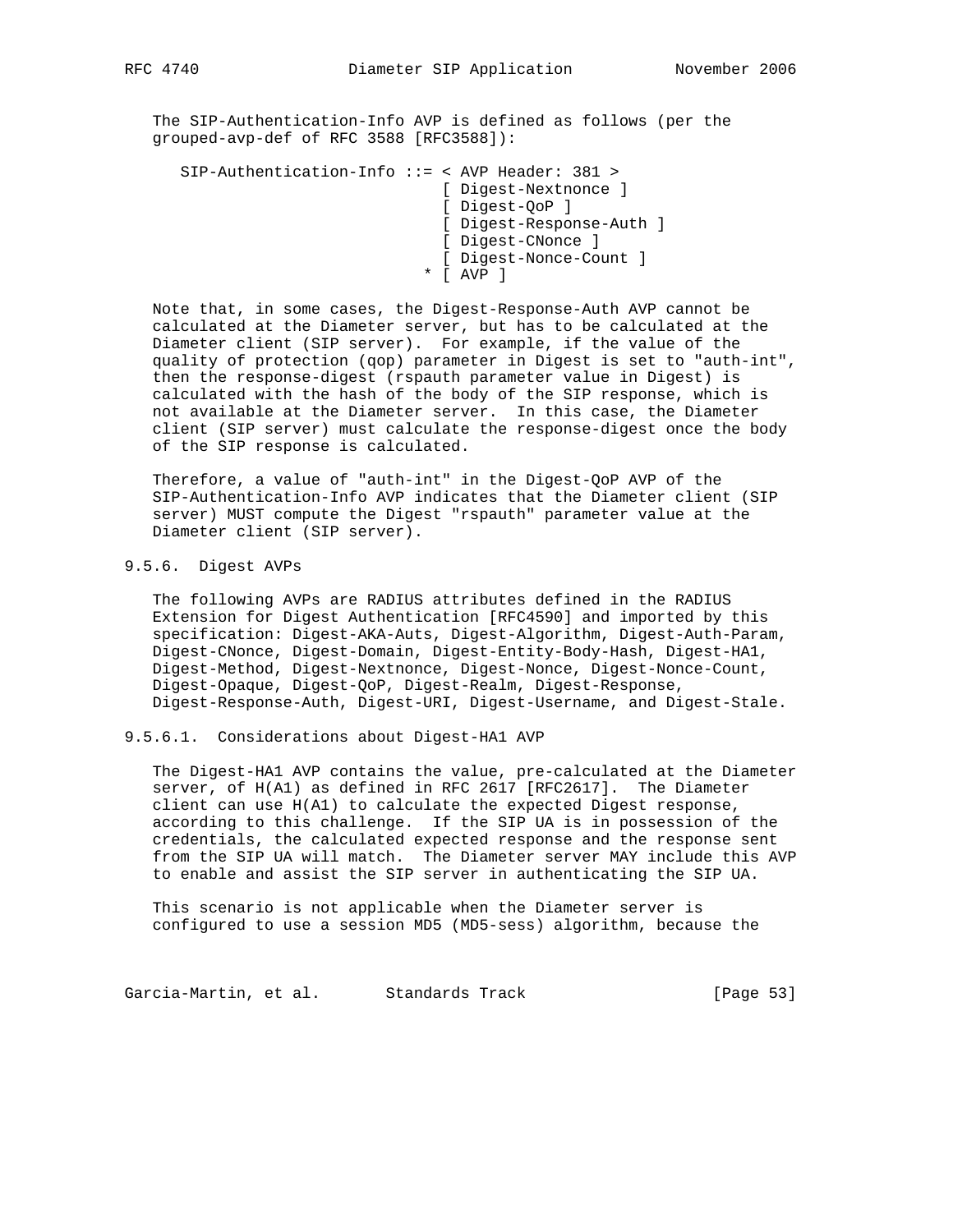The SIP-Authentication-Info AVP is defined as follows (per the grouped-avp-def of RFC 3588 [RFC3588]):

```
 SIP-Authentication-Info ::= < AVP Header: 381 >
                             [ Digest-Nextnonce ]
                             [ Digest-QoP ]
                             [ Digest-Response-Auth ]
                             [ Digest-CNonce ]
                             [ Digest-Nonce-Count ]
                           * [ AVP ]
```
 Note that, in some cases, the Digest-Response-Auth AVP cannot be calculated at the Diameter server, but has to be calculated at the Diameter client (SIP server). For example, if the value of the quality of protection (qop) parameter in Digest is set to "auth-int", then the response-digest (rspauth parameter value in Digest) is calculated with the hash of the body of the SIP response, which is not available at the Diameter server. In this case, the Diameter client (SIP server) must calculate the response-digest once the body of the SIP response is calculated.

 Therefore, a value of "auth-int" in the Digest-QoP AVP of the SIP-Authentication-Info AVP indicates that the Diameter client (SIP server) MUST compute the Digest "rspauth" parameter value at the Diameter client (SIP server).

# 9.5.6. Digest AVPs

 The following AVPs are RADIUS attributes defined in the RADIUS Extension for Digest Authentication [RFC4590] and imported by this specification: Digest-AKA-Auts, Digest-Algorithm, Digest-Auth-Param, Digest-CNonce, Digest-Domain, Digest-Entity-Body-Hash, Digest-HA1, Digest-Method, Digest-Nextnonce, Digest-Nonce, Digest-Nonce-Count, Digest-Opaque, Digest-QoP, Digest-Realm, Digest-Response, Digest-Response-Auth, Digest-URI, Digest-Username, and Digest-Stale.

## 9.5.6.1. Considerations about Digest-HA1 AVP

 The Digest-HA1 AVP contains the value, pre-calculated at the Diameter server, of H(A1) as defined in RFC 2617 [RFC2617]. The Diameter client can use H(A1) to calculate the expected Digest response, according to this challenge. If the SIP UA is in possession of the credentials, the calculated expected response and the response sent from the SIP UA will match. The Diameter server MAY include this AVP to enable and assist the SIP server in authenticating the SIP UA.

 This scenario is not applicable when the Diameter server is configured to use a session MD5 (MD5-sess) algorithm, because the

Garcia-Martin, et al. Standards Track [Page 53]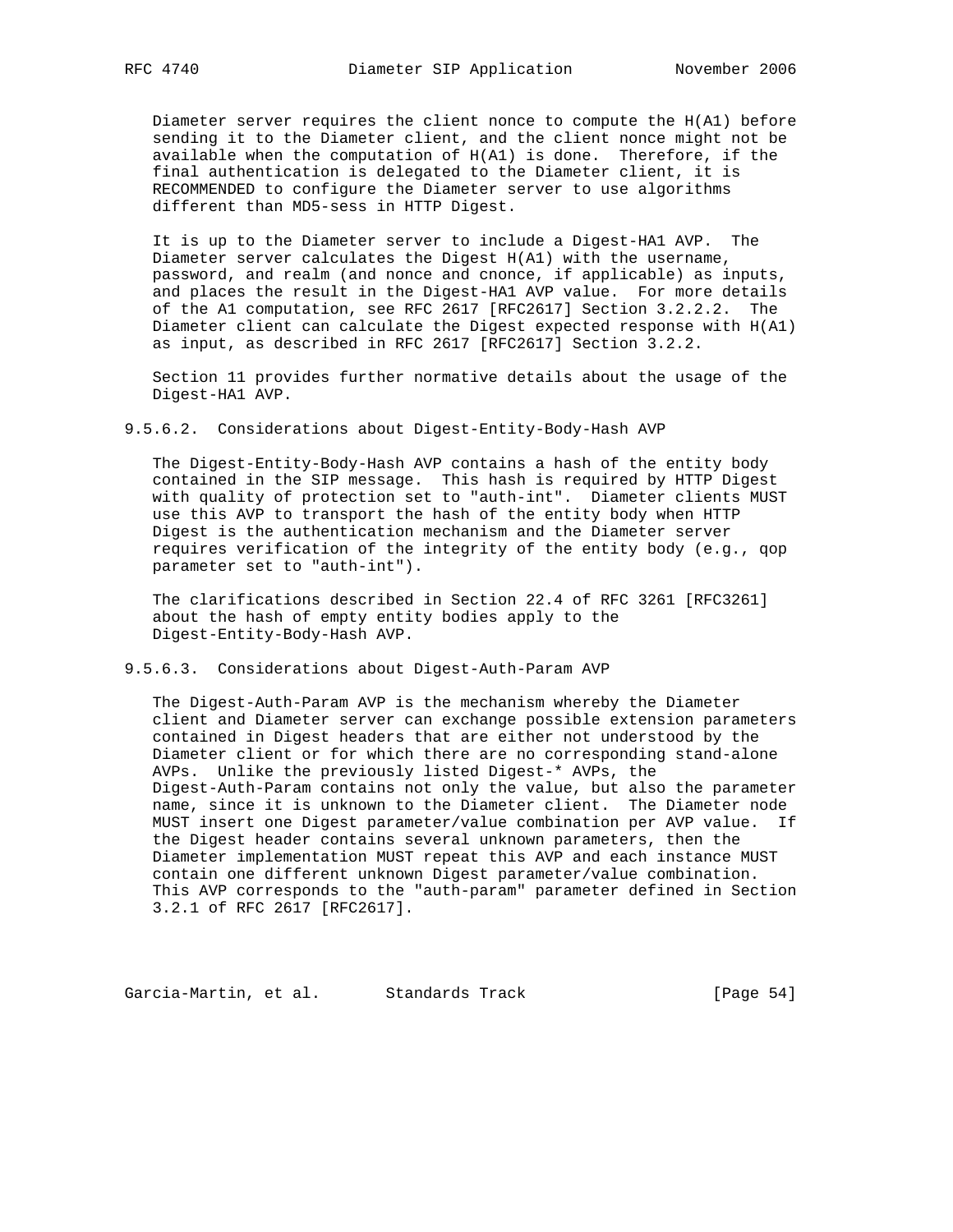Diameter server requires the client nonce to compute the H(A1) before sending it to the Diameter client, and the client nonce might not be available when the computation of H(A1) is done. Therefore, if the final authentication is delegated to the Diameter client, it is RECOMMENDED to configure the Diameter server to use algorithms different than MD5-sess in HTTP Digest.

 It is up to the Diameter server to include a Digest-HA1 AVP. The Diameter server calculates the Digest H(A1) with the username, password, and realm (and nonce and cnonce, if applicable) as inputs, and places the result in the Digest-HA1 AVP value. For more details of the A1 computation, see RFC 2617 [RFC2617] Section 3.2.2.2. The Diameter client can calculate the Digest expected response with H(A1) as input, as described in RFC 2617 [RFC2617] Section 3.2.2.

 Section 11 provides further normative details about the usage of the Digest-HA1 AVP.

9.5.6.2. Considerations about Digest-Entity-Body-Hash AVP

 The Digest-Entity-Body-Hash AVP contains a hash of the entity body contained in the SIP message. This hash is required by HTTP Digest with quality of protection set to "auth-int". Diameter clients MUST use this AVP to transport the hash of the entity body when HTTP Digest is the authentication mechanism and the Diameter server requires verification of the integrity of the entity body (e.g., qop parameter set to "auth-int").

 The clarifications described in Section 22.4 of RFC 3261 [RFC3261] about the hash of empty entity bodies apply to the Digest-Entity-Body-Hash AVP.

9.5.6.3. Considerations about Digest-Auth-Param AVP

 The Digest-Auth-Param AVP is the mechanism whereby the Diameter client and Diameter server can exchange possible extension parameters contained in Digest headers that are either not understood by the Diameter client or for which there are no corresponding stand-alone AVPs. Unlike the previously listed Digest-\* AVPs, the Digest-Auth-Param contains not only the value, but also the parameter name, since it is unknown to the Diameter client. The Diameter node MUST insert one Digest parameter/value combination per AVP value. If the Digest header contains several unknown parameters, then the Diameter implementation MUST repeat this AVP and each instance MUST contain one different unknown Digest parameter/value combination. This AVP corresponds to the "auth-param" parameter defined in Section 3.2.1 of RFC 2617 [RFC2617].

Garcia-Martin, et al. Standards Track [Page 54]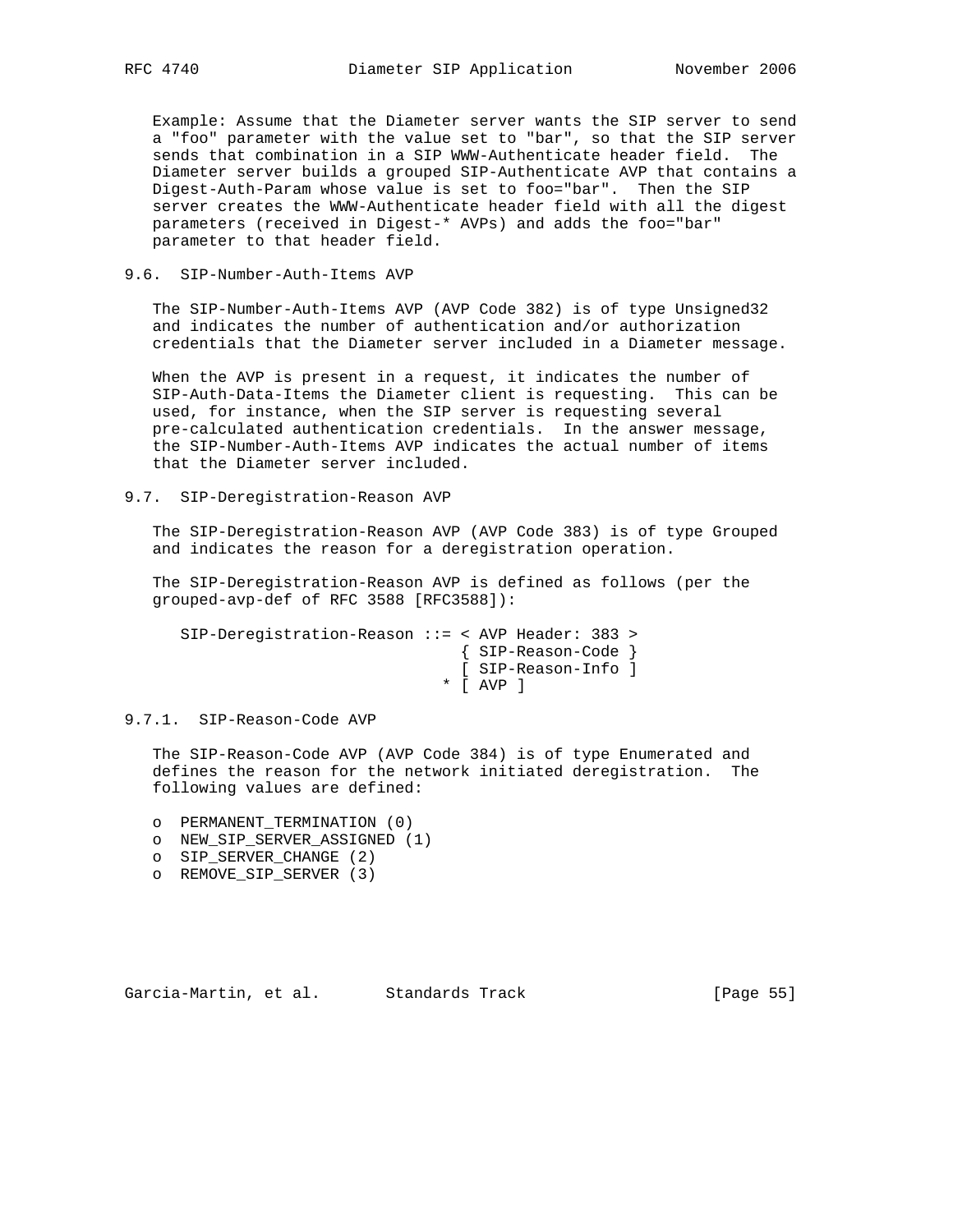Example: Assume that the Diameter server wants the SIP server to send a "foo" parameter with the value set to "bar", so that the SIP server sends that combination in a SIP WWW-Authenticate header field. The Diameter server builds a grouped SIP-Authenticate AVP that contains a Digest-Auth-Param whose value is set to foo="bar". Then the SIP server creates the WWW-Authenticate header field with all the digest parameters (received in Digest-\* AVPs) and adds the foo="bar" parameter to that header field.

## 9.6. SIP-Number-Auth-Items AVP

 The SIP-Number-Auth-Items AVP (AVP Code 382) is of type Unsigned32 and indicates the number of authentication and/or authorization credentials that the Diameter server included in a Diameter message.

 When the AVP is present in a request, it indicates the number of SIP-Auth-Data-Items the Diameter client is requesting. This can be used, for instance, when the SIP server is requesting several pre-calculated authentication credentials. In the answer message, the SIP-Number-Auth-Items AVP indicates the actual number of items that the Diameter server included.

9.7. SIP-Deregistration-Reason AVP

 The SIP-Deregistration-Reason AVP (AVP Code 383) is of type Grouped and indicates the reason for a deregistration operation.

 The SIP-Deregistration-Reason AVP is defined as follows (per the grouped-avp-def of RFC 3588 [RFC3588]):

 SIP-Deregistration-Reason ::= < AVP Header: 383 > { SIP-Reason-Code } [ SIP-Reason-Info ] \* [ AVP ]

### 9.7.1. SIP-Reason-Code AVP

 The SIP-Reason-Code AVP (AVP Code 384) is of type Enumerated and defines the reason for the network initiated deregistration. The following values are defined:

- o PERMANENT\_TERMINATION (0)
- o NEW\_SIP\_SERVER\_ASSIGNED (1)
- o SIP\_SERVER\_CHANGE (2)
- o REMOVE\_SIP\_SERVER (3)

Garcia-Martin, et al. Standards Track [Page 55]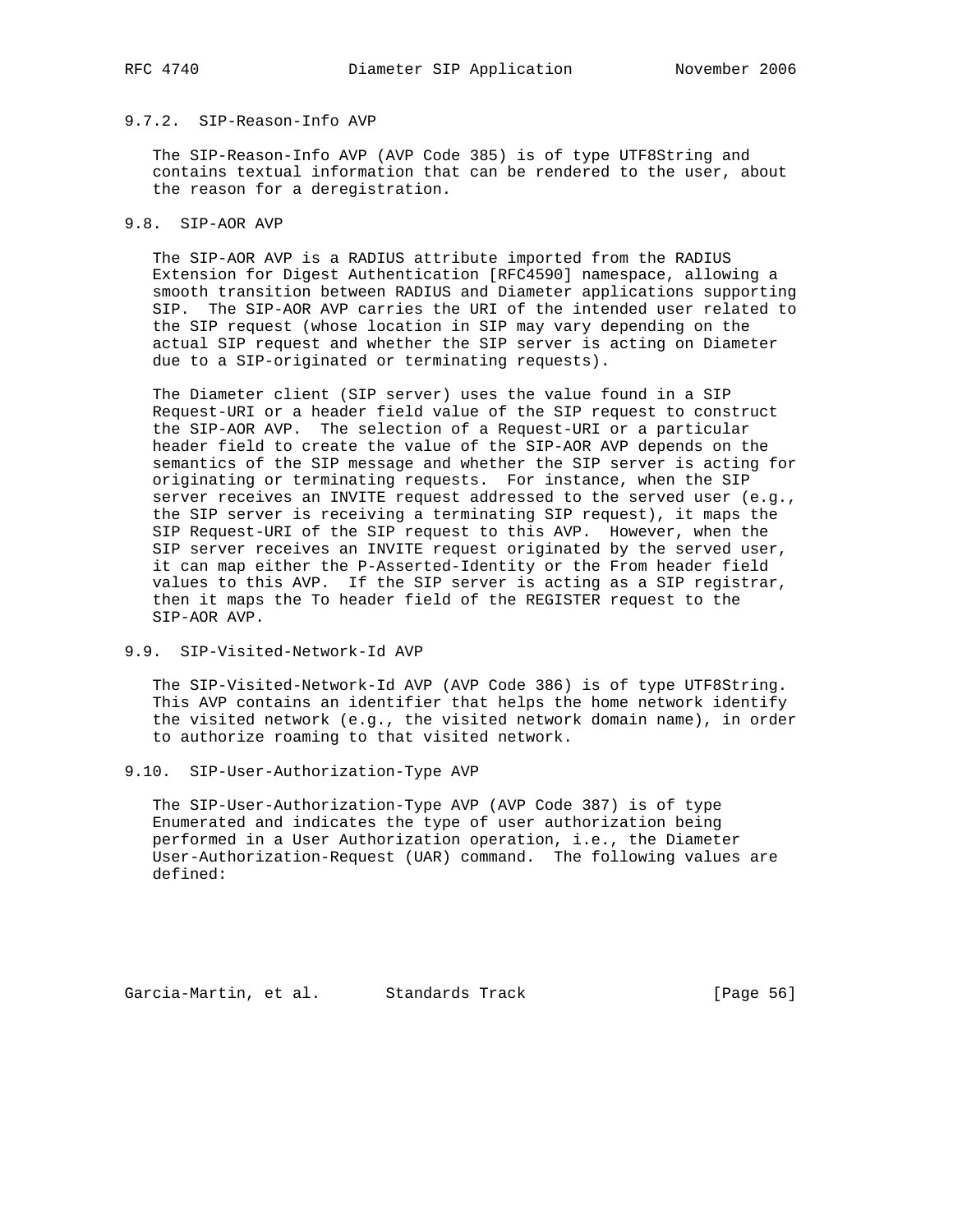# 9.7.2. SIP-Reason-Info AVP

 The SIP-Reason-Info AVP (AVP Code 385) is of type UTF8String and contains textual information that can be rendered to the user, about the reason for a deregistration.

# 9.8. SIP-AOR AVP

 The SIP-AOR AVP is a RADIUS attribute imported from the RADIUS Extension for Digest Authentication [RFC4590] namespace, allowing a smooth transition between RADIUS and Diameter applications supporting SIP. The SIP-AOR AVP carries the URI of the intended user related to the SIP request (whose location in SIP may vary depending on the actual SIP request and whether the SIP server is acting on Diameter due to a SIP-originated or terminating requests).

 The Diameter client (SIP server) uses the value found in a SIP Request-URI or a header field value of the SIP request to construct the SIP-AOR AVP. The selection of a Request-URI or a particular header field to create the value of the SIP-AOR AVP depends on the semantics of the SIP message and whether the SIP server is acting for originating or terminating requests. For instance, when the SIP server receives an INVITE request addressed to the served user (e.g., the SIP server is receiving a terminating SIP request), it maps the SIP Request-URI of the SIP request to this AVP. However, when the SIP server receives an INVITE request originated by the served user, it can map either the P-Asserted-Identity or the From header field values to this AVP. If the SIP server is acting as a SIP registrar, then it maps the To header field of the REGISTER request to the SIP-AOR AVP.

9.9. SIP-Visited-Network-Id AVP

 The SIP-Visited-Network-Id AVP (AVP Code 386) is of type UTF8String. This AVP contains an identifier that helps the home network identify the visited network (e.g., the visited network domain name), in order to authorize roaming to that visited network.

9.10. SIP-User-Authorization-Type AVP

 The SIP-User-Authorization-Type AVP (AVP Code 387) is of type Enumerated and indicates the type of user authorization being performed in a User Authorization operation, i.e., the Diameter User-Authorization-Request (UAR) command. The following values are defined:

Garcia-Martin, et al. Standards Track [Page 56]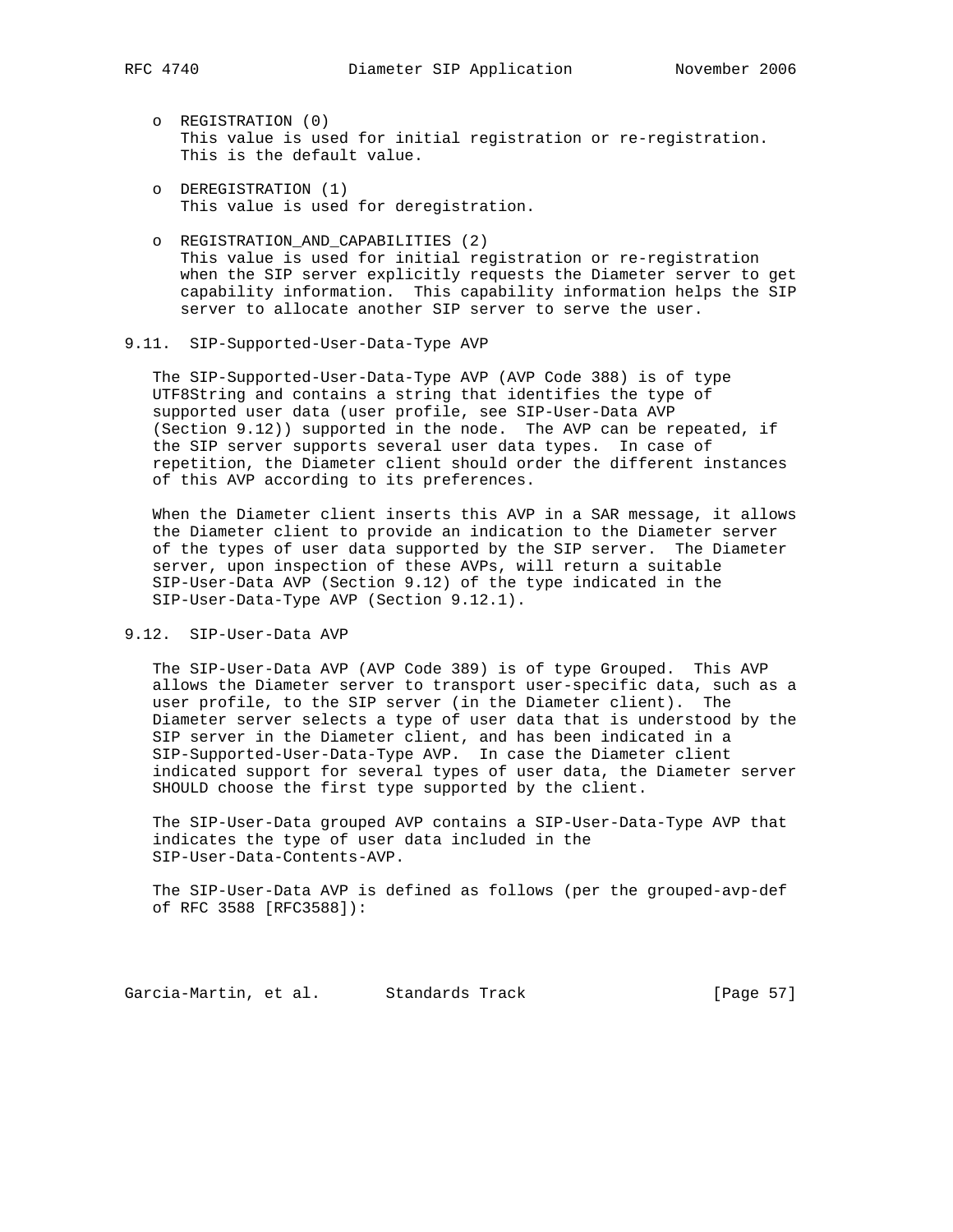- o REGISTRATION (0) This value is used for initial registration or re-registration. This is the default value.
- o DEREGISTRATION (1) This value is used for deregistration.
- o REGISTRATION\_AND\_CAPABILITIES (2) This value is used for initial registration or re-registration when the SIP server explicitly requests the Diameter server to get capability information. This capability information helps the SIP server to allocate another SIP server to serve the user.

### 9.11. SIP-Supported-User-Data-Type AVP

 The SIP-Supported-User-Data-Type AVP (AVP Code 388) is of type UTF8String and contains a string that identifies the type of supported user data (user profile, see SIP-User-Data AVP (Section 9.12)) supported in the node. The AVP can be repeated, if the SIP server supports several user data types. In case of repetition, the Diameter client should order the different instances of this AVP according to its preferences.

 When the Diameter client inserts this AVP in a SAR message, it allows the Diameter client to provide an indication to the Diameter server of the types of user data supported by the SIP server. The Diameter server, upon inspection of these AVPs, will return a suitable SIP-User-Data AVP (Section 9.12) of the type indicated in the SIP-User-Data-Type AVP (Section 9.12.1).

## 9.12. SIP-User-Data AVP

 The SIP-User-Data AVP (AVP Code 389) is of type Grouped. This AVP allows the Diameter server to transport user-specific data, such as a user profile, to the SIP server (in the Diameter client). The Diameter server selects a type of user data that is understood by the SIP server in the Diameter client, and has been indicated in a SIP-Supported-User-Data-Type AVP. In case the Diameter client indicated support for several types of user data, the Diameter server SHOULD choose the first type supported by the client.

 The SIP-User-Data grouped AVP contains a SIP-User-Data-Type AVP that indicates the type of user data included in the SIP-User-Data-Contents-AVP.

 The SIP-User-Data AVP is defined as follows (per the grouped-avp-def of RFC 3588 [RFC3588]):

Garcia-Martin, et al. Standards Track [Page 57]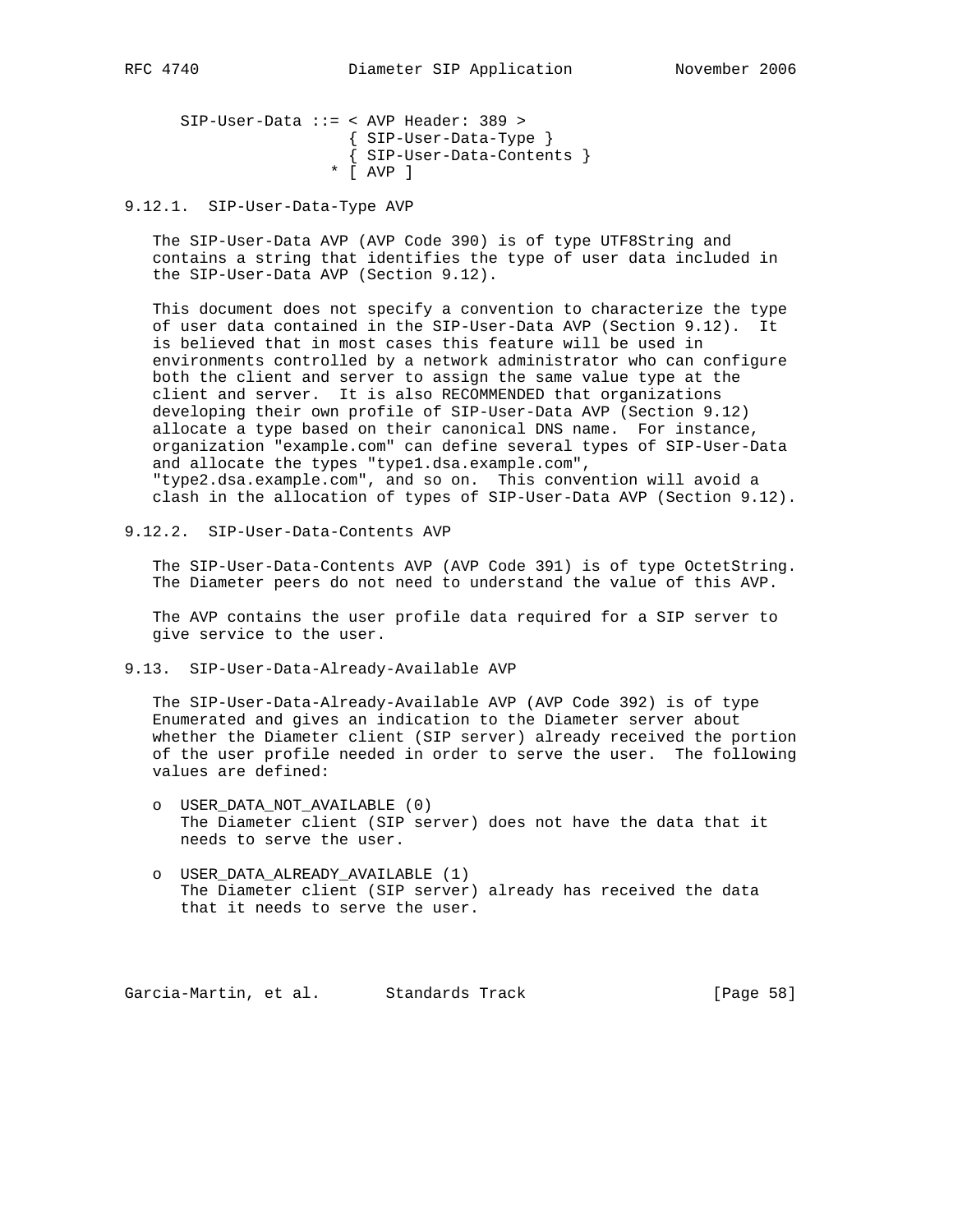SIP-User-Data ::= < AVP Header: 389 > { SIP-User-Data-Type } { SIP-User-Data-Contents } \* [ AVP ]

9.12.1. SIP-User-Data-Type AVP

 The SIP-User-Data AVP (AVP Code 390) is of type UTF8String and contains a string that identifies the type of user data included in the SIP-User-Data AVP (Section 9.12).

 This document does not specify a convention to characterize the type of user data contained in the SIP-User-Data AVP (Section 9.12). It is believed that in most cases this feature will be used in environments controlled by a network administrator who can configure both the client and server to assign the same value type at the client and server. It is also RECOMMENDED that organizations developing their own profile of SIP-User-Data AVP (Section 9.12) allocate a type based on their canonical DNS name. For instance, organization "example.com" can define several types of SIP-User-Data and allocate the types "type1.dsa.example.com", "type2.dsa.example.com", and so on. This convention will avoid a clash in the allocation of types of SIP-User-Data AVP (Section 9.12).

9.12.2. SIP-User-Data-Contents AVP

 The SIP-User-Data-Contents AVP (AVP Code 391) is of type OctetString. The Diameter peers do not need to understand the value of this AVP.

 The AVP contains the user profile data required for a SIP server to give service to the user.

9.13. SIP-User-Data-Already-Available AVP

 The SIP-User-Data-Already-Available AVP (AVP Code 392) is of type Enumerated and gives an indication to the Diameter server about whether the Diameter client (SIP server) already received the portion of the user profile needed in order to serve the user. The following values are defined:

- o USER\_DATA\_NOT\_AVAILABLE (0) The Diameter client (SIP server) does not have the data that it needs to serve the user.
- o USER\_DATA\_ALREADY\_AVAILABLE (1) The Diameter client (SIP server) already has received the data that it needs to serve the user.

Garcia-Martin, et al. Standards Track [Page 58]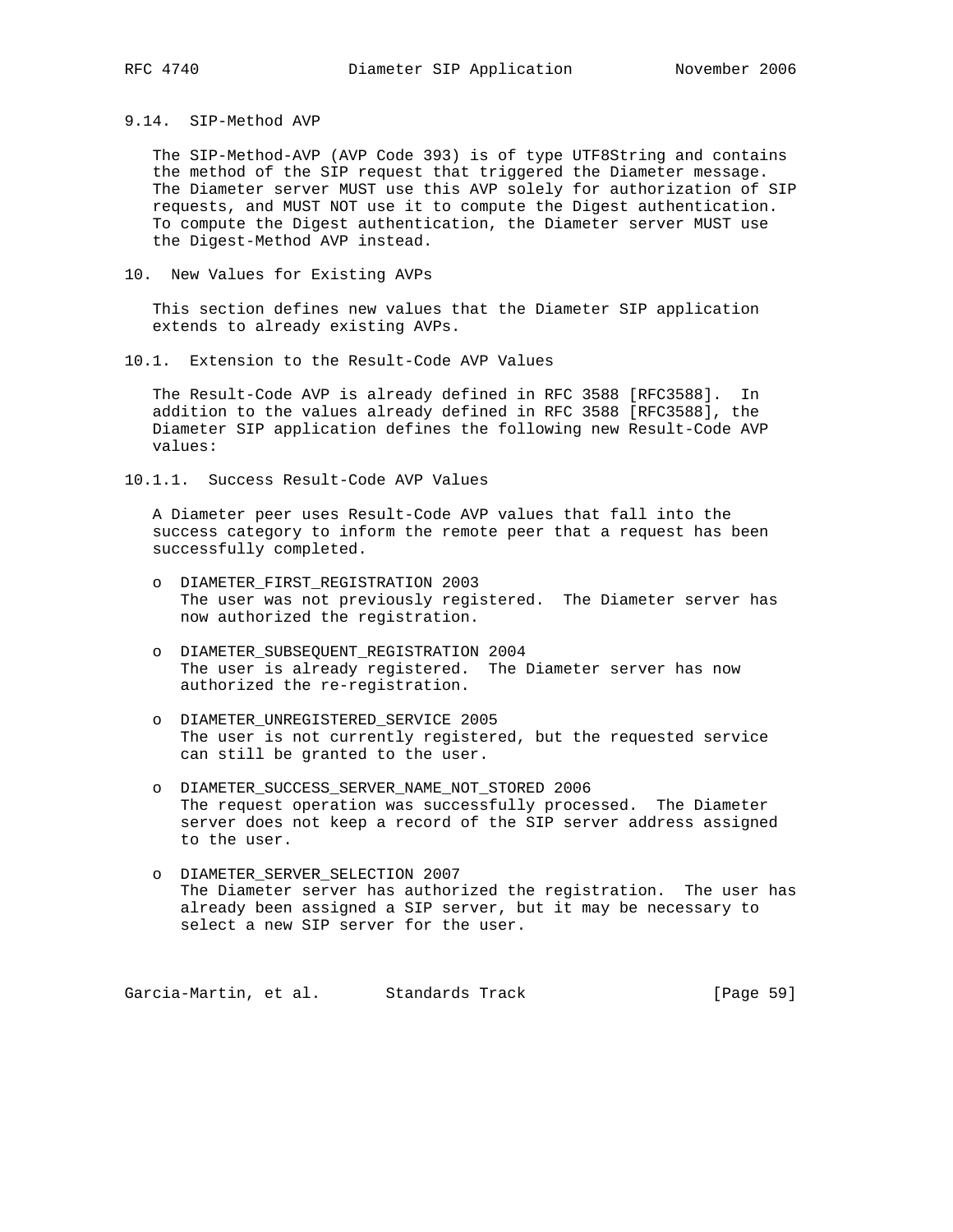9.14. SIP-Method AVP

 The SIP-Method-AVP (AVP Code 393) is of type UTF8String and contains the method of the SIP request that triggered the Diameter message. The Diameter server MUST use this AVP solely for authorization of SIP requests, and MUST NOT use it to compute the Digest authentication. To compute the Digest authentication, the Diameter server MUST use the Digest-Method AVP instead.

10. New Values for Existing AVPs

 This section defines new values that the Diameter SIP application extends to already existing AVPs.

10.1. Extension to the Result-Code AVP Values

 The Result-Code AVP is already defined in RFC 3588 [RFC3588]. In addition to the values already defined in RFC 3588 [RFC3588], the Diameter SIP application defines the following new Result-Code AVP values:

10.1.1. Success Result-Code AVP Values

 A Diameter peer uses Result-Code AVP values that fall into the success category to inform the remote peer that a request has been successfully completed.

- o DIAMETER\_FIRST\_REGISTRATION 2003 The user was not previously registered. The Diameter server has now authorized the registration.
- o DIAMETER\_SUBSEQUENT\_REGISTRATION 2004 The user is already registered. The Diameter server has now authorized the re-registration.
- o DIAMETER\_UNREGISTERED\_SERVICE 2005 The user is not currently registered, but the requested service can still be granted to the user.
- o DIAMETER\_SUCCESS\_SERVER\_NAME\_NOT\_STORED 2006 The request operation was successfully processed. The Diameter server does not keep a record of the SIP server address assigned to the user.
- o DIAMETER\_SERVER\_SELECTION 2007 The Diameter server has authorized the registration. The user has already been assigned a SIP server, but it may be necessary to select a new SIP server for the user.

Garcia-Martin, et al. Standards Track [Page 59]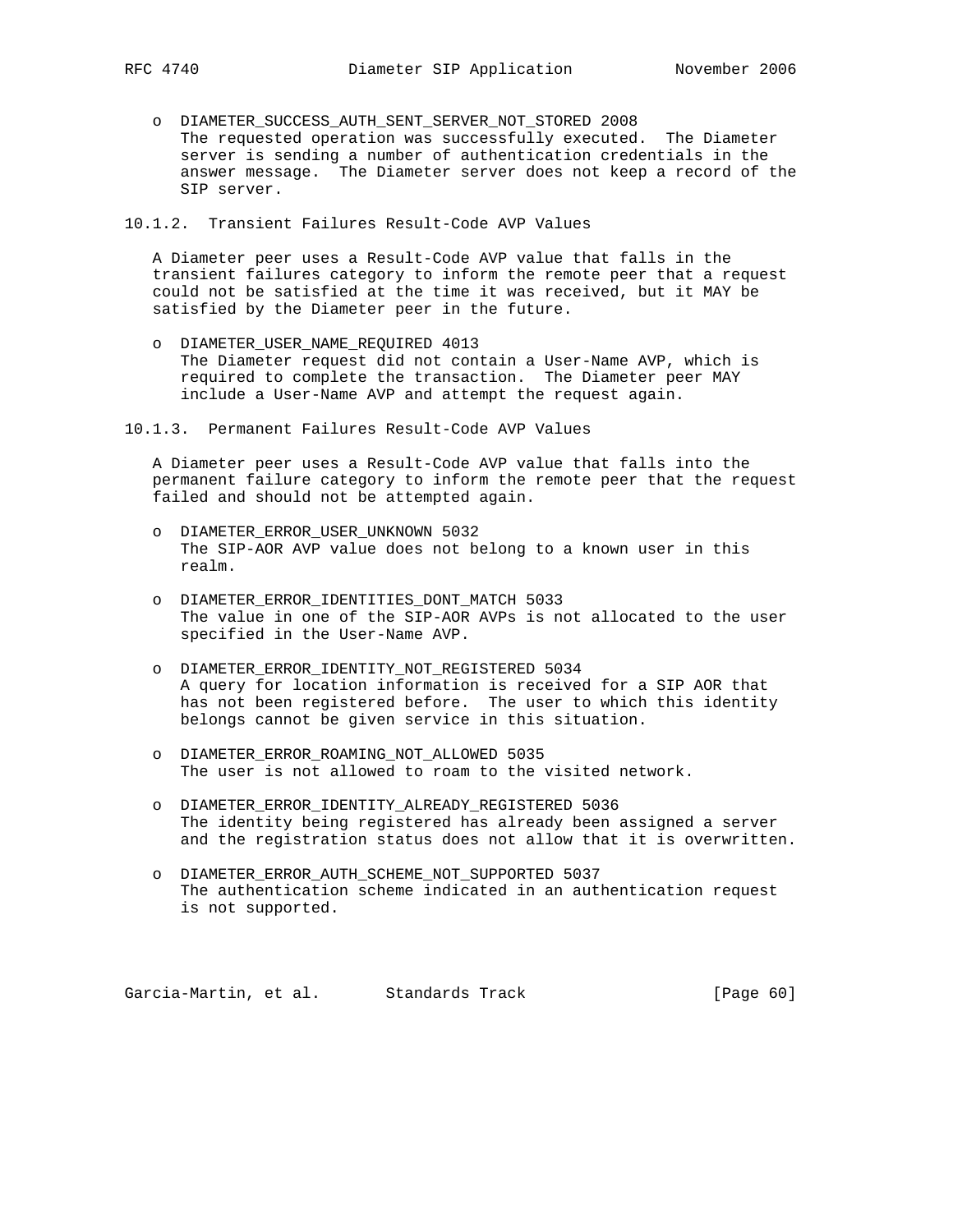- o DIAMETER\_SUCCESS\_AUTH\_SENT\_SERVER\_NOT\_STORED 2008 The requested operation was successfully executed. The Diameter server is sending a number of authentication credentials in the answer message. The Diameter server does not keep a record of the SIP server.
- 10.1.2. Transient Failures Result-Code AVP Values

 A Diameter peer uses a Result-Code AVP value that falls in the transient failures category to inform the remote peer that a request could not be satisfied at the time it was received, but it MAY be satisfied by the Diameter peer in the future.

- o DIAMETER\_USER\_NAME\_REQUIRED 4013 The Diameter request did not contain a User-Name AVP, which is required to complete the transaction. The Diameter peer MAY include a User-Name AVP and attempt the request again.
- 10.1.3. Permanent Failures Result-Code AVP Values

 A Diameter peer uses a Result-Code AVP value that falls into the permanent failure category to inform the remote peer that the request failed and should not be attempted again.

- o DIAMETER\_ERROR\_USER\_UNKNOWN 5032 The SIP-AOR AVP value does not belong to a known user in this realm.
- o DIAMETER\_ERROR\_IDENTITIES\_DONT\_MATCH 5033 The value in one of the SIP-AOR AVPs is not allocated to the user specified in the User-Name AVP.
- o DIAMETER\_ERROR\_IDENTITY\_NOT\_REGISTERED 5034 A query for location information is received for a SIP AOR that has not been registered before. The user to which this identity belongs cannot be given service in this situation.
- o DIAMETER\_ERROR\_ROAMING\_NOT\_ALLOWED 5035 The user is not allowed to roam to the visited network.
- o DIAMETER\_ERROR\_IDENTITY\_ALREADY\_REGISTERED 5036 The identity being registered has already been assigned a server and the registration status does not allow that it is overwritten.
- o DIAMETER\_ERROR\_AUTH\_SCHEME\_NOT\_SUPPORTED 5037 The authentication scheme indicated in an authentication request is not supported.

Garcia-Martin, et al. Standards Track [Page 60]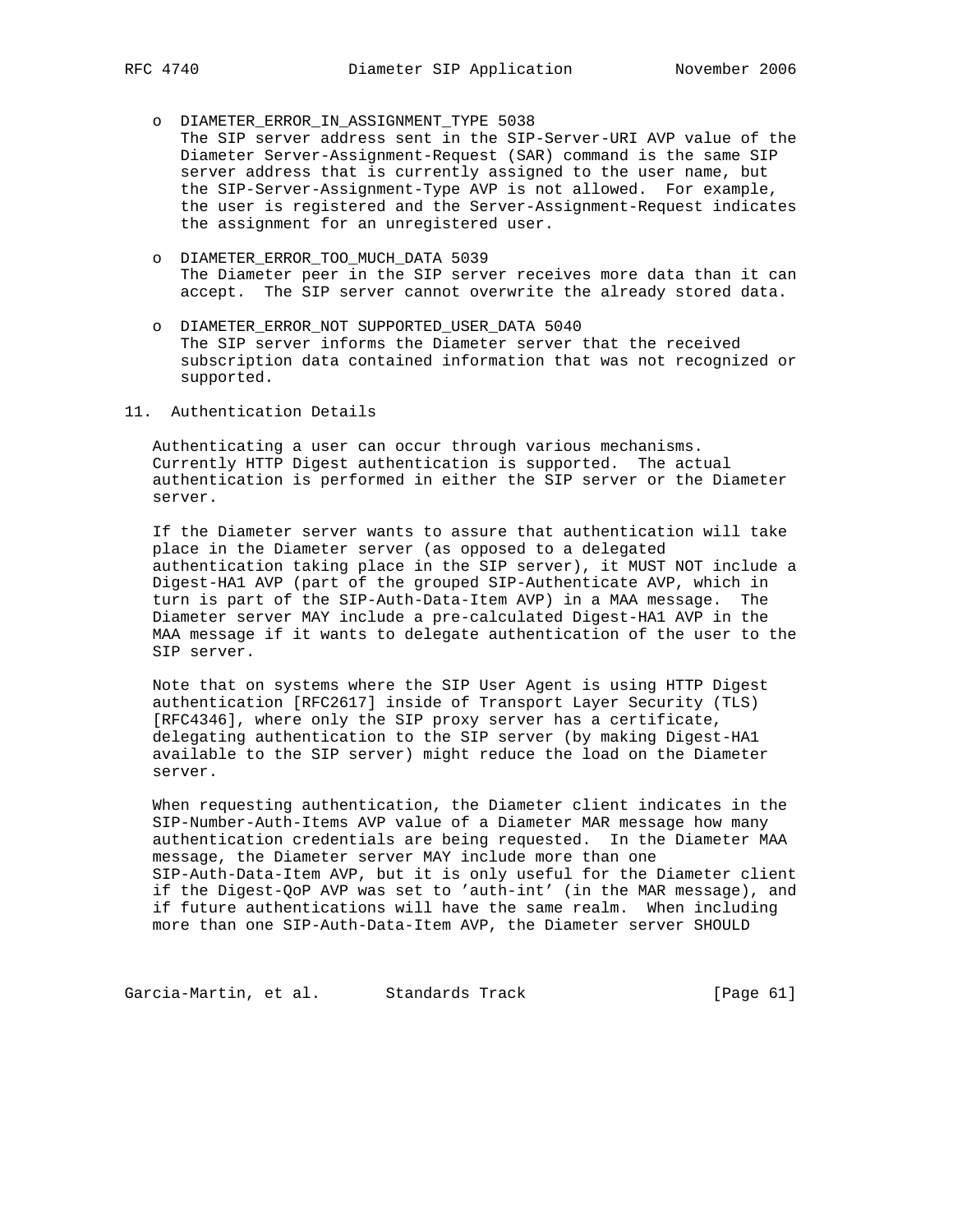- o DIAMETER\_ERROR\_IN\_ASSIGNMENT\_TYPE 5038
- The SIP server address sent in the SIP-Server-URI AVP value of the Diameter Server-Assignment-Request (SAR) command is the same SIP server address that is currently assigned to the user name, but the SIP-Server-Assignment-Type AVP is not allowed. For example, the user is registered and the Server-Assignment-Request indicates the assignment for an unregistered user.
- o DIAMETER\_ERROR\_TOO\_MUCH\_DATA 5039 The Diameter peer in the SIP server receives more data than it can accept. The SIP server cannot overwrite the already stored data.
- o DIAMETER\_ERROR\_NOT SUPPORTED\_USER\_DATA 5040 The SIP server informs the Diameter server that the received subscription data contained information that was not recognized or supported.
- 11. Authentication Details

 Authenticating a user can occur through various mechanisms. Currently HTTP Digest authentication is supported. The actual authentication is performed in either the SIP server or the Diameter server.

 If the Diameter server wants to assure that authentication will take place in the Diameter server (as opposed to a delegated authentication taking place in the SIP server), it MUST NOT include a Digest-HA1 AVP (part of the grouped SIP-Authenticate AVP, which in turn is part of the SIP-Auth-Data-Item AVP) in a MAA message. The Diameter server MAY include a pre-calculated Digest-HA1 AVP in the MAA message if it wants to delegate authentication of the user to the SIP server.

 Note that on systems where the SIP User Agent is using HTTP Digest authentication [RFC2617] inside of Transport Layer Security (TLS) [RFC4346], where only the SIP proxy server has a certificate, delegating authentication to the SIP server (by making Digest-HA1 available to the SIP server) might reduce the load on the Diameter server.

 When requesting authentication, the Diameter client indicates in the SIP-Number-Auth-Items AVP value of a Diameter MAR message how many authentication credentials are being requested. In the Diameter MAA message, the Diameter server MAY include more than one SIP-Auth-Data-Item AVP, but it is only useful for the Diameter client if the Digest-QoP AVP was set to 'auth-int' (in the MAR message), and if future authentications will have the same realm. When including more than one SIP-Auth-Data-Item AVP, the Diameter server SHOULD

Garcia-Martin, et al. Standards Track [Page 61]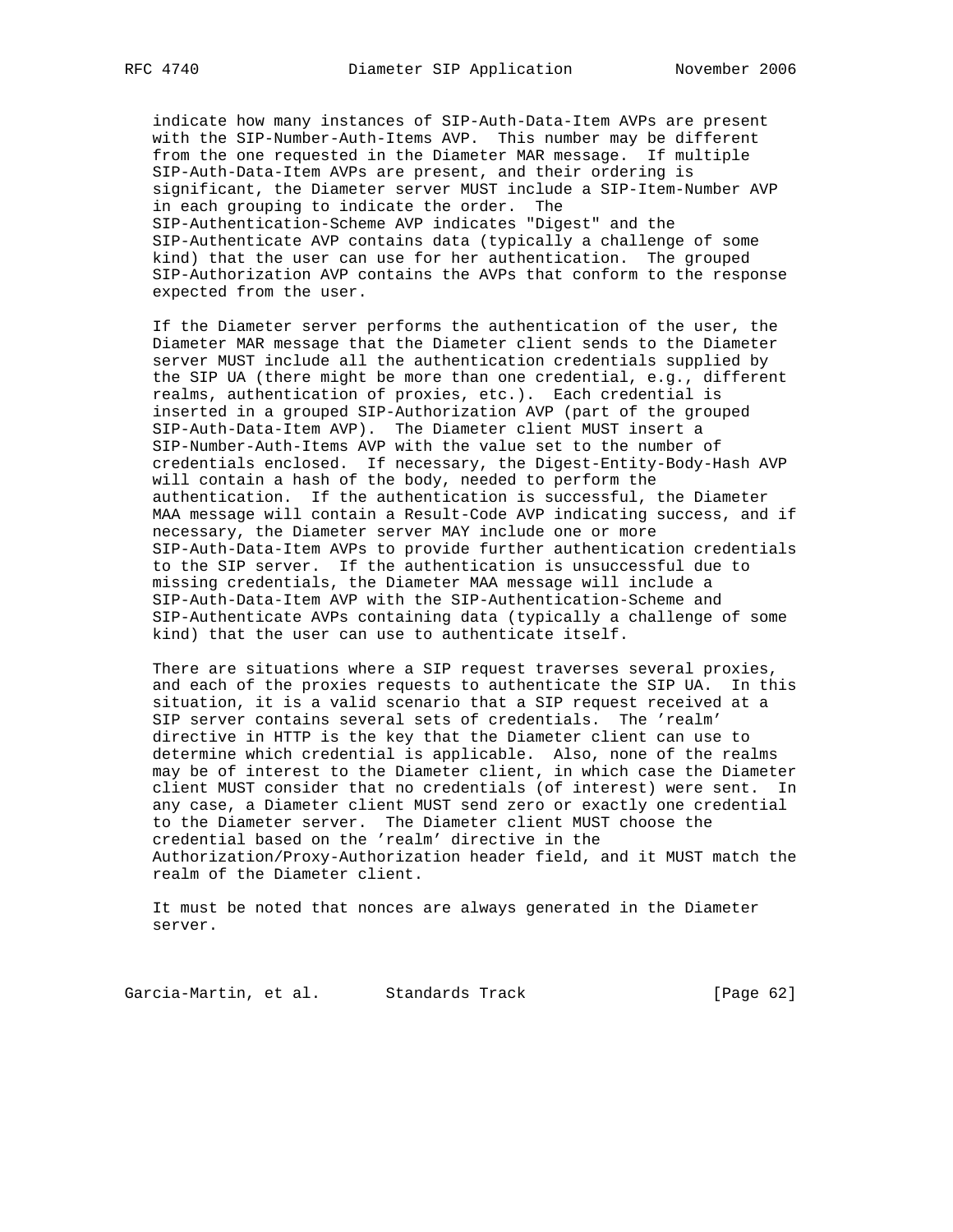indicate how many instances of SIP-Auth-Data-Item AVPs are present with the SIP-Number-Auth-Items AVP. This number may be different from the one requested in the Diameter MAR message. If multiple SIP-Auth-Data-Item AVPs are present, and their ordering is significant, the Diameter server MUST include a SIP-Item-Number AVP in each grouping to indicate the order. The SIP-Authentication-Scheme AVP indicates "Digest" and the SIP-Authenticate AVP contains data (typically a challenge of some kind) that the user can use for her authentication. The grouped SIP-Authorization AVP contains the AVPs that conform to the response expected from the user.

 If the Diameter server performs the authentication of the user, the Diameter MAR message that the Diameter client sends to the Diameter server MUST include all the authentication credentials supplied by the SIP UA (there might be more than one credential, e.g., different realms, authentication of proxies, etc.). Each credential is inserted in a grouped SIP-Authorization AVP (part of the grouped SIP-Auth-Data-Item AVP). The Diameter client MUST insert a SIP-Number-Auth-Items AVP with the value set to the number of credentials enclosed. If necessary, the Digest-Entity-Body-Hash AVP will contain a hash of the body, needed to perform the authentication. If the authentication is successful, the Diameter MAA message will contain a Result-Code AVP indicating success, and if necessary, the Diameter server MAY include one or more SIP-Auth-Data-Item AVPs to provide further authentication credentials to the SIP server. If the authentication is unsuccessful due to missing credentials, the Diameter MAA message will include a SIP-Auth-Data-Item AVP with the SIP-Authentication-Scheme and SIP-Authenticate AVPs containing data (typically a challenge of some kind) that the user can use to authenticate itself.

 There are situations where a SIP request traverses several proxies, and each of the proxies requests to authenticate the SIP UA. In this situation, it is a valid scenario that a SIP request received at a SIP server contains several sets of credentials. The 'realm' directive in HTTP is the key that the Diameter client can use to determine which credential is applicable. Also, none of the realms may be of interest to the Diameter client, in which case the Diameter client MUST consider that no credentials (of interest) were sent. In any case, a Diameter client MUST send zero or exactly one credential to the Diameter server. The Diameter client MUST choose the credential based on the 'realm' directive in the Authorization/Proxy-Authorization header field, and it MUST match the realm of the Diameter client.

 It must be noted that nonces are always generated in the Diameter server.

Garcia-Martin, et al. Standards Track [Page 62]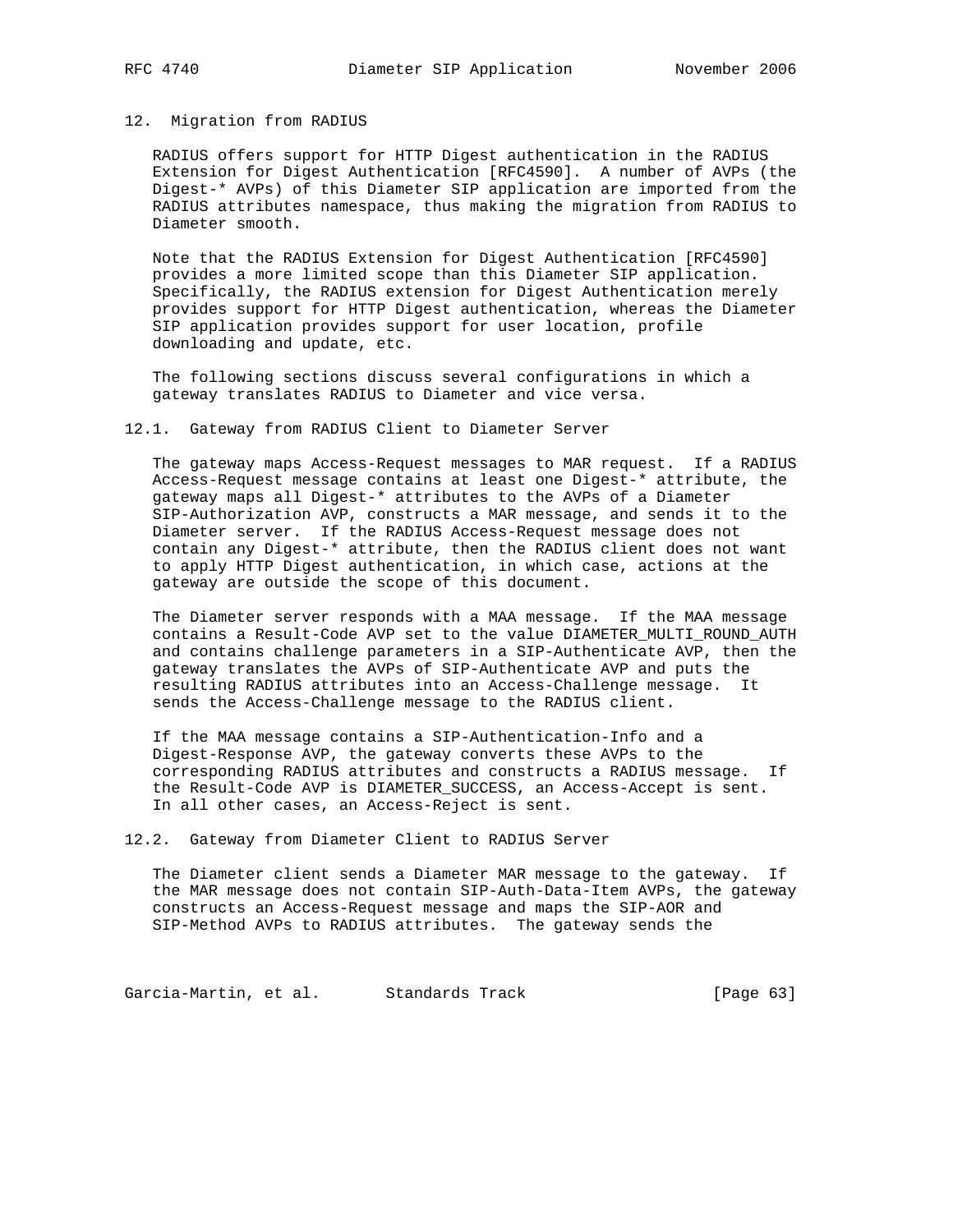### 12. Migration from RADIUS

 RADIUS offers support for HTTP Digest authentication in the RADIUS Extension for Digest Authentication [RFC4590]. A number of AVPs (the Digest-\* AVPs) of this Diameter SIP application are imported from the RADIUS attributes namespace, thus making the migration from RADIUS to Diameter smooth.

 Note that the RADIUS Extension for Digest Authentication [RFC4590] provides a more limited scope than this Diameter SIP application. Specifically, the RADIUS extension for Digest Authentication merely provides support for HTTP Digest authentication, whereas the Diameter SIP application provides support for user location, profile downloading and update, etc.

 The following sections discuss several configurations in which a gateway translates RADIUS to Diameter and vice versa.

12.1. Gateway from RADIUS Client to Diameter Server

 The gateway maps Access-Request messages to MAR request. If a RADIUS Access-Request message contains at least one Digest-\* attribute, the gateway maps all Digest-\* attributes to the AVPs of a Diameter SIP-Authorization AVP, constructs a MAR message, and sends it to the Diameter server. If the RADIUS Access-Request message does not contain any Digest-\* attribute, then the RADIUS client does not want to apply HTTP Digest authentication, in which case, actions at the gateway are outside the scope of this document.

 The Diameter server responds with a MAA message. If the MAA message contains a Result-Code AVP set to the value DIAMETER\_MULTI\_ROUND\_AUTH and contains challenge parameters in a SIP-Authenticate AVP, then the gateway translates the AVPs of SIP-Authenticate AVP and puts the resulting RADIUS attributes into an Access-Challenge message. It sends the Access-Challenge message to the RADIUS client.

 If the MAA message contains a SIP-Authentication-Info and a Digest-Response AVP, the gateway converts these AVPs to the corresponding RADIUS attributes and constructs a RADIUS message. If the Result-Code AVP is DIAMETER\_SUCCESS, an Access-Accept is sent. In all other cases, an Access-Reject is sent.

12.2. Gateway from Diameter Client to RADIUS Server

 The Diameter client sends a Diameter MAR message to the gateway. If the MAR message does not contain SIP-Auth-Data-Item AVPs, the gateway constructs an Access-Request message and maps the SIP-AOR and SIP-Method AVPs to RADIUS attributes. The gateway sends the

Garcia-Martin, et al. Standards Track [Page 63]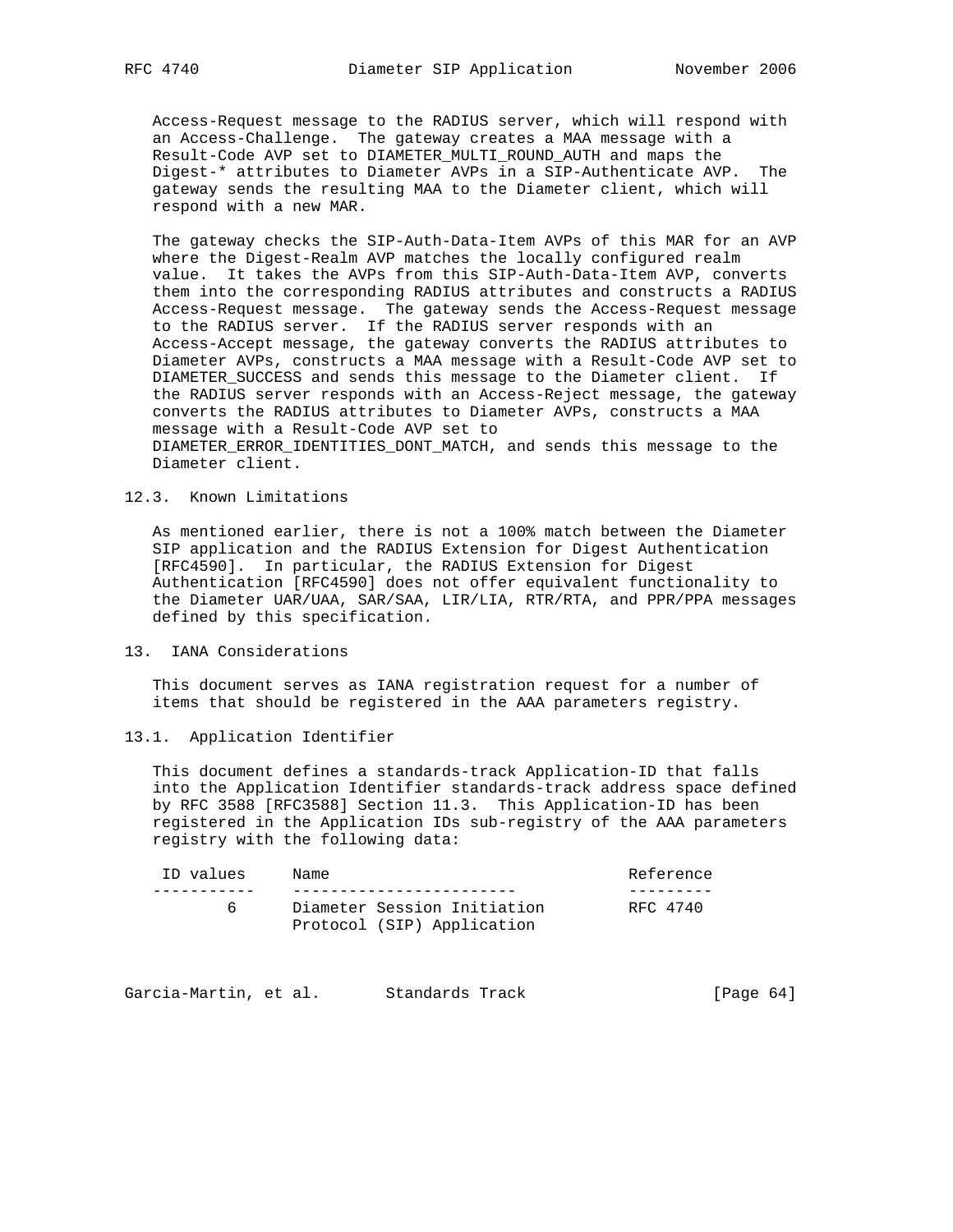Access-Request message to the RADIUS server, which will respond with an Access-Challenge. The gateway creates a MAA message with a Result-Code AVP set to DIAMETER\_MULTI\_ROUND\_AUTH and maps the Digest-\* attributes to Diameter AVPs in a SIP-Authenticate AVP. The gateway sends the resulting MAA to the Diameter client, which will respond with a new MAR.

 The gateway checks the SIP-Auth-Data-Item AVPs of this MAR for an AVP where the Digest-Realm AVP matches the locally configured realm value. It takes the AVPs from this SIP-Auth-Data-Item AVP, converts them into the corresponding RADIUS attributes and constructs a RADIUS Access-Request message. The gateway sends the Access-Request message to the RADIUS server. If the RADIUS server responds with an Access-Accept message, the gateway converts the RADIUS attributes to Diameter AVPs, constructs a MAA message with a Result-Code AVP set to DIAMETER\_SUCCESS and sends this message to the Diameter client. If the RADIUS server responds with an Access-Reject message, the gateway converts the RADIUS attributes to Diameter AVPs, constructs a MAA message with a Result-Code AVP set to DIAMETER\_ERROR\_IDENTITIES\_DONT\_MATCH, and sends this message to the

Diameter client.

## 12.3. Known Limitations

 As mentioned earlier, there is not a 100% match between the Diameter SIP application and the RADIUS Extension for Digest Authentication [RFC4590]. In particular, the RADIUS Extension for Digest Authentication [RFC4590] does not offer equivalent functionality to the Diameter UAR/UAA, SAR/SAA, LIR/LIA, RTR/RTA, and PPR/PPA messages defined by this specification.

## 13. IANA Considerations

 This document serves as IANA registration request for a number of items that should be registered in the AAA parameters registry.

### 13.1. Application Identifier

 This document defines a standards-track Application-ID that falls into the Application Identifier standards-track address space defined by RFC 3588 [RFC3588] Section 11.3. This Application-ID has been registered in the Application IDs sub-registry of the AAA parameters registry with the following data:

| ID values | Name                        | Reference |
|-----------|-----------------------------|-----------|
|           |                             |           |
|           | Diameter Session Initiation | RFC 4740  |
|           | Protocol (SIP) Application  |           |

| Garcia-Martin, et al. | Standards Track | [Page $64$ ] |  |
|-----------------------|-----------------|--------------|--|
|-----------------------|-----------------|--------------|--|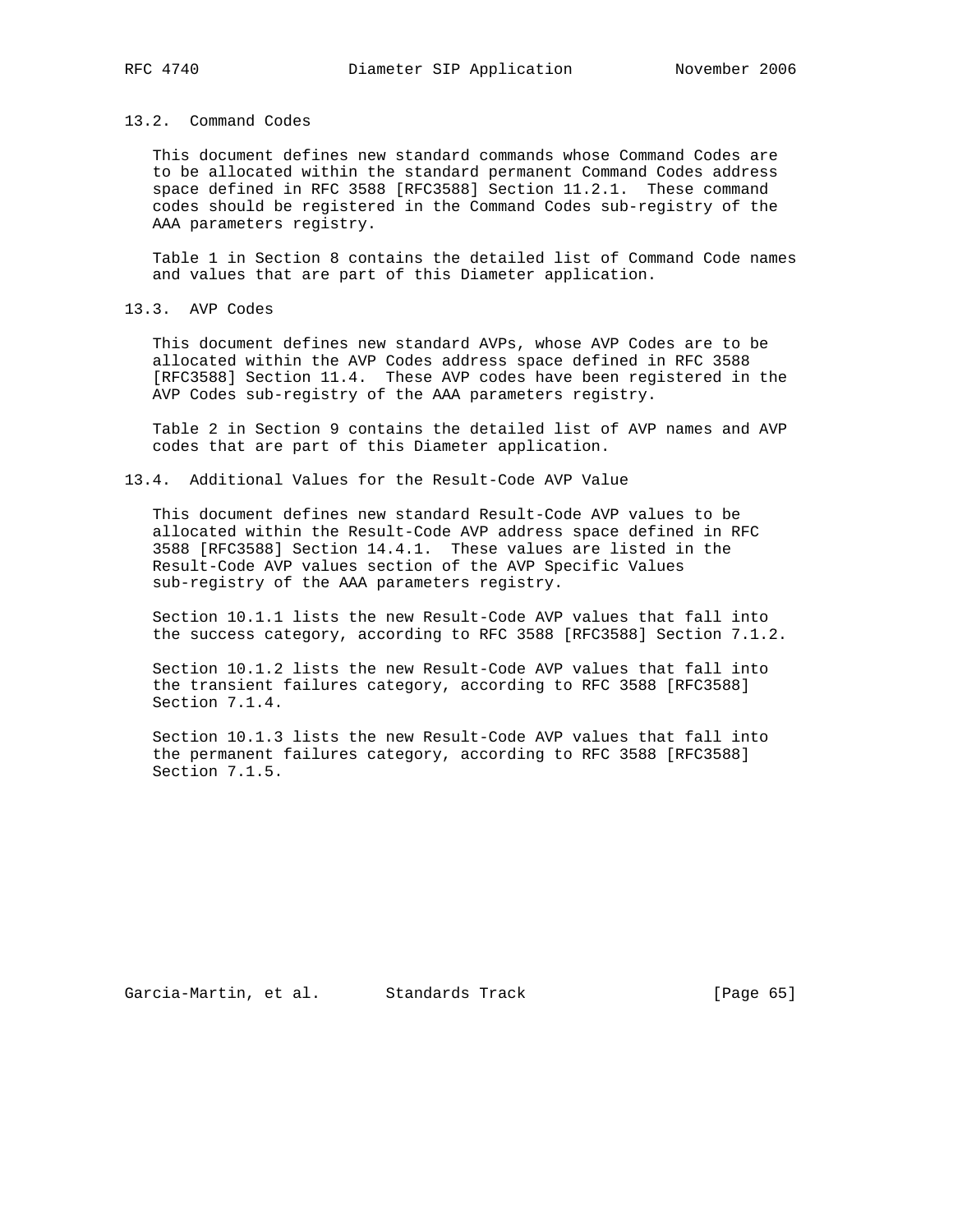## 13.2. Command Codes

 This document defines new standard commands whose Command Codes are to be allocated within the standard permanent Command Codes address space defined in RFC 3588 [RFC3588] Section 11.2.1. These command codes should be registered in the Command Codes sub-registry of the AAA parameters registry.

 Table 1 in Section 8 contains the detailed list of Command Code names and values that are part of this Diameter application.

13.3. AVP Codes

 This document defines new standard AVPs, whose AVP Codes are to be allocated within the AVP Codes address space defined in RFC 3588 [RFC3588] Section 11.4. These AVP codes have been registered in the AVP Codes sub-registry of the AAA parameters registry.

 Table 2 in Section 9 contains the detailed list of AVP names and AVP codes that are part of this Diameter application.

13.4. Additional Values for the Result-Code AVP Value

 This document defines new standard Result-Code AVP values to be allocated within the Result-Code AVP address space defined in RFC 3588 [RFC3588] Section 14.4.1. These values are listed in the Result-Code AVP values section of the AVP Specific Values sub-registry of the AAA parameters registry.

 Section 10.1.1 lists the new Result-Code AVP values that fall into the success category, according to RFC 3588 [RFC3588] Section 7.1.2.

 Section 10.1.2 lists the new Result-Code AVP values that fall into the transient failures category, according to RFC 3588 [RFC3588] Section 7.1.4.

 Section 10.1.3 lists the new Result-Code AVP values that fall into the permanent failures category, according to RFC 3588 [RFC3588] Section 7.1.5.

Garcia-Martin, et al. Standards Track [Page 65]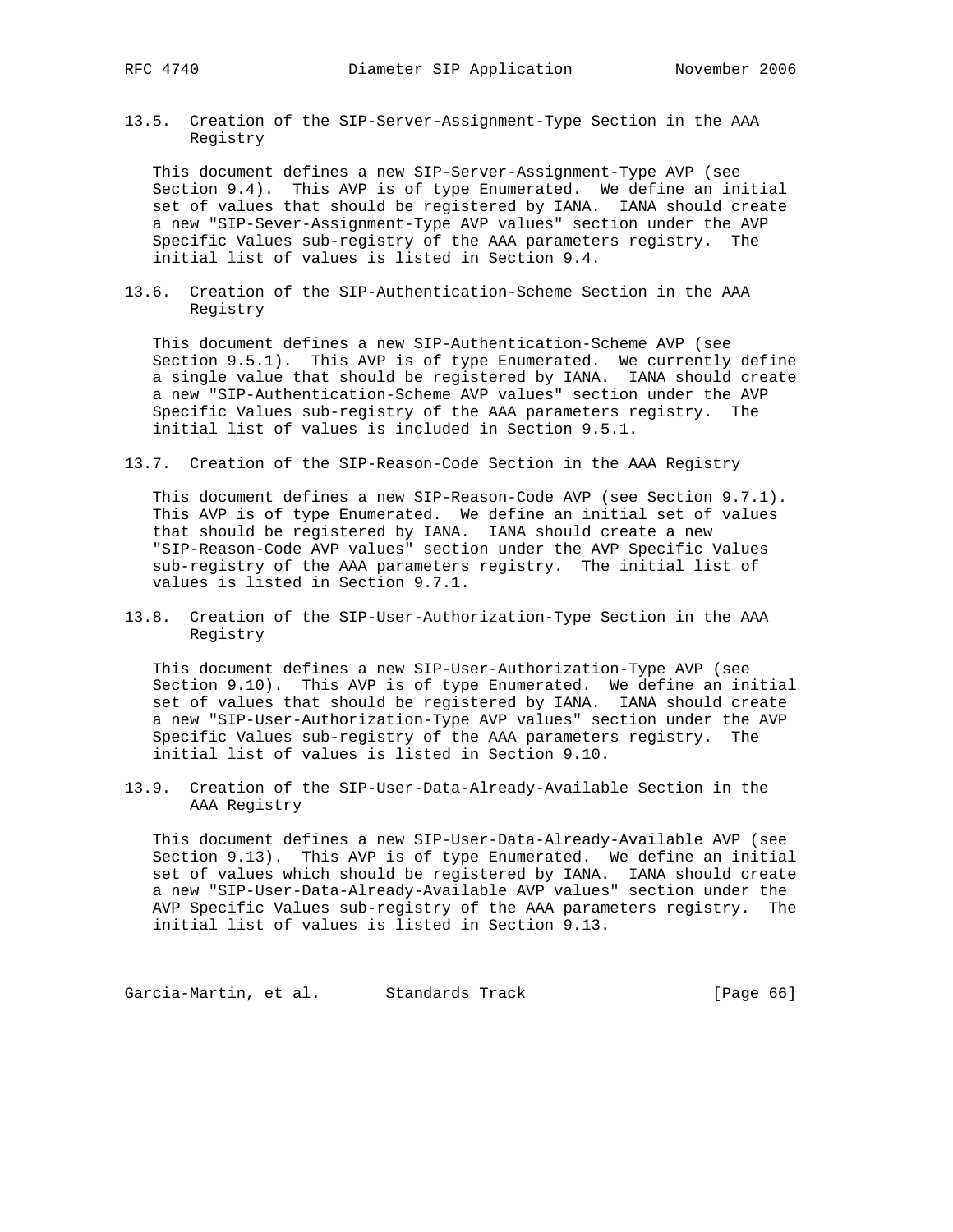13.5. Creation of the SIP-Server-Assignment-Type Section in the AAA Registry

 This document defines a new SIP-Server-Assignment-Type AVP (see Section 9.4). This AVP is of type Enumerated. We define an initial set of values that should be registered by IANA. IANA should create a new "SIP-Sever-Assignment-Type AVP values" section under the AVP Specific Values sub-registry of the AAA parameters registry. The initial list of values is listed in Section 9.4.

13.6. Creation of the SIP-Authentication-Scheme Section in the AAA Registry

 This document defines a new SIP-Authentication-Scheme AVP (see Section 9.5.1). This AVP is of type Enumerated. We currently define a single value that should be registered by IANA. IANA should create a new "SIP-Authentication-Scheme AVP values" section under the AVP Specific Values sub-registry of the AAA parameters registry. The initial list of values is included in Section 9.5.1.

13.7. Creation of the SIP-Reason-Code Section in the AAA Registry

 This document defines a new SIP-Reason-Code AVP (see Section 9.7.1). This AVP is of type Enumerated. We define an initial set of values that should be registered by IANA. IANA should create a new "SIP-Reason-Code AVP values" section under the AVP Specific Values sub-registry of the AAA parameters registry. The initial list of values is listed in Section 9.7.1.

13.8. Creation of the SIP-User-Authorization-Type Section in the AAA Registry

 This document defines a new SIP-User-Authorization-Type AVP (see Section 9.10). This AVP is of type Enumerated. We define an initial set of values that should be registered by IANA. IANA should create a new "SIP-User-Authorization-Type AVP values" section under the AVP Specific Values sub-registry of the AAA parameters registry. The initial list of values is listed in Section 9.10.

13.9. Creation of the SIP-User-Data-Already-Available Section in the AAA Registry

 This document defines a new SIP-User-Data-Already-Available AVP (see Section 9.13). This AVP is of type Enumerated. We define an initial set of values which should be registered by IANA. IANA should create a new "SIP-User-Data-Already-Available AVP values" section under the AVP Specific Values sub-registry of the AAA parameters registry. The initial list of values is listed in Section 9.13.

Garcia-Martin, et al. Standards Track [Page 66]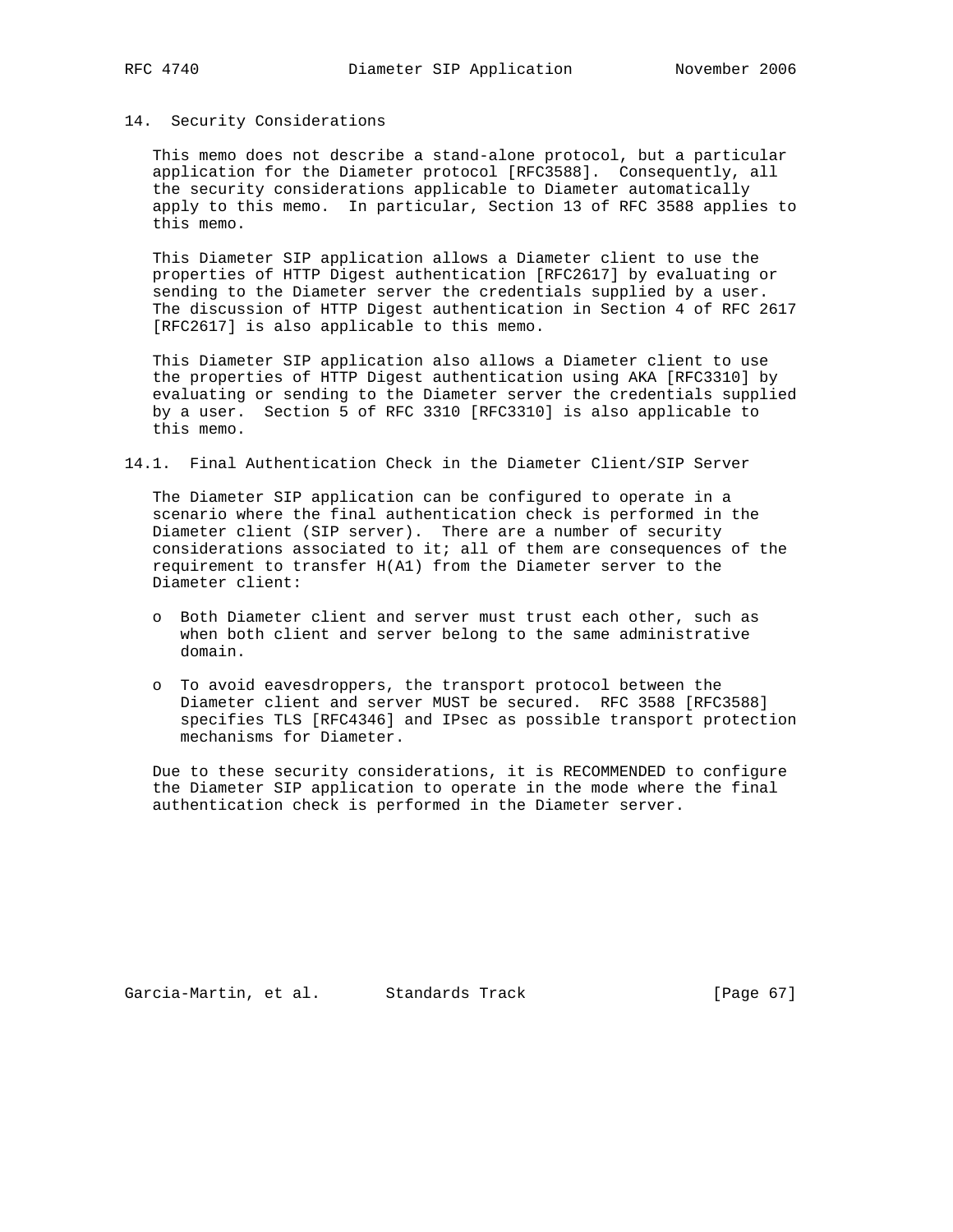# 14. Security Considerations

 This memo does not describe a stand-alone protocol, but a particular application for the Diameter protocol [RFC3588]. Consequently, all the security considerations applicable to Diameter automatically apply to this memo. In particular, Section 13 of RFC 3588 applies to this memo.

 This Diameter SIP application allows a Diameter client to use the properties of HTTP Digest authentication [RFC2617] by evaluating or sending to the Diameter server the credentials supplied by a user. The discussion of HTTP Digest authentication in Section 4 of RFC 2617 [RFC2617] is also applicable to this memo.

 This Diameter SIP application also allows a Diameter client to use the properties of HTTP Digest authentication using AKA [RFC3310] by evaluating or sending to the Diameter server the credentials supplied by a user. Section 5 of RFC 3310 [RFC3310] is also applicable to this memo.

14.1. Final Authentication Check in the Diameter Client/SIP Server

 The Diameter SIP application can be configured to operate in a scenario where the final authentication check is performed in the Diameter client (SIP server). There are a number of security considerations associated to it; all of them are consequences of the requirement to transfer H(A1) from the Diameter server to the Diameter client:

- o Both Diameter client and server must trust each other, such as when both client and server belong to the same administrative domain.
- o To avoid eavesdroppers, the transport protocol between the Diameter client and server MUST be secured. RFC 3588 [RFC3588] specifies TLS [RFC4346] and IPsec as possible transport protection mechanisms for Diameter.

 Due to these security considerations, it is RECOMMENDED to configure the Diameter SIP application to operate in the mode where the final authentication check is performed in the Diameter server.

Garcia-Martin, et al. Standards Track [Page 67]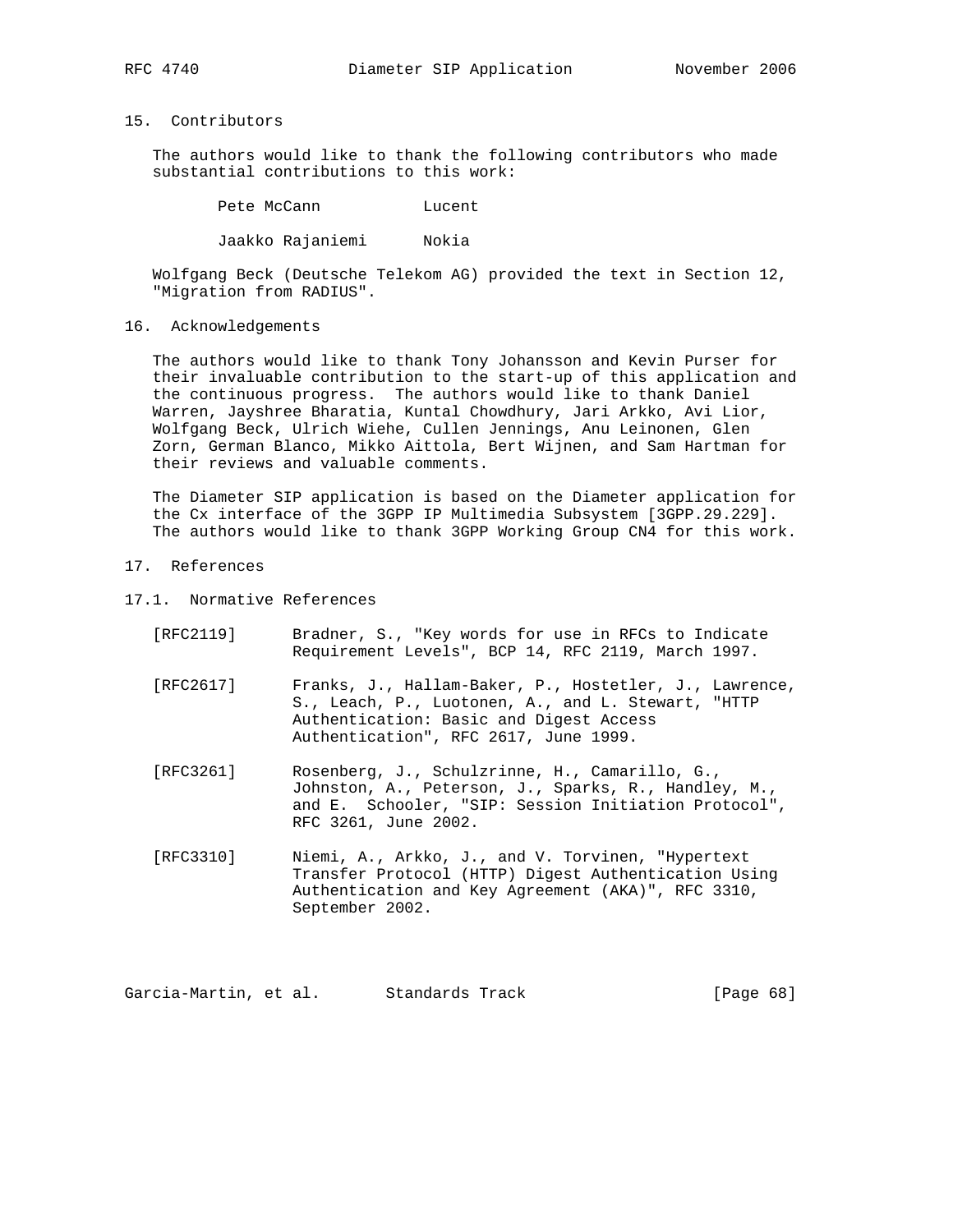# 15. Contributors

 The authors would like to thank the following contributors who made substantial contributions to this work:

Pete McCann Lucent

Jaakko Rajaniemi Nokia

 Wolfgang Beck (Deutsche Telekom AG) provided the text in Section 12, "Migration from RADIUS".

16. Acknowledgements

 The authors would like to thank Tony Johansson and Kevin Purser for their invaluable contribution to the start-up of this application and the continuous progress. The authors would like to thank Daniel Warren, Jayshree Bharatia, Kuntal Chowdhury, Jari Arkko, Avi Lior, Wolfgang Beck, Ulrich Wiehe, Cullen Jennings, Anu Leinonen, Glen Zorn, German Blanco, Mikko Aittola, Bert Wijnen, and Sam Hartman for their reviews and valuable comments.

 The Diameter SIP application is based on the Diameter application for the Cx interface of the 3GPP IP Multimedia Subsystem [3GPP.29.229]. The authors would like to thank 3GPP Working Group CN4 for this work.

- 17. References
- 17.1. Normative References
	- [RFC2119] Bradner, S., "Key words for use in RFCs to Indicate Requirement Levels", BCP 14, RFC 2119, March 1997.
	- [RFC2617] Franks, J., Hallam-Baker, P., Hostetler, J., Lawrence, S., Leach, P., Luotonen, A., and L. Stewart, "HTTP Authentication: Basic and Digest Access Authentication", RFC 2617, June 1999.
	- [RFC3261] Rosenberg, J., Schulzrinne, H., Camarillo, G., Johnston, A., Peterson, J., Sparks, R., Handley, M., and E. Schooler, "SIP: Session Initiation Protocol", RFC 3261, June 2002.
	- [RFC3310] Niemi, A., Arkko, J., and V. Torvinen, "Hypertext Transfer Protocol (HTTP) Digest Authentication Using Authentication and Key Agreement (AKA)", RFC 3310, September 2002.

Garcia-Martin, et al. Standards Track [Page 68]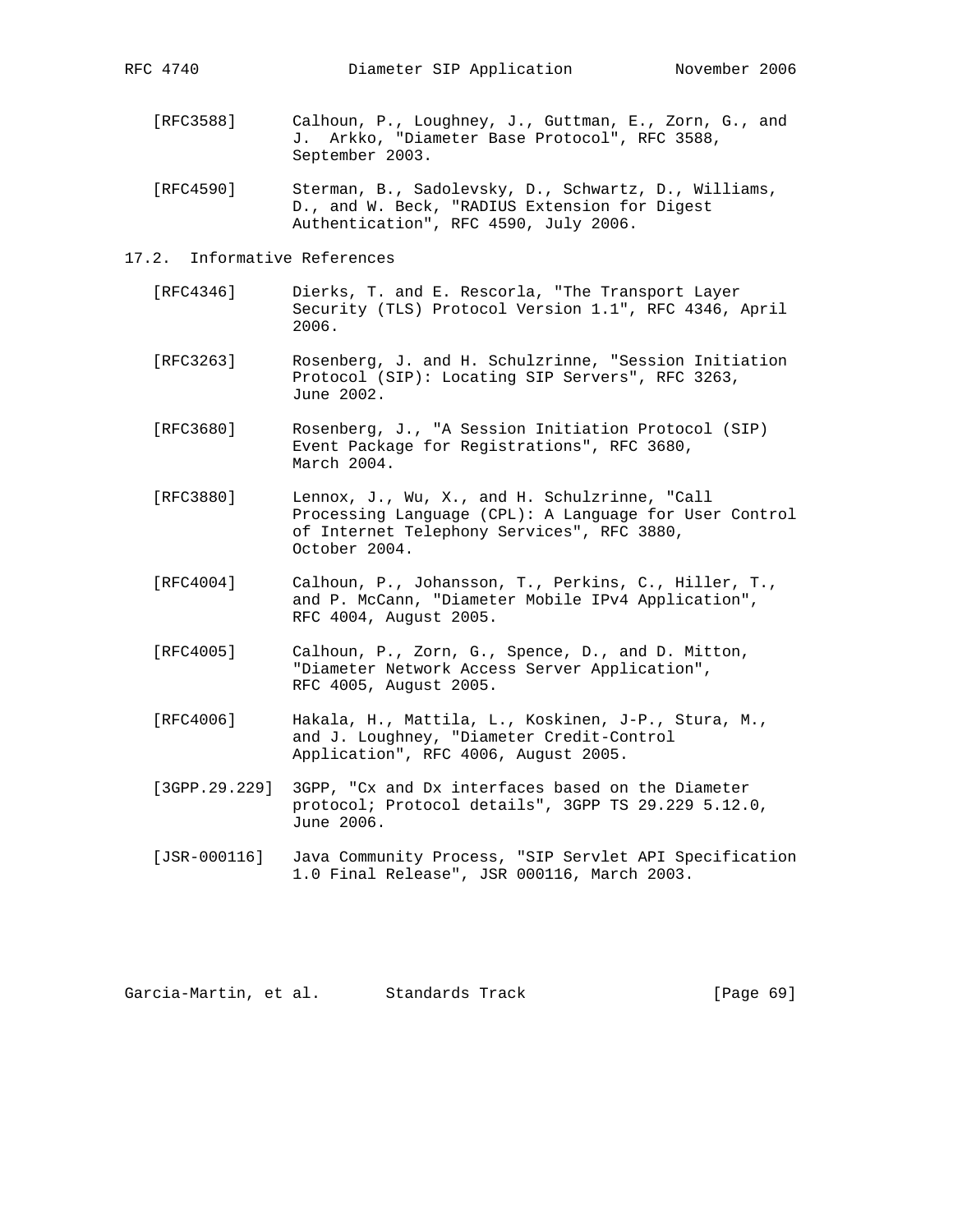- [RFC3588] Calhoun, P., Loughney, J., Guttman, E., Zorn, G., and J. Arkko, "Diameter Base Protocol", RFC 3588, September 2003.
- [RFC4590] Sterman, B., Sadolevsky, D., Schwartz, D., Williams, D., and W. Beck, "RADIUS Extension for Digest Authentication", RFC 4590, July 2006.
- 17.2. Informative References
	- [RFC4346] Dierks, T. and E. Rescorla, "The Transport Layer Security (TLS) Protocol Version 1.1", RFC 4346, April 2006.
	- [RFC3263] Rosenberg, J. and H. Schulzrinne, "Session Initiation Protocol (SIP): Locating SIP Servers", RFC 3263, June 2002.
	- [RFC3680] Rosenberg, J., "A Session Initiation Protocol (SIP) Event Package for Registrations", RFC 3680, March 2004.
	- [RFC3880] Lennox, J., Wu, X., and H. Schulzrinne, "Call Processing Language (CPL): A Language for User Control of Internet Telephony Services", RFC 3880, October 2004.
	- [RFC4004] Calhoun, P., Johansson, T., Perkins, C., Hiller, T., and P. McCann, "Diameter Mobile IPv4 Application", RFC 4004, August 2005.
	- [RFC4005] Calhoun, P., Zorn, G., Spence, D., and D. Mitton, "Diameter Network Access Server Application", RFC 4005, August 2005.
	- [RFC4006] Hakala, H., Mattila, L., Koskinen, J-P., Stura, M., and J. Loughney, "Diameter Credit-Control Application", RFC 4006, August 2005.
	- [3GPP.29.229] 3GPP, "Cx and Dx interfaces based on the Diameter protocol; Protocol details", 3GPP TS 29.229 5.12.0, June 2006.
	- [JSR-000116] Java Community Process, "SIP Servlet API Specification 1.0 Final Release", JSR 000116, March 2003.

Garcia-Martin, et al. Standards Track [Page 69]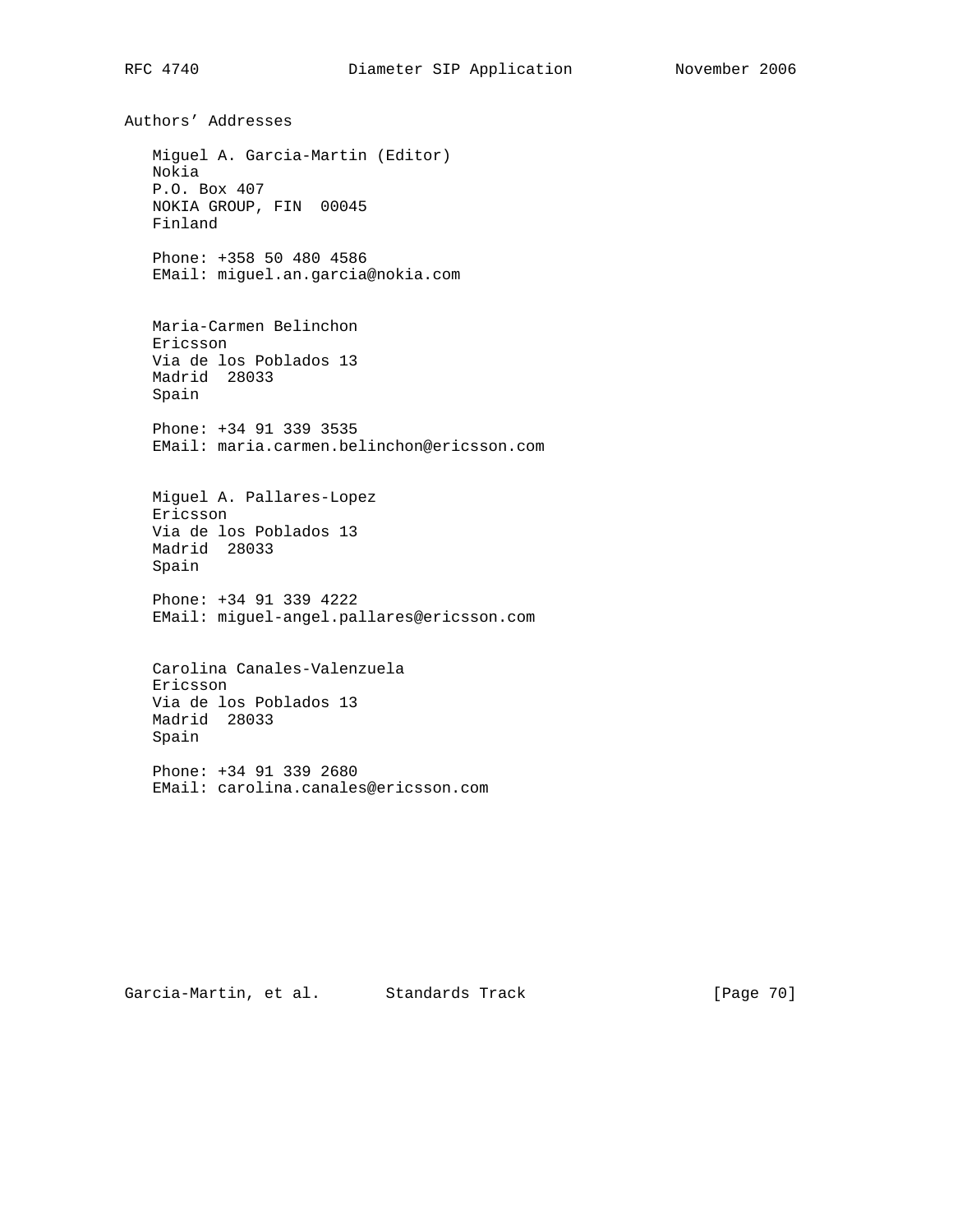Authors' Addresses Miguel A. Garcia-Martin (Editor) Nokia P.O. Box 407 NOKIA GROUP, FIN 00045 Finland Phone: +358 50 480 4586 EMail: miguel.an.garcia@nokia.com Maria-Carmen Belinchon Ericsson Via de los Poblados 13 Madrid 28033 Spain Phone: +34 91 339 3535 EMail: maria.carmen.belinchon@ericsson.com Miguel A. Pallares-Lopez Ericsson Via de los Poblados 13 Madrid 28033 Spain Phone: +34 91 339 4222 EMail: miguel-angel.pallares@ericsson.com Carolina Canales-Valenzuela Ericsson Via de los Poblados 13 Madrid 28033 Spain Phone: +34 91 339 2680 EMail: carolina.canales@ericsson.com

Garcia-Martin, et al. Standards Track [Page 70]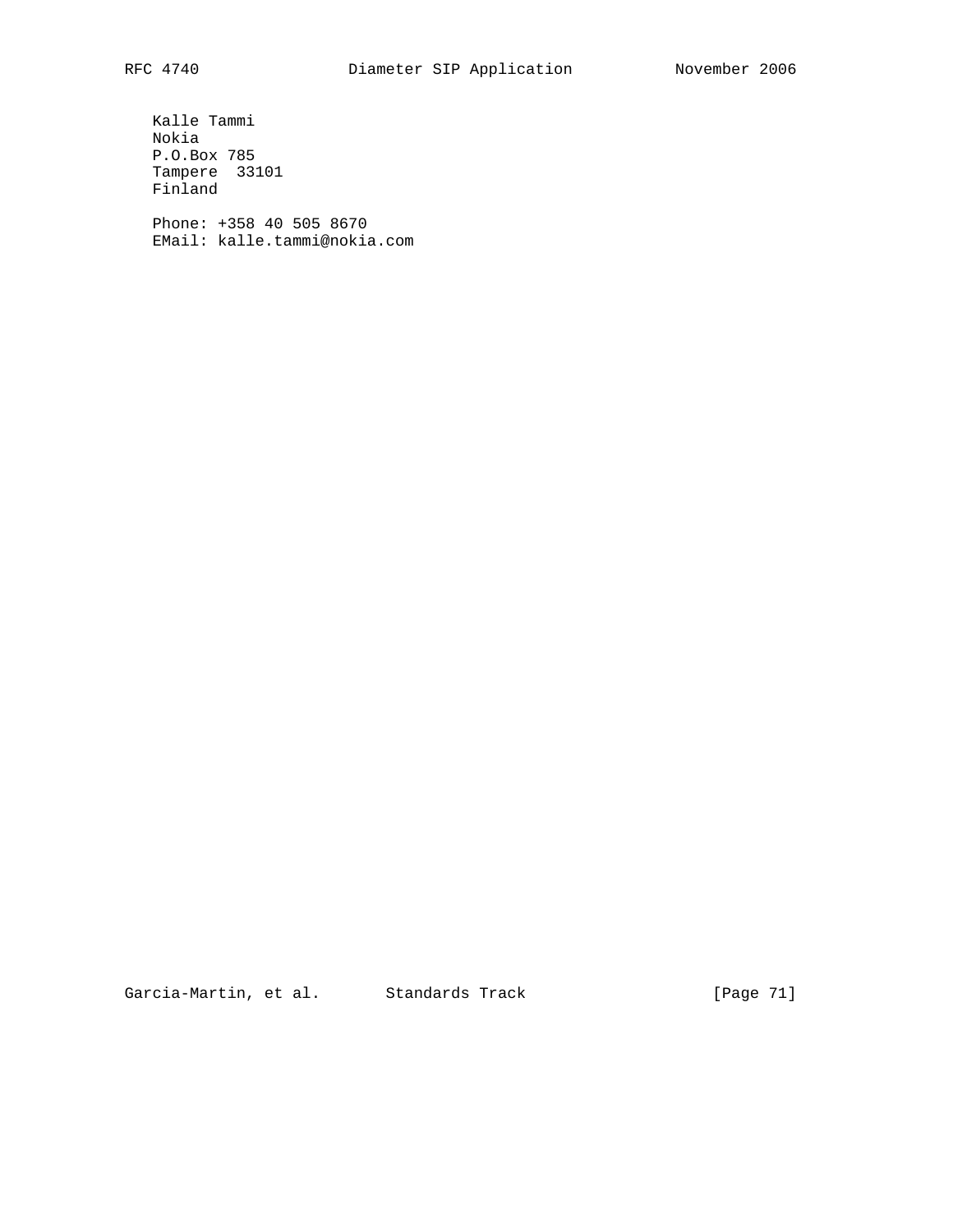Kalle Tammi Nokia P.O.Box 785 Tampere 33101 Finland

 Phone: +358 40 505 8670 EMail: kalle.tammi@nokia.com

Garcia-Martin, et al. Standards Track [Page 71]